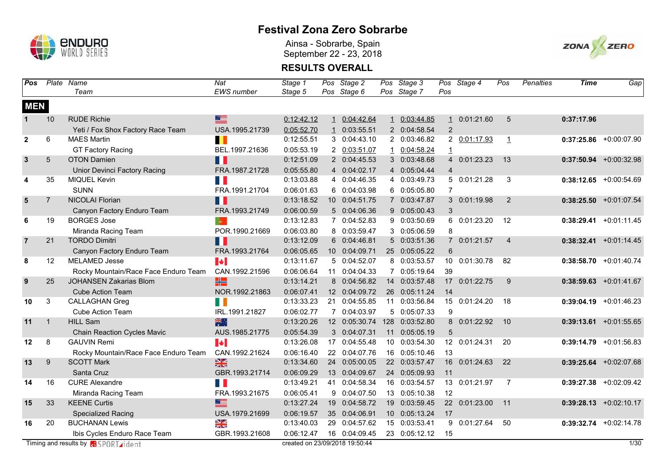

Ainsa - Sobrarbe, Spain September 22 - 23, 2018



| Pos            |                | Plate Name                                   | Nat                   | Stage 1                        |              | Pos Stage 2   | Pos Stage 3    |                | Pos Stage 4   | Pos            | Penalties | Time       | Gap                      |
|----------------|----------------|----------------------------------------------|-----------------------|--------------------------------|--------------|---------------|----------------|----------------|---------------|----------------|-----------|------------|--------------------------|
|                |                | Team                                         | <b>EWS</b> number     | Stage 5                        |              | Pos Stage 6   | Pos Stage 7    | Pos            |               |                |           |            |                          |
| <b>MEN</b>     |                |                                              |                       |                                |              |               |                |                |               |                |           |            |                          |
| $\mathbf{1}$   | 10             | <b>RUDE Richie</b>                           | $\equiv$              | 0:12:42.12                     | $\mathbf{1}$ | 0:04:42.64    | 1 0:03:44.85   | $\mathbf{1}$   | 0:01:21.60    | 5              |           | 0:37:17.96 |                          |
|                |                | Yeti / Fox Shox Factory Race Team            | USA.1995.21739        | 0:05:52.70                     | $\mathbf{1}$ | 0:03:55.51    | 2 0:04:58.54   | $\overline{2}$ |               |                |           |            |                          |
| $\overline{2}$ | 6              | <b>MAES Martin</b>                           | П                     | 0:12:55.51                     |              | 3 0:04:43.10  | 2 0:03:46.82   |                | 2 0:01:17.93  | $\overline{1}$ |           |            | $0:37:25.86$ +0:00:07.90 |
|                |                | <b>GT Factory Racing</b>                     | BEL.1997.21636        | 0:05:53.19                     |              | 2 0:03:51.07  | 1 0:04:58.24   | $\overline{1}$ |               |                |           |            |                          |
| $\mathbf{3}$   | $\sqrt{5}$     | <b>OTON Damien</b>                           | Ш                     | 0:12:51.09                     |              | 2 0:04:45.53  | 3 0:03:48.68   |                | 4 0:01:23.23  | 13             |           |            | $0:37:50.94$ +0:00:32.98 |
|                |                | <b>Unior Devinci Factory Racing</b>          | FRA.1987.21728        | 0:05:55.80                     |              | 4 0:04:02.17  | 4 0:05:04.44   | $\overline{4}$ |               |                |           |            |                          |
| 4              | 35             | MIQUEL Kevin                                 | <b>Tale</b>           | 0:13:03.88                     |              | 4 0:04:46.35  | 4 0:03:49.73   |                | 5 0:01:21.28  | 3              |           |            | $0:38:12.65$ +0:00:54.69 |
|                |                | <b>SUNN</b>                                  | FRA.1991.21704        | 0:06:01.63                     |              | 6 0:04:03.98  | 6 0:05:05.80   | $\overline{7}$ |               |                |           |            |                          |
| $5\phantom{1}$ | $\overline{7}$ | NICOLAI Florian                              | Ш                     | 0:13:18.52                     |              | 10 0:04:51.75 | 7 0:03:47.87   |                | 3 0:01:19.98  | 2              |           |            | $0:38:25.50$ +0:01:07.54 |
|                |                | Canyon Factory Enduro Team                   | FRA.1993.21749        | 0:06:00.59                     |              | 5 0:04:06.36  | 9 0:05:00.43   | 3              |               |                |           |            |                          |
| 6              | 19             | <b>BORGES Jose</b>                           | $ \Phi\rangle$        | 0:13:12.83                     |              | 7 0:04:52.83  | 9 0:03:50.69   |                | 6 0:01:23.20  | 12             |           | 0:38:29.41 | $+0:01:11.45$            |
|                |                | Miranda Racing Team                          | POR.1990.21669        | 0:06:03.80                     |              | 8 0:03:59.47  | 3 0:05:06.59   | 8              |               |                |           |            |                          |
| $\overline{7}$ | 21             | <b>TORDO Dimitri</b>                         | H                     | 0:13:12.09                     |              | 6 0:04:46.81  | 5 0:03:51.36   | $7^{\circ}$    | 0:01:21.57    | $\overline{4}$ |           |            | $0:38:32.41$ +0:01:14.45 |
|                |                | Canyon Factory Enduro Team                   | FRA.1993.21764        | 0:06:05.65                     |              | 10 0:04:09.71 | 25 0:05:05.22  | 6              |               |                |           |            |                          |
| 8              | 12             | <b>MELAMED Jesse</b>                         | $\blacktriangleright$ | 0:13:11.67                     |              | 5 0:04:52.07  | 8 0:03:53.57   | 10             | 0:01:30.78    | 82             |           |            | $0:38:58.70 +0:01:40.74$ |
|                |                | Rocky Mountain/Race Face Enduro Team         | CAN.1992.21596        | 0:06:06.64                     |              | 11 0:04:04.33 | 7 0:05:19.64   | 39             |               |                |           |            |                          |
| 9              | 25             | <b>JOHANSEN Zakarias Blom</b>                | HE.                   | 0:13:14.21                     |              | 8 0:04:56.82  | 14 0:03:57.48  | 17             | 0:01:22.75    | 9              |           |            | $0:38:59.63$ +0:01:41.67 |
|                |                | <b>Cube Action Team</b>                      | NOR.1992.21863        | 0:06:07.41                     |              | 12 0:04:09.72 | 26 0:05:11.24  | 14             |               |                |           |            |                          |
| 10             | 3              | CALLAGHAN Greg                               | n T                   | 0:13:33.23                     |              | 21 0:04:55.85 | 11 0:03:56.84  |                | 15 0:01:24.20 | 18             |           |            | $0:39:04.19$ +0:01:46.23 |
|                |                | <b>Cube Action Team</b>                      | IRL.1991.21827        | 0:06:02.77                     |              | 7 0:04:03.97  | 5 0:05:07.33   | 9              |               |                |           |            |                          |
| 11             | $\mathbf{1}$   | <b>HILL Sam</b>                              | 米。                    | 0:13:20.26                     |              | 12 0:05:30.74 | 128 0:03:52.80 |                | 8 0:01:22.92  | 10             |           |            | $0:39:13.61$ +0:01:55.65 |
|                |                | <b>Chain Reaction Cycles Mavic</b>           | AUS.1985.21775        | 0:05:54.39                     |              | 3 0:04:07.31  | 11 0:05:05.19  | 5              |               |                |           |            |                          |
| 12             | 8              | <b>GAUVIN Remi</b>                           | $\blacktriangleright$ | 0:13:26.08                     |              | 17 0:04:55.48 | 10 0:03:54.30  |                | 12 0:01:24.31 | 20             |           |            | $0:39:14.79$ +0:01:56.83 |
|                |                | Rocky Mountain/Race Face Enduro Team         | CAN.1992.21624        | 0:06:16.40                     |              | 22 0:04:07.76 | 16 0:05:10.46  | 13             |               |                |           |            |                          |
| 13             | 9              | <b>SCOTT Mark</b>                            | $\frac{N}{N}$         | 0:13:34.60                     |              | 24 0:05:00.05 | 22 0:03:57.47  |                | 16 0:01:24.63 | 22             |           |            | $0:39:25.64$ +0:02:07.68 |
|                |                | Santa Cruz                                   | GBR.1993.21714        | 0:06:09.29                     |              | 13 0:04:09.67 | 24 0:05:09.93  | 11             |               |                |           |            |                          |
| 14             | 16             | <b>CURE Alexandre</b>                        | E.                    | 0:13:49.21                     |              | 41 0:04:58.34 | 16 0:03:54.57  |                | 13 0:01:21.97 | 7              |           |            | $0:39:27.38$ +0:02:09.42 |
|                |                | Miranda Racing Team                          | FRA.1993.21675        | 0:06:05.41                     |              | 9 0:04:07.50  | 13 0:05:10.38  | 12             |               |                |           |            |                          |
| 15             | 33             | <b>KEENE Curtis</b>                          | $\equiv$              | 0:13:27.24                     | 19           | 0:04:58.72    | 19 0:03:59.45  |                | 22 0:01:23.00 | 11             |           |            | $0:39:28.13$ +0:02:10.17 |
|                |                | <b>Specialized Racing</b>                    | USA.1979.21699        | 0:06:19.57                     |              | 35 0:04:06.91 | 10 0:05:13.24  | 17             |               |                |           |            |                          |
| 16             | 20             | <b>BUCHANAN Lewis</b>                        | $\frac{N}{N}$         | 0:13:40.03                     | 29           | 0:04:57.62    | 15 0:03:53.41  | 9              | 0:01:27.64    | 50             |           |            | 0:39:32.74 +0:02:14.78   |
|                |                | Ibis Cycles Enduro Race Team                 | GBR.1993.21608        | 0:06:12.47                     |              | 16 0:04:09.45 | 23 0:05:12.12  | 15             |               |                |           |            |                          |
|                |                | Timing and results by <b>GI</b> SPORT rident |                       | created on 23/09/2018 19:50:44 |              |               |                |                |               |                |           |            | $1/30$                   |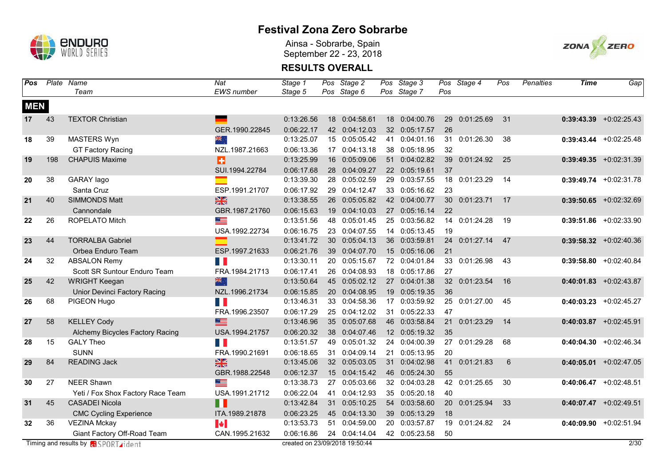

Ainsa - Sobrarbe, Spain September 22 - 23, 2018



| Pos              |     | Plate Name                                   | Nat                   | Stage 1                        |    | Pos Stage 2   | Pos Stage 3   |     | Pos Stage 4   | Pos | Penalties | <b>Time</b> | Gap                       |
|------------------|-----|----------------------------------------------|-----------------------|--------------------------------|----|---------------|---------------|-----|---------------|-----|-----------|-------------|---------------------------|
|                  |     | Team                                         | <b>EWS</b> number     | Stage 5                        |    | Pos Stage 6   | Pos Stage 7   | Pos |               |     |           |             |                           |
| <b>MEN</b>       |     |                                              |                       |                                |    |               |               |     |               |     |           |             |                           |
| 17 <sup>17</sup> | 43  | <b>TEXTOR Christian</b>                      |                       | 0:13:26.56                     |    | 18 0:04:58.61 | 18 0:04:00.76 | 29  | 0:01:25.69    | 31  |           |             | $0:39:43.39$ +0:02:25.43  |
|                  |     |                                              | GER.1990.22845        | 0:06:22.17                     |    | 42 0:04:12.03 | 32 0:05:17.57 | 26  |               |     |           |             |                           |
| 18               | 39  | MASTERS Wyn                                  | সহ                    | 0:13:25.07                     |    | 15 0:05:05.42 | 41 0:04:01.16 | 31  | 0:01:26.30    | 38  |           |             | $0:39:43.44 + 0:02:25.48$ |
|                  |     | <b>GT Factory Racing</b>                     | NZL.1987.21663        | 0:06:13.36                     |    | 17 0:04:13.18 | 38 0:05:18.95 | 32  |               |     |           |             |                           |
| 19               | 198 | <b>CHAPUIS Maxime</b>                        | B                     | 0:13:25.99                     |    | 16 0:05:09.06 | 51 0:04:02.82 | 39  | 0:01:24.92    | 25  |           |             | $0:39:49.35$ +0:02:31.39  |
|                  |     |                                              | SUI.1994.22784        | 0:06:17.68                     |    | 28 0:04:09.27 | 22 0:05:19.61 | 37  |               |     |           |             |                           |
| 20               | 38  | GARAY lago                                   | m.                    | 0:13:39.30                     |    | 28 0:05:02.59 | 29 0:03:57.55 | 18  | 0:01:23.29    | 14  |           |             | $0:39:49.74$ +0:02:31.78  |
|                  |     | Santa Cruz                                   | ESP.1991.21707        | 0:06:17.92                     | 29 | 0:04:12.47    | 33 0:05:16.62 | 23  |               |     |           |             |                           |
| 21               | 40  | <b>SIMMONDS Matt</b>                         | $\frac{N}{2}$         | 0:13:38.55                     | 26 | 0:05:05.82    | 42 0:04:00.77 | 30  | 0:01:23.71    | 17  |           |             | $0:39:50.65$ +0:02:32.69  |
|                  |     | Cannondale                                   | GBR.1987.21760        | 0:06:15.63                     |    | 19 0:04:10.03 | 27 0:05:16.14 | 22  |               |     |           |             |                           |
| 22               | 26  | ROPELATO Mitch                               | <u> andre</u>         | 0:13:51.56                     | 48 | 0:05:01.45    | 25 0:03:56.82 | 14  | 0:01:24.28    | 19  |           |             | $0:39:51.86$ +0:02:33.90  |
|                  |     |                                              | USA.1992.22734        | 0:06:16.75                     |    | 23 0:04:07.55 | 14 0:05:13.45 | 19  |               |     |           |             |                           |
| 23               | 44  | <b>TORRALBA Gabriel</b>                      |                       | 0:13:41.72                     | 30 | 0:05:04.13    | 36 0:03:59.81 | 24  | 0:01:27.14    | 47  |           |             | $0:39:58.32$ +0:02:40.36  |
|                  |     | Orbea Enduro Team                            | ESP.1997.21633        | 0:06:21.76                     |    | 39 0:04:07.70 | 15 0:05:16.06 | 21  |               |     |           |             |                           |
| 24               | 32  | <b>ABSALON Remy</b>                          | <b>Time</b>           | 0:13:30.11                     |    | 20 0:05:15.67 | 72 0:04:01.84 | 33  | 0:01:26.98    | 43  |           |             | $0:39:58.80$ +0:02:40.84  |
|                  |     | Scott SR Suntour Enduro Team                 | FRA.1984.21713        | 0:06:17.41                     |    | 26 0:04:08.93 | 18 0:05:17.86 | 27  |               |     |           |             |                           |
| 25               | 42  | <b>WRIGHT Keegan</b>                         | 器                     | 0:13:50.64                     |    | 45 0:05:02.12 | 27 0:04:01.38 |     | 32 0:01:23.54 | 16  |           |             | $0:40:01.83$ +0:02:43.87  |
|                  |     | <b>Unior Devinci Factory Racing</b>          | NZL.1996.21734        | 0:06:15.85                     |    | 20 0:04:08.95 | 19 0:05:19.35 | 36  |               |     |           |             |                           |
| 26               | 68  | PIGEON Hugo                                  | <b>Tale</b>           | 0:13:46.31                     |    | 33 0:04:58.36 | 17 0:03:59.92 |     | 25 0:01:27.00 | 45  |           |             | $0:40:03.23$ +0:02:45.27  |
|                  |     |                                              | FRA.1996.23507        | 0:06:17.29                     |    | 25 0:04:12.02 | 31 0:05:22.33 | 47  |               |     |           |             |                           |
| 27               | 58  | <b>KELLEY Cody</b>                           | $\equiv$              | 0:13:46.96                     |    | 35 0:05:07.68 | 46 0:03:58.84 | 21  | 0:01:23.29    | 14  |           |             | $0:40:03.87$ +0:02:45.91  |
|                  |     | Alchemy Bicycles Factory Racing              | USA.1994.21757        | 0:06:20.32                     |    | 38 0:04:07.46 | 12 0:05:19.32 | 35  |               |     |           |             |                           |
| 28               | 15  | <b>GALY Theo</b>                             | <b>Tale</b>           | 0:13:51.57                     |    | 49 0:05:01.32 | 24 0:04:00.39 |     | 27 0:01:29.28 | 68  |           |             | $0:40:04.30$ +0:02:46.34  |
|                  |     | <b>SUNN</b>                                  | FRA.1990.21691        | 0:06:18.65                     |    | 31 0:04:09.14 | 21 0:05:13.95 | 20  |               |     |           |             |                           |
| 29               | 84  | <b>READING Jack</b>                          | $\frac{N}{2}$         | 0:13:45.06                     |    | 32 0:05:03.05 | 31 0:04:02.98 | 41  | 0:01:21.83    | 6   |           |             | $0:40:05.01$ +0:02:47.05  |
|                  |     |                                              | GBR.1988.22548        | 0:06:12.37                     |    | 15 0:04:15.42 | 46 0:05:24.30 | 55  |               |     |           |             |                           |
| 30               | 27  | <b>NEER Shawn</b>                            | ▆▆                    | 0:13:38.73                     |    | 27 0:05:03.66 | 32 0:04:03.28 |     | 42 0:01:25.65 | 30  |           |             | $0:40:06.47$ +0:02:48.51  |
|                  |     | Yeti / Fox Shox Factory Race Team            | USA.1991.21712        | 0:06:22.04                     | 41 | 0:04:12.93    | 35 0:05:20.18 | 40  |               |     |           |             |                           |
| 31               | 45  | <b>CASADEI Nicola</b>                        | n                     | 0:13:42.84                     |    | 31 0:05:10.25 | 54 0:03:58.60 | 20  | 0:01:25.94    | 33  |           |             | $0:40:07.47$ +0:02:49.51  |
|                  |     | <b>CMC Cycling Experience</b>                | ITA.1989.21878        | 0:06:23.25                     | 45 | 0:04:13.30    | 39 0:05:13.29 | 18  |               |     |           |             |                           |
| 32               | 36  | <b>VEZINA Mckay</b>                          | $\blacktriangleright$ | 0:13:53.73                     | 51 | 0:04:59.00    | 20 0:03:57.87 | 19  | 0:01:24.82    | 24  |           |             | $0:40:09.90$ +0:02:51.94  |
|                  |     | Giant Factory Off-Road Team                  | CAN.1995.21632        | 0:06:16.86                     |    | 24 0:04:14.04 | 42 0:05:23.58 | 50  |               |     |           |             |                           |
|                  |     | Timing and results by <b>GI</b> SPORT rident |                       | created on 23/09/2018 19:50:44 |    |               |               |     |               |     |           |             | 2/30                      |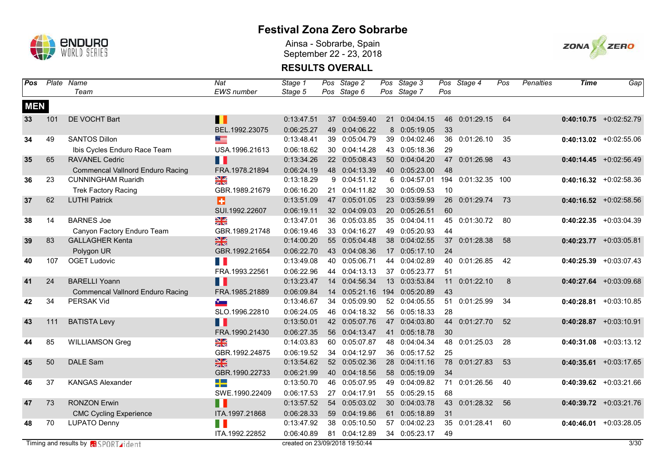

Ainsa - Sobrarbe, Spain September 22 - 23, 2018



| Pos        |     | Plate Name                                  | Nat               | Stage 1                        |    | Pos Stage 2   | Pos Stage 3    |     | Pos Stage 4    | Pos | Penalties | <b>Time</b> | Gap                      |
|------------|-----|---------------------------------------------|-------------------|--------------------------------|----|---------------|----------------|-----|----------------|-----|-----------|-------------|--------------------------|
|            |     | Team                                        | <b>EWS</b> number | Stage 5                        |    | Pos Stage 6   | Pos Stage 7    | Pos |                |     |           |             |                          |
| <b>MEN</b> |     |                                             |                   |                                |    |               |                |     |                |     |           |             |                          |
| 33         | 101 | DE VOCHT Bart                               | $\blacksquare$    | 0:13:47.51                     |    | 37 0:04:59.40 | 21 0:04:04.15  | 46  | 0:01:29.15     | 64  |           |             | $0:40:10.75$ +0:02:52.79 |
|            |     |                                             | BEL.1992.23075    | 0:06:25.27                     |    | 49 0:04:06.22 | 8 0:05:19.05   | 33  |                |     |           |             |                          |
| 34         | 49  | <b>SANTOS Dillon</b>                        | ▀                 | 0:13:48.41                     |    | 39 0:05:04.79 | 39 0:04:02.46  |     | 36 0:01:26.10  | 35  |           |             | $0:40:13.02$ +0:02:55.06 |
|            |     | Ibis Cycles Enduro Race Team                | USA.1996.21613    | 0:06:18.62                     |    | 30 0:04:14.28 | 43 0:05:18.36  | 29  |                |     |           |             |                          |
| 35         | 65  | <b>RAVANEL Cedric</b>                       | Ш                 | 0:13:34.26                     |    | 22 0:05:08.43 | 50 0:04:04.20  | 47  | 0:01:26.98     | 43  |           |             | $0:40:14.45$ +0:02:56.49 |
|            |     | <b>Commencal Vallnord Enduro Racing</b>     | FRA.1978.21894    | 0:06:24.19                     |    | 48 0:04:13.39 | 40 0:05:23.00  | 48  |                |     |           |             |                          |
| 36         | 23  | <b>CUNNINGHAM Ruaridh</b>                   | N<br>Z            | 0:13:18.29                     |    | 9 0:04:51.12  | 6 0:04:57.01   | 194 | 0:01:32.35 100 |     |           |             | $0:40:16.32 +0:02:58.36$ |
|            |     | <b>Trek Factory Racing</b>                  | GBR.1989.21679    | 0:06:16.20                     |    | 21 0:04:11.82 | 30 0:05:09.53  | 10  |                |     |           |             |                          |
| 37         | 62  | <b>LUTHI Patrick</b>                        | Ŧ                 | 0:13:51.09                     |    | 47 0:05:01.05 | 23 0:03:59.99  | 26  | 0:01:29.74     | 73  |           |             | $0:40:16.52$ +0:02:58.56 |
|            |     |                                             | SUI.1992.22607    | 0:06:19.11                     |    | 32 0:04:09.03 | 20 0:05:26.51  | 60  |                |     |           |             |                          |
| 38         | 14  | <b>BARNES Joe</b>                           | $\frac{N}{n}$     | 0:13:47.01                     |    | 36 0:05:03.85 | 35 0:04:04.11  | 45  | 0:01:30.72     | 80  |           |             | $0:40:22.35$ +0:03:04.39 |
|            |     | Canyon Factory Enduro Team                  | GBR.1989.21748    | 0:06:19.46                     |    | 33 0:04:16.27 | 49 0:05:20.93  | 44  |                |     |           |             |                          |
| 39         | 83  | <b>GALLAGHER Kenta</b>                      | $\frac{25}{24}$   | 0:14:00.20                     | 55 | 0:05:04.48    | 38 0:04:02.55  | 37  | 0:01:28.38     | 58  |           |             | $0:40:23.77$ +0:03:05.81 |
|            |     | Polygon UR                                  | GBR.1992.21654    | 0:06:22.70                     |    | 43 0:04:08.36 | 17 0:05:17.10  | 24  |                |     |           |             |                          |
| 40         | 107 | <b>OGET Ludovic</b>                         | <b>Time</b>       | 0:13:49.08                     | 40 | 0:05:06.71    | 44 0:04:02.89  | 40  | 0:01:26.85     | 42  |           |             | $0:40:25.39$ +0:03:07.43 |
|            |     |                                             | FRA.1993.22561    | 0:06:22.96                     |    | 44 0:04:13.13 | 37 0:05:23.77  | 51  |                |     |           |             |                          |
| 41         | 24  | <b>BARELLI Yoann</b>                        | Ш                 | 0:13:23.47                     | 14 | 0:04:56.34    | 13 0:03:53.84  | 11  | 0:01:22.10     | 8   |           |             | $0:40:27.64$ +0:03:09.68 |
|            |     | <b>Commencal Vallnord Enduro Racing</b>     | FRA.1985.21889    | 0:06:09.84                     |    | 14 0:05:21.16 | 194 0:05:20.89 | 43  |                |     |           |             |                          |
| 42         | 34  | <b>PERSAK Vid</b>                           | <b>Part</b>       | 0:13:46.67                     |    | 34 0:05:09.90 | 52 0:04:05.55  | 51  | 0:01:25.99     | 34  |           |             | $0:40:28.81$ +0:03:10.85 |
|            |     |                                             | SLO.1996.22810    | 0:06:24.05                     |    | 46 0:04:18.32 | 56 0:05:18.33  | 28  |                |     |           |             |                          |
| 43         | 111 | <b>BATISTA Levy</b>                         | П                 | 0:13:50.01                     |    | 42 0:05:07.76 | 47 0:04:03.80  | 44  | 0:01:27.70     | 52  |           |             | $0:40:28.87$ +0:03:10.91 |
|            |     |                                             | FRA.1990.21430    | 0:06:27.35                     |    | 56 0:04:13.47 | 41 0:05:18.78  | 30  |                |     |           |             |                          |
| 44         | 85  | <b>WILLIAMSON Greg</b>                      | $\frac{8}{3}$     | 0:14:03.83                     |    | 60 0:05:07.87 | 48 0:04:04.34  | 48  | 0:01:25.03     | 28  |           |             | $0:40:31.08$ +0:03:13.12 |
|            |     |                                             | GBR.1992.24875    | 0:06:19.52                     |    | 34 0:04:12.97 | 36 0:05:17.52  | 25  |                |     |           |             |                          |
| 45         | 50  | <b>DALE Sam</b>                             | $\frac{N}{2}$     | 0:13:54.62                     |    | 52 0:05:02.36 | 28 0:04:11.16  | 78  | 0:01:27.83     | 53  |           |             | $0:40:35.61$ +0:03:17.65 |
|            |     |                                             | GBR.1990.22733    | 0:06:21.99                     |    | 40 0:04:18.56 | 58 0:05:19.09  | 34  |                |     |           |             |                          |
| 46         | 37  | <b>KANGAS Alexander</b>                     | 42                | 0:13:50.70                     | 46 | 0:05:07.95    | 49 0:04:09.82  | 71  | 0:01:26.56     | 40  |           |             | $0:40:39.62$ +0:03:21.66 |
|            |     |                                             | SWE.1990.22409    | 0:06:17.53                     |    | 27 0:04:17.91 | 55 0:05:29.15  | 68  |                |     |           |             |                          |
| 47         | 73  | <b>RONZON Erwin</b>                         | n                 | 0:13:57.52                     | 54 | 0:05:03.02    | 30 0:04:03.78  | 43  | 0:01:28.32     | 56  |           |             | $0:40:39.72$ +0:03:21.76 |
|            |     | <b>CMC Cycling Experience</b>               | ITA.1997.21868    | 0:06:28.33                     | 59 | 0:04:19.86    | 61 0:05:18.89  | 31  |                |     |           |             |                          |
| 48         | 70  | <b>LUPATO Denny</b>                         | H I               | 0:13:47.92                     |    | 38 0:05:10.50 | 57 0:04:02.23  | 35  | 0:01:28.41     | 60  |           |             | $0:40:46.01$ +0:03:28.05 |
|            |     |                                             | ITA.1992.22852    | 0:06:40.89                     |    | 81 0:04:12.89 | 34 0:05:23.17  | 49  |                |     |           |             |                          |
|            |     | Timing and results by <b>a</b> SPORT rident |                   | created on 23/09/2018 19:50:44 |    |               |                |     |                |     |           |             | 3/30                     |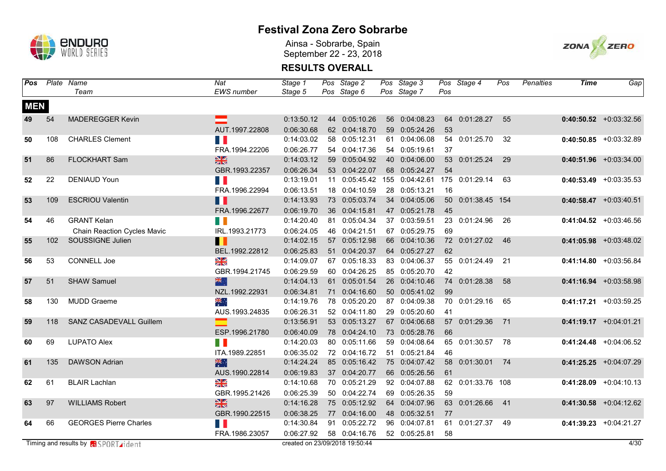

Ainsa - Sobrarbe, Spain September 22 - 23, 2018



| Pos        |     | Plate Name                                 | Nat               | Stage 1                        | Pos Stage 2   | Pos Stage 3    |     | Pos Stage 4       | Pos | <b>Penalties</b> | Time | Gap                       |
|------------|-----|--------------------------------------------|-------------------|--------------------------------|---------------|----------------|-----|-------------------|-----|------------------|------|---------------------------|
|            |     | Team                                       | <b>EWS</b> number | Stage 5                        | Pos Stage 6   | Pos Stage 7    | Pos |                   |     |                  |      |                           |
| <b>MEN</b> |     |                                            |                   |                                |               |                |     |                   |     |                  |      |                           |
| 49         | 54  | <b>MADEREGGER Kevin</b>                    | ⋿                 | 0:13:50.12                     | 44 0:05:10.26 | 56 0:04:08.23  |     | 64 0:01:28.27     | 55  |                  |      | $0:40:50.52$ +0:03:32.56  |
|            |     |                                            | AUT.1997.22808    | 0:06:30.68                     | 62 0:04:18.70 | 59 0:05:24.26  | 53  |                   |     |                  |      |                           |
| 50         | 108 | <b>CHARLES Clement</b>                     | <b>T</b>          | 0:14:03.02                     | 58 0:05:12.31 | 61 0:04:06.08  |     | 54 0:01:25.70     | 32  |                  |      | $0:40:50.85$ +0:03:32.89  |
|            |     |                                            | FRA.1994.22206    | 0:06:26.77                     | 54 0:04:17.36 | 54 0:05:19.61  | 37  |                   |     |                  |      |                           |
| 51         | 86  | <b>FLOCKHART Sam</b>                       | $\frac{N}{2}$     | 0:14:03.12                     | 59 0:05:04.92 | 40 0:04:06.00  | 53  | 0:01:25.24        | 29  |                  |      | $0:40:51.96$ +0:03:34.00  |
|            |     |                                            | GBR.1993.22357    | 0:06:26.34                     | 53 0:04:22.07 | 68 0:05:24.27  | 54  |                   |     |                  |      |                           |
| 52         | 22  | <b>DENIAUD Youn</b>                        | H F               | 0:13:19.01                     | 11 0:05:45.42 | 155 0:04:42.61 | 175 | 0:01:29.14        | 63  |                  |      | $0:40:53.49$ +0:03:35.53  |
|            |     |                                            | FRA.1996.22994    | 0:06:13.51                     | 18 0:04:10.59 | 28 0:05:13.21  | 16  |                   |     |                  |      |                           |
| 53         | 109 | <b>ESCRIOU Valentin</b>                    | $\blacksquare$    | 0:14:13.93                     | 73 0:05:03.74 | 34 0:04:05.06  | 50  | 0:01:38.45 154    |     |                  |      | $0:40:58.47$ +0:03:40.51  |
|            |     |                                            | FRA.1996.22677    | 0:06:19.70                     | 36 0:04:15.81 | 47 0:05:21.78  | 45  |                   |     |                  |      |                           |
| 54         | 46  | <b>GRANT Kelan</b>                         | n i               | 0:14:20.40                     | 81 0:05:04.34 | 37 0:03:59.51  | 23  | 0:01:24.96        | 26  |                  |      | $0:41:04.52$ +0:03:46.56  |
|            |     | Chain Reaction Cycles Mavic                | IRL.1993.21773    | 0:06:24.05                     | 46 0:04:21.51 | 67 0:05:29.75  | 69  |                   |     |                  |      |                           |
| 55         | 102 | SOUSSIGNE Julien                           | Ш                 | 0:14:02.15                     | 57 0:05:12.98 | 66 0:04:10.36  |     | 72 0:01:27.02     | 46  |                  |      | $0:41:05.98$ +0:03:48.02  |
|            |     |                                            | BEL.1992.22812    | 0:06:25.83                     | 51 0:04:20.37 | 64 0:05:27.27  | 62  |                   |     |                  |      |                           |
| 56         | 53  | CONNELL Joe                                | $\frac{1}{2}$     | 0:14:09.07                     | 67 0:05:18.33 | 83 0:04:06.37  | 55  | 0:01:24.49        | 21  |                  |      | $0:41:14.80 + 0:03:56.84$ |
|            |     |                                            | GBR.1994.21745    | 0:06:29.59                     | 60 0:04:26.25 | 85 0:05:20.70  | 42  |                   |     |                  |      |                           |
| 57         | 51  | <b>SHAW Samuel</b>                         | 器                 | 0:14:04.13                     | 61 0:05:01.54 | 26 0:04:10.46  |     | 74 0:01:28.38     | 58  |                  |      | $0:41:16.94$ +0:03:58.98  |
|            |     |                                            | NZL.1992.22931    | 0:06:34.81                     | 71 0:04:16.60 | 50 0:05:41.02  | 99  |                   |     |                  |      |                           |
| 58         | 130 | <b>MUDD Graeme</b>                         | 崇德                | 0:14:19.76                     | 78 0:05:20.20 | 87 0:04:09.38  |     | 70 0:01:29.16     | 65  |                  |      | $0:41:17.21$ +0:03:59.25  |
|            |     |                                            | AUS.1993.24835    | 0:06:26.31                     | 52 0:04:11.80 | 29 0:05:20.60  | 41  |                   |     |                  |      |                           |
| 59         | 118 | SANZ CASADEVALL Guillem                    |                   | 0:13:56.91                     | 53 0:05:13.27 | 67 0:04:06.68  |     | 57 0:01:29.36     | 71  |                  |      | $0:41:19.17 + 0:04:01.21$ |
|            |     |                                            | ESP.1996.21780    | 0:06:40.09                     | 78 0:04:24.10 | 73 0:05:28.76  | 66  |                   |     |                  |      |                           |
| 60         | 69  | <b>LUPATO Alex</b>                         | H.                | 0:14:20.03                     | 80 0:05:11.66 | 59 0:04:08.64  | 65  | 0:01:30.57        | 78  |                  |      | $0:41:24.48$ +0:04:06.52  |
|            |     |                                            | ITA.1989.22851    | 0:06:35.02                     | 72 0:04:16.72 | 51 0:05:21.84  | 46  |                   |     |                  |      |                           |
| 61         | 135 | <b>DAWSON Adrian</b>                       | 米村                | 0:14:24.24                     | 85 0:05:16.42 | 75 0:04:07.42  | 58  | 0:01:30.01        | 74  |                  |      | $0:41:25.25$ +0:04:07.29  |
|            |     |                                            | AUS.1990.22814    | 0:06:19.83                     | 37 0:04:20.77 | 66 0:05:26.56  | 61  |                   |     |                  |      |                           |
| 62         | 61  | <b>BLAIR Lachlan</b>                       | N<br>Z            | 0:14:10.68                     | 70 0:05:21.29 | 92 0:04:07.88  |     | 62 0:01:33.76 108 |     |                  |      | $0:41:28.09$ +0:04:10.13  |
|            |     |                                            | GBR.1995.21426    | 0:06:25.39                     | 50 0:04:22.74 | 69 0:05:26.35  | 59  |                   |     |                  |      |                           |
| 63         | 97  | <b>WILLIAMS Robert</b>                     | $\frac{N}{2}$     | 0:14:16.28                     | 75 0:05:12.92 | 64 0:04:07.96  | 63  | 0:01:26.66        | 41  |                  |      | $0:41:30.58$ +0:04:12.62  |
|            |     |                                            | GBR.1990.22515    | 0:06:38.25                     | 77 0:04:16.00 | 48 0:05:32.51  | 77  |                   |     |                  |      |                           |
| 64         | 66  | <b>GEORGES Pierre Charles</b>              | H E               | 0:14:30.84                     | 91 0:05:22.72 | 96 0:04:07.81  | 61  | 0:01:27.37        | 49  |                  |      | $0:41:39.23$ +0:04:21.27  |
|            |     |                                            | FRA.1986.23057    | 0:06:27.92                     | 58 0:04:16.76 | 52 0:05:25.81  | 58  |                   |     |                  |      |                           |
|            |     | Timing and results by <b>R</b> SPORT ident |                   | created on 23/09/2018 19:50:44 |               |                |     |                   |     |                  |      | 4/30                      |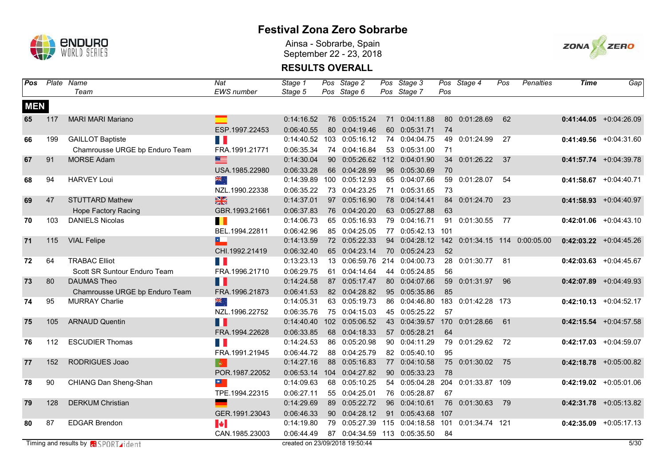

Ainsa - Sobrarbe, Spain September 22 - 23, 2018



| Pos        |     | Plate Name                                  | Nat               | Stage 1                        |                  | Pos Stage 2                  | Pos Stage 3               |     | Pos Stage 4    | Pos | Penalties                 | <b>Time</b> | Gap                      |
|------------|-----|---------------------------------------------|-------------------|--------------------------------|------------------|------------------------------|---------------------------|-----|----------------|-----|---------------------------|-------------|--------------------------|
|            |     | Team                                        | <b>EWS</b> number | Stage 5                        |                  | Pos Stage 6                  | Pos Stage 7               | Pos |                |     |                           |             |                          |
| <b>MEN</b> |     |                                             |                   |                                |                  |                              |                           |     |                |     |                           |             |                          |
| 65         | 117 | <b>MARI MARI Mariano</b>                    |                   | 0:14:16.52                     |                  | 76 0:05:15.24                | 71 0:04:11.88             |     | 80 0:01:28.69  | 62  |                           |             | $0:41:44.05$ +0:04:26.09 |
|            |     |                                             | ESP.1997.22453    | 0:06:40.55                     |                  | 80 0:04:19.46                | 60 0:05:31.71             | 74  |                |     |                           |             |                          |
| 66         | 199 | <b>GAILLOT Baptiste</b>                     | <b>T</b>          | 0:14:40.52                     |                  | 103 0:05:16.12               | 74 0:04:04.75             | 49  | 0:01:24.99     | 27  |                           |             | $0:41:49.56$ +0:04:31.60 |
|            |     | Chamrousse URGE bp Enduro Team              | FRA.1991.21771    | 0:06:35.34                     |                  | 74 0:04:16.84                | 53 0:05:31.00             | 71  |                |     |                           |             |                          |
| 67         | 91  | <b>MORSE Adam</b>                           | $\equiv$          | 0:14:30.04                     |                  | 90 0:05:26.62                | 112 0:04:01.90            | 34  | 0:01:26.22     | 37  |                           |             | $0:41:57.74$ +0:04:39.78 |
|            |     |                                             | USA.1985.22980    | 0:06:33.28                     |                  | 66 0:04:28.99                | 96 0:05:30.69             | 70  |                |     |                           |             |                          |
| 68         | 94  | <b>HARVEY Loui</b>                          | সর্ব              | 0:14:39.89                     | 100              | 0:05:12.93                   | 65 0:04:07.66             | 59  | 0:01:28.07     | 54  |                           | 0:41:58.67  | $+0:04:40.71$            |
|            |     |                                             | NZL.1990.22338    | 0:06:35.22                     |                  | 73 0:04:23.25                | 71 0:05:31.65             | 73  |                |     |                           |             |                          |
| 69         | 47  | <b>STUTTARD Mathew</b>                      | $\frac{N}{2}$     | 0:14:37.01                     |                  | 97 0:05:16.90                | 78 0:04:14.41             | 84  | 0:01:24.70     | 23  |                           |             | $0:41:58.93$ +0:04:40.97 |
|            |     | <b>Hope Factory Racing</b>                  | GBR.1993.21661    | 0:06:37.83                     |                  | 76 0:04:20.20                | 63 0:05:27.88             | 63  |                |     |                           |             |                          |
| 70         | 103 | <b>DANIELS Nicolas</b>                      | H                 | 0:14:06.73                     |                  | 65 0:05:16.93                | 79 0:04:16.71             | 91  | 0:01:30.55     | 77  |                           |             | $0:42:01.06$ +0:04:43.10 |
|            |     |                                             | BEL.1994.22811    | 0:06:42.96                     |                  | 85 0:04:25.05                | 77 0:05:42.13 101         |     |                |     |                           |             |                          |
| 71         | 115 | <b>VIAL Felipe</b>                          | E.                | 0:14:13.59                     |                  | 72 0:05:22.33                | 94 0:04:28.12             | 142 |                |     | 0:01:34.15 114 0:00:05.00 |             | $0:42:03.22$ +0:04:45.26 |
|            |     |                                             | CHI.1992.21419    | 0:06:32.40                     |                  | 65 0:04:23.14                | 70 0:05:24.23             | 52  |                |     |                           |             |                          |
| 72         | 64  | <b>TRABAC Elliot</b>                        | <b>Time</b>       | 0:13:23.13                     |                  | 13 0:06:59.76 214 0:04:00.73 |                           | 28  | 0:01:30.77     | 81  |                           |             | $0:42:03.63$ +0:04:45.67 |
|            |     | Scott SR Suntour Enduro Team                | FRA.1996.21710    | 0:06:29.75                     | 61               | 0:04:14.64                   | 44 0:05:24.85             | 56  |                |     |                           |             |                          |
| 73         | 80  | <b>DAUMAS Theo</b>                          | H                 | 0:14:24.58                     |                  | 87 0:05:17.47                | 80 0:04:07.66             | 59  | 0:01:31.97     | 96  |                           |             | $0:42:07.89$ +0:04:49.93 |
|            |     | Chamrousse URGE bp Enduro Team              | FRA.1996.21873    | 0:06:41.53                     |                  | 82 0:04:28.82                | 95 0:05:35.86             | 85  |                |     |                           |             |                          |
| 74         | 95  | <b>MURRAY Charlie</b>                       | ak.<br>Zip        | 0:14:05.31                     |                  | 63 0:05:19.73                | 86 0:04:46.80             | 183 | 0:01:42.28 173 |     |                           |             | $0:42:10.13$ +0:04:52.17 |
|            |     |                                             | NZL.1996.22752    | 0:06:35.76                     |                  | 75 0:04:15.03                | 45 0:05:25.22             | 57  |                |     |                           |             |                          |
| 75         | 105 | <b>ARNAUD Quentin</b>                       | Ш                 | 0:14:40.40                     | 102 <sub>1</sub> | 0:05:06.52                   | 43 0:04:39.57             | 170 | 0:01:28.66     | 61  |                           |             | $0:42:15.54$ +0:04:57.58 |
|            |     |                                             | FRA.1994.22628    | 0:06:33.85                     |                  | 68 0:04:18.33                | 57 0:05:28.21             | 64  |                |     |                           |             |                          |
| 76         | 112 | <b>ESCUDIER Thomas</b>                      | <b>Tale</b>       | 0:14:24.53                     |                  | 86 0:05:20.98                | 90 0:04:11.29             |     | 79 0:01:29.62  | 72  |                           |             | $0:42:17.03$ +0:04:59.07 |
|            |     |                                             | FRA.1991.21945    | 0:06:44.72                     |                  | 88 0:04:25.79                | 82 0:05:40.10             | 95  |                |     |                           |             |                          |
| 77         | 152 | <b>RODRIGUES Joao</b>                       | $ \Phi_{\perp} $  | 0:14:27.16                     |                  | 88 0:05:16.83                | 77 0:04:10.58             | 75  | 0:01:30.02     | 75  |                           |             | $0:42:18.78$ +0:05:00.82 |
|            |     |                                             | POR.1987.22052    | 0:06:53.14                     |                  | 104 0:04:27.82               | 90 0:05:33.23             | 78  |                |     |                           |             |                          |
| 78         | 90  | CHIANG Dan Sheng-Shan                       | $\frac{1}{2}$     | 0:14:09.63                     |                  | 68 0:05:10.25                | 54 0:05:04.28             | 204 | 0:01:33.87 109 |     |                           |             | $0:42:19.02$ +0:05:01.06 |
|            |     |                                             | TPE.1994.22315    | 0:06:27.11                     |                  | 55 0:04:25.01                | 76 0:05:28.87             | 67  |                |     |                           |             |                          |
| 79         | 128 | <b>DERKUM Christian</b>                     |                   | 0:14:29.69                     |                  | 89 0:05:22.72                | 96 0:04:10.61             | 76  | 0:01:30.63     | 79  |                           |             | $0:42:31.78$ +0:05:13.82 |
|            |     |                                             | GER.1991.23043    | 0:06:46.33                     |                  | 90 0:04:28.12                | 91 0:05:43.68             | 107 |                |     |                           |             |                          |
| 80         | 87  | <b>EDGAR Brendon</b>                        | H.                | 0:14:19.80                     | 79               |                              | 0:05:27.39 115 0:04:18.58 | 101 | 0:01:34.74 121 |     |                           |             | $0:42:35.09$ +0:05:17.13 |
|            |     |                                             | CAN.1985.23003    | 0:06:44.49                     |                  | 87 0:04:34.59 113 0:05:35.50 |                           | 84  |                |     |                           |             |                          |
|            |     | Timing and results by <b>a</b> SPORT rident |                   | created on 23/09/2018 19:50:44 |                  |                              |                           |     |                |     |                           |             | 5/30                     |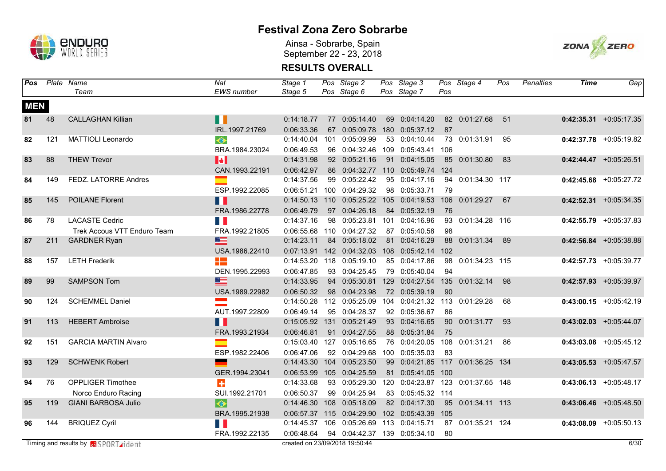

Ainsa - Sobrarbe, Spain September 22 - 23, 2018



| Pos        |     | Plate Name                                  | Nat                   | Stage 1                        |     | Pos Stage 2                                       | Pos Stage 3                      |     | Pos Stage 4       | Pos   | <b>Penalties</b> | <b>Time</b> | Gap                       |
|------------|-----|---------------------------------------------|-----------------------|--------------------------------|-----|---------------------------------------------------|----------------------------------|-----|-------------------|-------|------------------|-------------|---------------------------|
|            |     | Team                                        | <b>EWS</b> number     | Stage 5                        |     | Pos Stage 6                                       | Pos Stage 7                      | Pos |                   |       |                  |             |                           |
| <b>MEN</b> |     |                                             |                       |                                |     |                                                   |                                  |     |                   |       |                  |             |                           |
| 81         | 48  | <b>CALLAGHAN Killian</b>                    | H                     | 0:14:18.77                     |     | 77 0:05:14.40                                     | 69 0:04:14.20                    |     | 82 0:01:27.68     | $-51$ |                  |             | $0:42:35.31$ +0:05:17.35  |
|            |     |                                             | IRL.1997.21769        | 0:06:33.36                     |     | 67 0:05:09.78                                     | 180 0:05:37.12                   | 87  |                   |       |                  |             |                           |
| 82         | 121 | <b>MATTIOLI Leonardo</b>                    | $\bullet$             | 0:14:40.04                     | 101 | 0:05:09.99                                        | 53 0:04:10.44                    |     | 73 0:01:31.91     | 95    |                  |             | $0:42:37.78$ +0:05:19.82  |
|            |     |                                             | BRA.1984.23024        | 0:06:49.53                     |     | 96  0:04:32.46  109  0:05:43.41                   |                                  | 106 |                   |       |                  |             |                           |
| 83         | 88  | <b>THEW Trevor</b>                          | $\blacktriangleright$ | 0:14:31.98                     |     | 92 0:05:21.16                                     | 91 0:04:15.05                    | 85  | 0:01:30.80        | 83    |                  |             | $0:42:44.47$ +0:05:26.51  |
|            |     |                                             | CAN.1993.22191        | 0:06:42.97                     |     | 86 0:04:32.77                                     | 110 0:05:49.74                   | 124 |                   |       |                  |             |                           |
| 84         | 149 | FEDZ. LATORRE Andres                        | Ξ                     | 0:14:37.56                     |     | 99 0:05:22.42                                     | 95 0:04:17.16                    |     | 94 0:01:34.30 117 |       |                  |             | $0:42:45.68$ +0:05:27.72  |
|            |     |                                             | ESP.1992.22085        | 0:06:51.21                     |     | 100 0:04:29.32                                    | 98 0:05:33.71                    | 79  |                   |       |                  |             |                           |
| 85         | 145 | <b>POILANE Florent</b>                      | $\blacksquare$        | $0:14:50.13$ 110               |     |                                                   | 0:05:25.22 105 0:04:19.53        | 106 | 0:01:29.27        | 67    |                  |             | $0:42:52.31 + 0:05:34.35$ |
|            |     |                                             | FRA.1986.22778        | 0:06:49.79                     |     | 97 0:04:26.18                                     | 84 0:05:32.19                    | 76  |                   |       |                  |             |                           |
| 86         | 78  | <b>LACASTE Cedric</b>                       |                       | 0:14:37.16                     |     | 98 0:05:23.81 101 0:04:16.96                      |                                  | 93  | 0:01:34.28 116    |       |                  |             | $0:42:55.79$ +0:05:37.83  |
|            |     | Trek Accous VTT Enduro Team                 | FRA.1992.21805        |                                |     | 0:06:55.68 110 0:04:27.32                         | 87 0:05:40.58                    | 98  |                   |       |                  |             |                           |
| 87         | 211 | <b>GARDNER Ryan</b>                         | $\equiv$              | 0:14:23.11                     |     | 84 0:05:18.02                                     | 81 0:04:16.29                    | 88  | 0:01:31.34        | 89    |                  |             | $0:42:56.84$ +0:05:38.88  |
|            |     |                                             | USA.1986.22410        |                                |     | 0:07:13.91  142  0:04:32.03  108  0:05:42.14  102 |                                  |     |                   |       |                  |             |                           |
| 88         | 157 | <b>LETH Frederik</b>                        | H                     |                                |     | 0:14:53.20 118 0:05:19.10                         | 85 0:04:17.86                    | 98  | 0:01:34.23 115    |       |                  |             | $0:42:57.73$ +0:05:39.77  |
|            |     |                                             | DEN.1995.22993        | 0:06:47.85                     |     | 93 0:04:25.45                                     | 79 0:05:40.04                    | 94  |                   |       |                  |             |                           |
| 89         | 99  | <b>SAMPSON Tom</b>                          | $\equiv$              | 0:14:33.95                     |     | 94 0:05:30.81                                     | 129 0:04:27.54                   | 135 | 0:01:32.14        | 98    |                  |             | $0:42:57.93$ +0:05:39.97  |
|            |     |                                             | USA.1989.22982        | 0:06:50.32                     |     | 98 0:04:23.98                                     | 72 0:05:39.19                    | 90  |                   |       |                  |             |                           |
| 90         | 124 | <b>SCHEMMEL Daniel</b>                      |                       |                                |     | 0:14:50.28 112 0:05:25.09                         | 104 0:04:21.32 113 0:01:29.28    |     |                   | 68    |                  |             | $0:43:00.15$ +0:05:42.19  |
|            |     |                                             | AUT.1997.22809        | 0:06:49.14                     |     | 95 0:04:28.37                                     | 92 0:05:36.67                    | 86  |                   |       |                  |             |                           |
| 91         | 113 | <b>HEBERT Ambroise</b>                      | Ш                     | 0:15:05.92 131                 |     | 0:05:21.49                                        | 93 0:04:16.65                    |     | 90 0:01:31.77     | 93    |                  |             | $0:43:02.03$ +0:05:44.07  |
|            |     |                                             | FRA.1993.21934        | 0:06:46.81                     |     | 91 0:04:27.55                                     | 88 0:05:31.84                    | 75  |                   |       |                  |             |                           |
| 92         | 151 | <b>GARCIA MARTIN Alvaro</b>                 |                       |                                |     | 0:15:03.40 127 0:05:16.65                         | 76 0:04:20.05 108                |     | 0:01:31.21        | 86    |                  |             | $0:43:03.08$ +0:05:45.12  |
|            |     |                                             | ESP.1982.22406        | 0:06:47.06                     |     | 92 0:04:29.68                                     | 100 0:05:35.03                   | 83  |                   |       |                  |             |                           |
| 93         | 129 | <b>SCHWENK Robert</b>                       |                       |                                |     | 0:14:43.30  104  0:05:23.50                       | 99 0:04:21.85 117 0:01:36.25 134 |     |                   |       |                  |             | $0:43:05.53$ +0:05:47.57  |
|            |     |                                             | GER.1994.23041        | 0:06:53.99                     |     | 105 0:04:25.59                                    | 81 0:05:41.05 100                |     |                   |       |                  |             |                           |
| 94         | 76  | <b>OPPLIGER Timothee</b>                    | ÷                     | 0:14:33.68                     |     | 93 0:05:29.30                                     | 120 0:04:23.87                   | 123 | 0:01:37.65 148    |       |                  |             | $0:43:06.13 + 0:05:48.17$ |
|            |     | Norco Enduro Racing                         | SUI.1992.21701        | 0:06:50.37                     |     | 99 0:04:25.94                                     | 83 0:05:45.32 114                |     |                   |       |                  |             |                           |
| 95         | 119 | <b>GIANI BARBOSA Julio</b>                  | $\bullet$             | 0:14:46.30 108                 |     | 0:05:18.09                                        | 82 0:04:17.30                    |     | 95 0:01:34.11 113 |       |                  |             | $0:43:06.46$ +0:05:48.50  |
|            |     |                                             | BRA.1995.21938        | 0:06:57.37                     |     | 115 0:04:29.90                                    | 102 0:05:43.39 105               |     |                   |       |                  |             |                           |
| 96         | 144 | <b>BRIQUEZ Cyril</b>                        | H E                   | 0:14:45.37                     | 106 |                                                   | 0:05:26.69 113 0:04:15.71        |     | 87 0:01:35.21 124 |       |                  |             | $0:43:08.09$ +0:05:50.13  |
|            |     |                                             | FRA.1992.22135        | 0:06:48.64                     |     | 94 0:04:42.37 139 0:05:34.10                      |                                  | 80  |                   |       |                  |             |                           |
|            |     | Timing and results by <b>a</b> SPORT rident |                       | created on 23/09/2018 19:50:44 |     |                                                   |                                  |     |                   |       |                  |             | 6/30                      |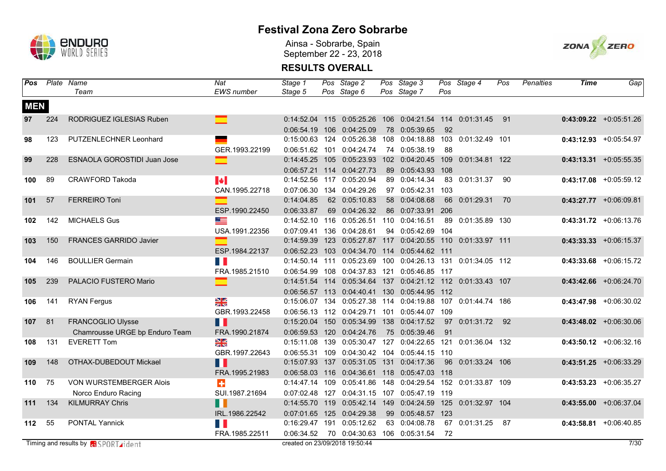

Ainsa - Sobrarbe, Spain September 22 - 23, 2018



| Pos        |     | Plate Name                                  | Nat                      | Stage 1                        | Pos Stage 2                                                        | Pos Stage 3       |     | Pos Stage 4        | Pos | <b>Penalties</b> | Time | Gap                        |
|------------|-----|---------------------------------------------|--------------------------|--------------------------------|--------------------------------------------------------------------|-------------------|-----|--------------------|-----|------------------|------|----------------------------|
|            |     | Team                                        | <b>EWS</b> number        | Stage 5                        | Pos Stage 6                                                        | Pos Stage 7       | Pos |                    |     |                  |      |                            |
| <b>MEN</b> |     |                                             |                          |                                |                                                                    |                   |     |                    |     |                  |      |                            |
| 97         | 224 | RODRIGUEZ IGLESIAS Ruben                    | $\equiv$                 |                                | 0:14:52.04 115 0:05:25.26 106 0:04:21.54 114 0:01:31.45 91         |                   |     |                    |     |                  |      | $0:43:09.22$ +0:05:51.26   |
|            |     |                                             |                          |                                | 0:06:54.19 106 0:04:25.09                                          | 78 0:05:39.65     | 92  |                    |     |                  |      |                            |
| 98         | 123 | PUTZENLECHNER Leonhard                      |                          |                                | 0:15:00.63 124 0:05:26.38 108 0:04:18.88 103 0:01:32.49 101        |                   |     |                    |     |                  |      | $0:43:12.93$ +0:05:54.97   |
|            |     |                                             | GER.1993.22199           |                                | 0:06:51.62 101 0:04:24.74                                          | 74 0:05:38.19     | 88  |                    |     |                  |      |                            |
| 99         | 228 | <b>ESNAOLA GOROSTIDI Juan Jose</b>          | ⊏                        | $0:14:45.25$ 105               | 0:05:23.93                                                         | 102 0:04:20.45    | 109 | 0:01:34.81 122     |     |                  |      | $0:43:13.31$ +0:05:55.35   |
|            |     |                                             |                          |                                | 0:06:57.21 114 0:04:27.73                                          | 89 0:05:43.93 108 |     |                    |     |                  |      |                            |
| 100        | 89  | <b>CRAWFORD Takoda</b>                      | $\left\  \cdot \right\ $ |                                | 0:14:52.56 117 0:05:20.94                                          | 89 0:04:14.34     |     | 83 0:01:31.37      | 90  |                  |      | $0:43:17.08$ +0:05:59.12   |
|            |     |                                             | CAN.1995.22718           |                                | 0:07:06.30 134 0:04:29.26                                          | 97 0:05:42.31     | 103 |                    |     |                  |      |                            |
| 101        | 57  | <b>FERREIRO Toni</b>                        | $\equiv$                 | 0:14:04.85                     | 62 0:05:10.83                                                      | 58 0:04:08.68     | 66  | 0:01:29.31         | 70  |                  |      | $0:43:27.77$ +0:06:09.81   |
|            |     |                                             | ESP.1990.22450           | 0:06:33.87                     | 69 0:04:26.32                                                      | 86 0:07:33.91     | 206 |                    |     |                  |      |                            |
| 102        | 142 | <b>MICHAELS Gus</b>                         | ZE S                     |                                | 0:14:52.10 116 0:05:26.51 110 0:04:16.51                           |                   | 89  | 0:01:35.89 130     |     |                  |      | $0:43:31.72$ +0:06:13.76   |
|            |     |                                             | USA.1991.22356           |                                | 0:07:09.41 136 0:04:28.61                                          | 94 0:05:42.69 104 |     |                    |     |                  |      |                            |
| 103        | 150 | FRANCES GARRIDO Javier                      | $\blacksquare$           | 0:14:59.39 123                 | 0:05:27.87 117 0:04:20.55 110 0:01:33.97 111                       |                   |     |                    |     |                  |      | $0:43:33.33$ $+0:06:15.37$ |
|            |     |                                             | ESP.1984.22137           |                                | 0:06:52.23 103 0:04:34.70 114 0:05:44.62 111                       |                   |     |                    |     |                  |      |                            |
| 104        | 146 | <b>BOULLIER Germain</b>                     |                          |                                | 0:14:50.14 111 0:05:23.69 100 0:04:26.13 131 0:01:34.05 112        |                   |     |                    |     |                  |      | $0:43:33.68$ +0:06:15.72   |
|            |     |                                             | FRA.1985.21510           |                                | 0:06:54.99  108  0:04:37.83  121  0:05:46.85  117                  |                   |     |                    |     |                  |      |                            |
| 105        | 239 | PALACIO FUSTERO Mario                       |                          |                                | 0:14:51.54 114 0:05:34.64 137 0:04:21.12 112 0:01:33.43 107        |                   |     |                    |     |                  |      | $0:43:42.66$ +0:06:24.70   |
|            |     |                                             |                          |                                | 0:06:56.57 113 0:04:40.41 130 0:05:44.95 112                       |                   |     |                    |     |                  |      |                            |
| 106        | 141 | <b>RYAN Fergus</b>                          | $\frac{N}{2}$            |                                | 0:15:06.07  134  0:05:27.38  114  0:04:19.88  107  0:01:44.74  186 |                   |     |                    |     |                  |      | $0:43:47.98$ +0:06:30.02   |
|            |     |                                             | GBR.1993.22458           |                                | 0:06:56.13  112  0:04:29.71  101  0:05:44.07  109                  |                   |     |                    |     |                  |      |                            |
| 107        | 81  | FRANCOGLIO Ulysse                           | Ш                        |                                | 0:15:20.04 150 0:05:34.99 138 0:04:17.52                           |                   |     | 97 0:01:31.72 92   |     |                  |      | $0:43:48.02 +0:06:30.06$   |
|            |     | Chamrousse URGE bp Enduro Team              | FRA.1990.21874           |                                | 0:06:59.53 120 0:04:24.76                                          | 75 0:05:39.46     | 91  |                    |     |                  |      |                            |
| 108        | 131 | <b>EVERETT Tom</b>                          | $\frac{1}{2}$            |                                | 0:15:11.08  139  0:05:30.47  127  0:04:22.65  121                  |                   |     | 0:01:36.04 132     |     |                  |      | $0:43:50.12$ +0:06:32.16   |
|            |     |                                             | GBR.1997.22643           |                                | 0:06:55.31  109  0:04:30.42  104  0:05:44.15  110                  |                   |     |                    |     |                  |      |                            |
| 109        | 148 | OTHAX-DUBEDOUT Mickael                      | N T                      |                                | 0:15:07.93  137  0:05:31.05  131  0:04:17.36                       |                   | 96  | 0:01:33.24 106     |     |                  |      | $0:43:51.25$ +0:06:33.29   |
|            |     |                                             | FRA.1995.21983           |                                | 0:06:58.03  116  0:04:36.61  118  0:05:47.03  118                  |                   |     |                    |     |                  |      |                            |
| 110        | 75  | <b>VON WURSTEMBERGER Alois</b>              | $\ddot{\textbf{r}}$      |                                | 0:14:47.14 109 0:05:41.86 148 0:04:29.54                           |                   |     | 152 0:01:33.87 109 |     |                  |      | $0:43:53.23 + 0:06:35.27$  |
|            |     | Norco Enduro Racing                         | SUI.1987.21694           |                                | 0:07:02.48 127 0:04:31.15 107 0:05:47.19 119                       |                   |     |                    |     |                  |      |                            |
| 111        | 134 | <b>KILMURRAY Chris</b>                      | П                        |                                | 0:14:55.70 119 0:05:42.14 149 0:04:24.59 125                       |                   |     | 0:01:32.97 104     |     |                  |      | $0:43:55.00$ +0:06:37.04   |
|            |     |                                             | IRL.1986.22542           |                                | 0:07:01.65 125 0:04:29.38                                          | 99 0:05:48.57 123 |     |                    |     |                  |      |                            |
| 112        | 55  | <b>PONTAL Yannick</b>                       |                          |                                | 0:16:29.47 191 0:05:12.62                                          | 63 0:04:08.78     |     | 67 0:01:31.25 87   |     |                  |      | $0:43:58.81$ +0:06:40.85   |
|            |     |                                             | FRA.1985.22511           | 0:06:34.52                     | 70 0:04:30.63                                                      | 106 0:05:31.54    | 72  |                    |     |                  |      |                            |
|            |     | Timing and results by <b>a</b> SPORT rident |                          | created on 23/09/2018 19:50:44 |                                                                    |                   |     |                    |     |                  |      | 7/30                       |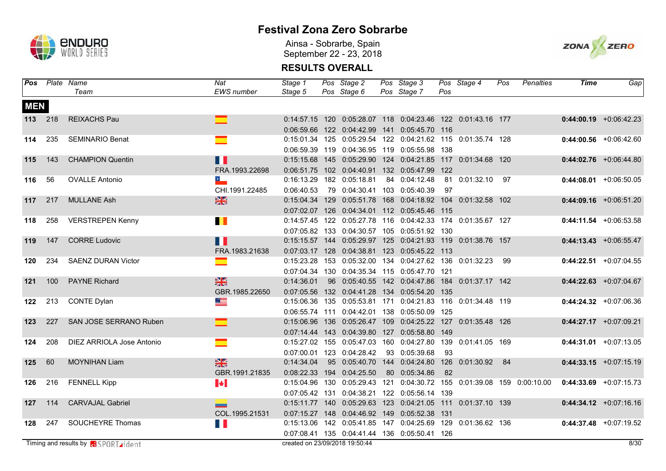

Ainsa - Sobrarbe, Spain September 22 - 23, 2018



| Pos        |         | Plate Name                                 | Nat                      | Stage 1                        | Pos Stage 2                                                        | Pos Stage 3   |     | Pos Stage 4      | Pos | <b>Penalties</b>                                        | <b>Time</b> | Gap                      |
|------------|---------|--------------------------------------------|--------------------------|--------------------------------|--------------------------------------------------------------------|---------------|-----|------------------|-----|---------------------------------------------------------|-------------|--------------------------|
|            |         | Team                                       | <b>EWS</b> number        | Stage 5                        | Pos Stage 6                                                        | Pos Stage 7   | Pos |                  |     |                                                         |             |                          |
| <b>MEN</b> |         |                                            |                          |                                |                                                                    |               |     |                  |     |                                                         |             |                          |
|            | 113 218 | <b>REIXACHS Pau</b>                        |                          |                                | 0:14:57.15 120 0:05:28.07 118 0:04:23.46 122 0:01:43.16 177        |               |     |                  |     |                                                         |             | $0:44:00.19$ +0:06:42.23 |
|            |         |                                            |                          |                                | 0:06:59.66 122 0:04:42.99 141 0:05:45.70 116                       |               |     |                  |     |                                                         |             |                          |
| 114        | 235     | <b>SEMINARIO Benat</b>                     | ▅                        |                                | 0:15:01.34 125 0:05:29.54 122 0:04:21.62 115 0:01:35.74 128        |               |     |                  |     |                                                         |             | $0:44:00.56$ +0:06:42.60 |
|            |         |                                            |                          |                                | 0:06:59.39  119  0:04:36.95  119  0:05:55.98  138                  |               |     |                  |     |                                                         |             |                          |
| 115        | 143     | <b>CHAMPION Quentin</b>                    | П                        |                                | 0:15:15.68  145  0:05:29.90  124  0:04:21.85  117  0:01:34.68  120 |               |     |                  |     |                                                         |             | $0:44:02.76$ +0:06:44.80 |
|            |         |                                            | FRA.1993.22698           |                                | 0:06:51.75 102 0:04:40.91 132 0:05:47.99 122                       |               |     |                  |     |                                                         |             |                          |
| 116        | 56      | <b>OVALLE Antonio</b>                      | $\overline{\phantom{a}}$ |                                | 0:16:13.29 182 0:05:18.81                                          | 84 0:04:12.48 |     | 81 0:01:32.10 97 |     |                                                         |             | $0:44:08.01$ +0:06:50.05 |
|            |         |                                            | CHI.1991.22485           | 0:06:40.53                     | 79 0:04:30.41 103 0:05:40.39                                       |               | 97  |                  |     |                                                         |             |                          |
| 117        | 217     | <b>MULLANE Ash</b>                         | $\frac{N}{2}$            |                                | 0:15:04.34 129 0:05:51.78 168 0:04:18.92 104                       |               |     | 0:01:32.58 102   |     |                                                         |             | $0:44:09.16$ +0:06:51.20 |
|            |         |                                            |                          |                                | 0:07:02.07 126 0:04:34.01 112 0:05:45.46 115                       |               |     |                  |     |                                                         |             |                          |
| 118        | 258     | <b>VERSTREPEN Kenny</b>                    | $\blacksquare$           |                                | 0:14:57.45 122 0:05:27.78 116 0:04:42.33 174 0:01:35.67 127        |               |     |                  |     |                                                         |             | $0:44:11.54$ +0:06:53.58 |
|            |         |                                            |                          |                                | 0:07:05.82 133 0:04:30.57 105 0:05:51.92 130                       |               |     |                  |     |                                                         |             |                          |
| 119        | 147     | <b>CORRE Ludovic</b>                       | M                        |                                | 0:15:15.57  144  0:05:29.97  125  0:04:21.93  119  0:01:38.76  157 |               |     |                  |     |                                                         |             | $0:44:13.43$ +0:06:55.47 |
|            |         |                                            | FRA.1983.21638           |                                | 0:07:03.17 128 0:04:38.81 123 0:05:45.22 113                       |               |     |                  |     |                                                         |             |                          |
| 120        | 234     | <b>SAENZ DURAN Victor</b>                  | ▅                        |                                | 0:15:23.28  153  0:05:32.00  134  0:04:27.62  136  0:01:32.23  99  |               |     |                  |     |                                                         |             | $0:44:22.51$ +0:07:04.55 |
|            |         |                                            |                          |                                | 0:07:04.34 130 0:04:35.34 115 0:05:47.70 121                       |               |     |                  |     |                                                         |             |                          |
| $121$      | 100     | <b>PAYNE Richard</b>                       | $\frac{N}{2}$            | 0:14:36.01                     | 96  0:05:40.55  142  0:04:47.86  184  0:01:37.17  142              |               |     |                  |     |                                                         |             | $0:44:22.63$ +0:07:04.67 |
|            |         |                                            | GBR.1985.22650           |                                | 0:07:05.56 132 0:04:41.28 134 0:05:54.20 135                       |               |     |                  |     |                                                         |             |                          |
| 122        | 213     | <b>CONTE Dylan</b>                         | <u>as a</u>              |                                | 0:15:06.36  135  0:05:53.81  171  0:04:21.83  116  0:01:34.48  119 |               |     |                  |     |                                                         |             | $0:44:24.32$ +0:07:06.36 |
|            |         |                                            |                          |                                | 0:06:55.74 111 0:04:42.01 138 0:05:50.09 125                       |               |     |                  |     |                                                         |             |                          |
| 123        | 227     | SAN JOSE SERRANO Ruben                     |                          |                                | 0:15:06.96  136  0:05:26.47  109  0:04:25.22  127  0:01:35.48  126 |               |     |                  |     |                                                         |             | $0:44:27.17$ +0:07:09.21 |
|            |         |                                            |                          |                                | 0:07:14.44  143  0:04:39.80  127  0:05:58.80  149                  |               |     |                  |     |                                                         |             |                          |
| 124        | 208     | DIEZ ARRIOLA Jose Antonio                  | $\mathcal{L}$            |                                | 0:15:27.02  155  0:05:47.03  160  0:04:27.80  139  0:01:41.05  169 |               |     |                  |     |                                                         |             | $0:44:31.01$ +0:07:13.05 |
|            |         |                                            |                          |                                | 0:07:00.01 123 0:04:28.42                                          | 93 0:05:39.68 | 93  |                  |     |                                                         |             |                          |
| 125        | 60      | <b>MOYNIHAN Liam</b>                       | $\frac{N}{2}$            | 0:14:34.04                     | 95  0:05:40.70  144  0:04:24.80  126  0:01:30.92  84               |               |     |                  |     |                                                         |             | $0:44:33.15$ +0:07:15.19 |
|            |         |                                            | GBR.1991.21835           |                                | 0:08:22.33 194 0:04:25.50                                          | 80 0:05:34.86 | 82  |                  |     |                                                         |             |                          |
| 126        | 216     | <b>FENNELL Kipp</b>                        | $\blacktriangleright$    | 0:15:04.96 130                 |                                                                    |               |     |                  |     | 0:05:29.43 121 0:04:30.72 155 0:01:39.08 159 0:00:10.00 |             | $0:44:33.69$ +0:07:15.73 |
|            |         |                                            |                          |                                | 0:07:05.42 131 0:04:38.21 122 0:05:56.14 139                       |               |     |                  |     |                                                         |             |                          |
| 127        | 114     | <b>CARVAJAL Gabriel</b>                    | --                       |                                | 0:15:11.77  140  0:05:29.63  123  0:04:21.05  111                  |               |     | 0:01:37.10 139   |     |                                                         |             | $0:44:34.12$ +0:07:16.16 |
|            |         |                                            | COL.1995.21531           |                                | 0:07:15.27  148  0:04:46.92  149  0:05:52.38  131                  |               |     |                  |     |                                                         |             |                          |
| 128        | 247     | <b>SOUCHEYRE Thomas</b>                    | H E                      |                                | 0:15:13.06  142  0:05:41.85  147  0:04:25.69  129  0:01:36.62  136 |               |     |                  |     |                                                         |             | $0:44:37.48$ +0:07:19.52 |
|            |         |                                            |                          |                                | 0:07:08.41  135  0:04:41.44  136  0:05:50.41  126                  |               |     |                  |     |                                                         |             |                          |
|            |         | Timing and results by <b>a</b> SPORT ident |                          | created on 23/09/2018 19:50:44 |                                                                    |               |     |                  |     |                                                         |             | 8/30                     |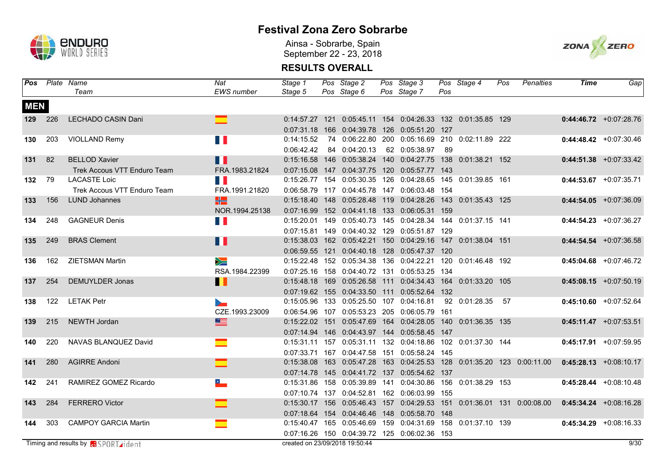

Ainsa - Sobrarbe, Spain September 22 - 23, 2018



| Pos        |     | Plate Name                                  | Nat                      | Stage 1                        | Pos Stage 2                                                        | Pos Stage 3                      |     | Pos Stage 4      | Pos | Penalties                                                                      | Time | Gap                                                                                           |
|------------|-----|---------------------------------------------|--------------------------|--------------------------------|--------------------------------------------------------------------|----------------------------------|-----|------------------|-----|--------------------------------------------------------------------------------|------|-----------------------------------------------------------------------------------------------|
|            |     | Team                                        | EWS number               | Stage 5                        | Pos Stage 6                                                        | Pos Stage 7                      | Pos |                  |     |                                                                                |      |                                                                                               |
| <b>MEN</b> |     |                                             |                          |                                |                                                                    |                                  |     |                  |     |                                                                                |      |                                                                                               |
| 129        | 226 | LECHADO CASIN Dani                          |                          |                                | 0:14:57.27 121 0:05:45.11 154 0:04:26.33 132 0:01:35.85 129        |                                  |     |                  |     |                                                                                |      | $0:44:46.72$ +0:07:28.76                                                                      |
|            |     |                                             |                          |                                | 0:07:31.18  166  0:04:39.78  126  0:05:51.20  127                  |                                  |     |                  |     |                                                                                |      |                                                                                               |
| 130        | 203 | <b>VIOLLAND Remy</b>                        | H H                      | 0:14:15.52                     | 74  0:06:22.80  200  0:05:16.69  210  0:02:11.89  222              |                                  |     |                  |     |                                                                                |      | $0:44:48.42 +0:07:30.46$                                                                      |
|            |     |                                             |                          | 0:06:42.42                     | 84 0:04:20.13                                                      | 62 0:05:38.97                    | -89 |                  |     |                                                                                |      |                                                                                               |
| 131        | 82  | <b>BELLOD Xavier</b>                        | $\blacksquare$           |                                | 0:15:16.58  146  0:05:38.24  140  0:04:27.75  138  0:01:38.21  152 |                                  |     |                  |     |                                                                                |      | $0:44:51.38$ +0:07:33.42                                                                      |
|            |     | Trek Accous VTT Enduro Team                 | FRA.1983.21824           |                                | 0:07:15.08  147  0:04:37.75  120  0:05:57.77  143                  |                                  |     |                  |     |                                                                                |      |                                                                                               |
| 132        | 79  | <b>LACASTE Loic</b>                         | W                        |                                | 0:15:26.77 154 0:05:30.35 126 0:04:28.65 145                       |                                  |     | 0:01:39.85 161   |     |                                                                                |      | $0:44:53.67$ +0:07:35.71                                                                      |
|            |     | Trek Accous VTT Enduro Team                 | FRA.1991.21820           |                                | 0:06:58.79  117  0:04:45.78  147  0:06:03.48  154                  |                                  |     |                  |     |                                                                                |      |                                                                                               |
| 133        | 156 | <b>LUND Johannes</b>                        | HZ                       |                                | 0:15:18.40  148  0:05:28.48  119  0:04:28.26  143  0:01:35.43  125 |                                  |     |                  |     |                                                                                |      | $0:44:54.05$ +0:07:36.09                                                                      |
|            |     |                                             | NOR.1994.25138           |                                | 0:07:16.99 152 0:04:41.18 133 0:06:05.31 159                       |                                  |     |                  |     |                                                                                |      |                                                                                               |
| 134        | 248 | <b>GAGNEUR Denis</b>                        | H.                       |                                | 0:15:20.01  149  0:05:40.73  145  0:04:28.34  144                  |                                  |     | 0:01:37.15 141   |     |                                                                                |      | $0:44:54.23$ +0:07:36.27                                                                      |
|            |     |                                             |                          |                                | 0:07:15.81  149  0:04:40.32  129  0:05:51.87  129                  |                                  |     |                  |     |                                                                                |      |                                                                                               |
| 135        | 249 | <b>BRAS Clement</b>                         | Ш                        |                                | 0:15:38.03  162  0:05:42.21  150  0:04:29.16  147  0:01:38.04  151 |                                  |     |                  |     |                                                                                |      | $0:44:54.54$ +0:07:36.58                                                                      |
|            |     |                                             |                          |                                | 0:06:59.55 121 0:04:40.18 128 0:05:47.37 120                       |                                  |     |                  |     |                                                                                |      |                                                                                               |
| 136        | 162 | <b>ZIETSMAN Martin</b>                      | $\geqslant$              |                                | 0:15:22.48 152 0:05:34.38 136 0:04:22.21 120 0:01:46.48 192        |                                  |     |                  |     |                                                                                |      | $0:45:04.68$ +0:07:46.72                                                                      |
|            |     |                                             | RSA.1984.22399           |                                | 0:07:25.16  158  0:04:40.72  131  0:05:53.25  134                  |                                  |     |                  |     |                                                                                |      |                                                                                               |
| 137        | 254 | <b>DEMUYLDER Jonas</b>                      | П                        |                                | 0:15:48.18  169  0:05:26.58  111  0:04:34.43  164  0:01:33.20  105 |                                  |     |                  |     |                                                                                |      | $0:45:08.15$ +0:07:50.19                                                                      |
|            |     |                                             |                          |                                | 0:07:19.62 155 0:04:33.50 111 0:05:52.64 132                       |                                  |     |                  |     |                                                                                |      |                                                                                               |
| 138        | 122 | <b>LETAK Petr</b>                           |                          |                                | 0:15:05.96  133  0:05:25.50  107  0:04:16.81                       |                                  |     | 92 0:01:28.35 57 |     |                                                                                |      | $0:45:10.60$ +0:07:52.64                                                                      |
|            |     |                                             | CZE.1993.23009           |                                | 0:06:54.96 107 0:05:53.23 205 0:06:05.79 161                       |                                  |     |                  |     |                                                                                |      |                                                                                               |
| 139        | 215 | NEWTH Jordan                                | $\equiv$                 | $0:15:22.02$ 151               |                                                                    | 0:05:47.69  164  0:04:28.05  140 |     | 0:01:36.35 135   |     |                                                                                |      | $0:45:11.47$ +0:07:53.51                                                                      |
|            |     |                                             |                          |                                | 0:07:14.94  146  0:04:43.97  144  0:05:58.45  147                  |                                  |     |                  |     |                                                                                |      |                                                                                               |
| 140        | 220 | NAVAS BLANQUEZ David                        | $\blacksquare$           |                                | 0:15:31.11  157  0:05:31.11  132  0:04:18.86  102  0:01:37.30  144 |                                  |     |                  |     |                                                                                |      | $0:45:17.91$ +0:07:59.95                                                                      |
|            |     |                                             |                          |                                | 0:07:33.71 167 0:04:47.58 151 0:05:58.24 145                       |                                  |     |                  |     |                                                                                |      |                                                                                               |
| 141        | 280 | <b>AGIRRE Andoni</b>                        | $\equiv$                 |                                |                                                                    |                                  |     |                  |     |                                                                                |      | 0:15:38.08 163 0:05:47.28 163 0:04:25.53 128 0:01:35.20 123 0:00:11.00 0:45:28.13 +0:08:10.17 |
|            |     |                                             |                          |                                | 0:07:14.78  145  0:04:41.72  137  0:05:54.62  137                  |                                  |     |                  |     |                                                                                |      |                                                                                               |
| 142        | 241 | RAMIREZ GOMEZ Ricardo                       | $\overline{\phantom{a}}$ |                                | 0:15:31.86  158  0:05:39.89  141                                   | 0:04:30.86 156                   |     | 0:01:38.29 153   |     |                                                                                |      | $0:45:28.44 + 0:08:10.48$                                                                     |
|            |     |                                             |                          |                                | 0:07:10.74 137 0:04:52.81 162 0:06:03.99 155                       |                                  |     |                  |     |                                                                                |      |                                                                                               |
| 143        | 284 | <b>FERRERO Victor</b>                       |                          |                                |                                                                    |                                  |     |                  |     | 0:15:30.17  156  0:05:46.43  157  0:04:29.53  151  0:01:36.01  131  0:00:08.00 |      | $0:45:34.24 +0:08:16.28$                                                                      |
|            |     |                                             |                          |                                | 0:07:18.64  154  0:04:46.46  148  0:05:58.70  148                  |                                  |     |                  |     |                                                                                |      |                                                                                               |
| 144        | 303 | <b>CAMPOY GARCIA Martin</b>                 |                          |                                | 0:15:40.47  165  0:05:46.69  159  0:04:31.69  158  0:01:37.10  139 |                                  |     |                  |     |                                                                                |      | $0:45:34.29$ +0:08:16.33                                                                      |
|            |     |                                             |                          |                                | 0:07:16.26 150 0:04:39.72 125 0:06:02.36 153                       |                                  |     |                  |     |                                                                                |      |                                                                                               |
|            |     | Timing and results by <b>a</b> SPORT rident |                          | created on 23/09/2018 19:50:44 |                                                                    |                                  |     |                  |     |                                                                                |      | 9/30                                                                                          |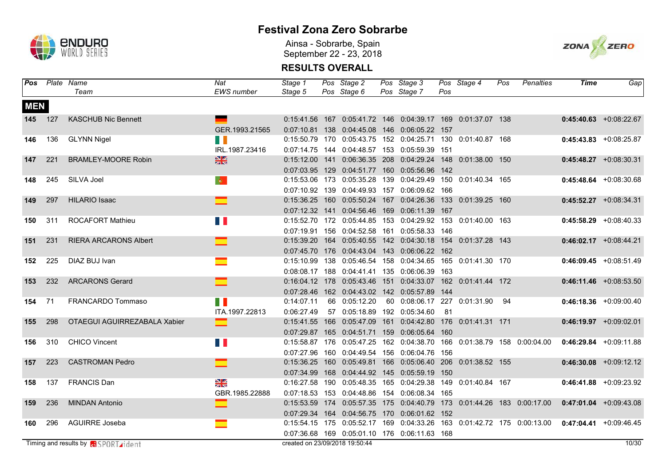

Ainsa - Sobrarbe, Spain September 22 - 23, 2018



| <b>Pos</b> |         | Plate Name                                  | Nat                            | Stage 1                        | Pos Stage 2                                                        | Pos Stage 3                                       |     | Pos Stage 4                   | Pos | Penalties                                                                                     | <b>Time</b> | Gap                       |
|------------|---------|---------------------------------------------|--------------------------------|--------------------------------|--------------------------------------------------------------------|---------------------------------------------------|-----|-------------------------------|-----|-----------------------------------------------------------------------------------------------|-------------|---------------------------|
|            |         | Team                                        | <b>EWS</b> number              | Stage 5                        | Pos Stage 6                                                        | Pos Stage 7                                       | Pos |                               |     |                                                                                               |             |                           |
| <b>MEN</b> |         |                                             |                                |                                |                                                                    |                                                   |     |                               |     |                                                                                               |             |                           |
|            | 145 127 | <b>KASCHUB Nic Bennett</b>                  |                                |                                | 0:15:41.56  167  0:05:41.72  146  0:04:39.17  169  0:01:37.07  138 |                                                   |     |                               |     |                                                                                               |             | $0:45:40.63$ +0:08:22.67  |
|            |         |                                             | GER.1993.21565                 |                                | 0:07:10.81  138  0:04:45.08  146  0:06:05.22  157                  |                                                   |     |                               |     |                                                                                               |             |                           |
| 146        | 136     | <b>GLYNN Nigel</b>                          | <b>TERR</b>                    |                                | 0:15:50.79 170 0:05:43.75 152 0:04:25.71 130 0:01:40.87 168        |                                                   |     |                               |     |                                                                                               |             | $0:45:43.83$ +0:08:25.87  |
|            |         |                                             | IRL.1987.23416                 |                                | 0:07:14.75  144  0:04:48.57  153  0:05:59.39  151                  |                                                   |     |                               |     |                                                                                               |             |                           |
| 147        | 221     | <b>BRAMLEY-MOORE Robin</b>                  | $\frac{N}{2}$                  | $0:15:12.00$ 141               |                                                                    | 0:06:36.35 208 0:04:29.24 148 0:01:38.00 150      |     |                               |     |                                                                                               |             | $0:45:48.27$ +0:08:30.31  |
|            |         |                                             |                                |                                | 0:07:03.95 129 0:04:51.77 160 0:05:56.96 142                       |                                                   |     |                               |     |                                                                                               |             |                           |
| 148        | 245     | SILVA Joel                                  | $\langle \mathbf{Q} \rangle$ . |                                | 0:15:53.06 173 0:05:35.28 139 0:04:29.49 150 0:01:40.34 165        |                                                   |     |                               |     |                                                                                               |             | $0:45:48.64$ +0:08:30.68  |
|            |         |                                             |                                |                                | 0:07:10.92 139 0:04:49.93 157 0:06:09.62 166                       |                                                   |     |                               |     |                                                                                               |             |                           |
| 149        | 297     | <b>HILARIO Isaac</b>                        |                                |                                | 0:15:36.25  160  0:05:50.24  167  0:04:26.36  133  0:01:39.25  160 |                                                   |     |                               |     |                                                                                               |             | $0:45:52.27$ +0:08:34.31  |
|            |         |                                             |                                |                                | 0:07:12.32 141 0:04:56.46 169 0:06:11.39 167                       |                                                   |     |                               |     |                                                                                               |             |                           |
| 150        | 311     | <b>ROCAFORT Mathieu</b>                     |                                |                                | 0:15:52.70 172 0:05:44.85 153 0:04:29.92 153 0:01:40.00 163        |                                                   |     |                               |     |                                                                                               |             | $0:45:58.29$ +0:08:40.33  |
|            |         |                                             |                                |                                | 0:07:19.91  156  0:04:52.58  161  0:05:58.33  146                  |                                                   |     |                               |     |                                                                                               |             |                           |
| 151        | 231     | <b>RIERA ARCARONS Albert</b>                |                                |                                | 0:15:39.20 164 0:05:40.55 142 0:04:30.18 154 0:01:37.28 143        |                                                   |     |                               |     |                                                                                               |             | $0:46:02.17$ +0:08:44.21  |
|            |         |                                             |                                |                                | 0:07:45.70 176 0:04:43.04 143 0:06:06.22 162                       |                                                   |     |                               |     |                                                                                               |             |                           |
| 152        | 225     | DIAZ BUJ Ivan                               | $\mathcal{L}(\mathcal{A})$     |                                | 0:15:10.99  138  0:05:46.54  158  0:04:34.65  165  0:01:41.30  170 |                                                   |     |                               |     |                                                                                               |             | $0:46:09.45 + 0:08:51.49$ |
|            |         |                                             |                                |                                | 0:08:08.17 188 0:04:41.41 135 0:06:06.39 163                       |                                                   |     |                               |     |                                                                                               |             |                           |
| 153        | 232     | <b>ARCARONS Gerard</b>                      | ᆖ                              |                                | 0:16:04.12 178 0:05:43.46 151 0:04:33.07 162 0:01:41.44 172        |                                                   |     |                               |     |                                                                                               |             | $0:46:11.46$ +0:08:53.50  |
|            |         |                                             |                                |                                | 0:07:28.46  162  0:04:43.02  142  0:05:57.89  144                  |                                                   |     |                               |     |                                                                                               |             |                           |
| 154        | 71      | FRANCARDO Tommaso                           | <b>TIME</b>                    | 0:14:07.11                     | 66 0:05:12.20                                                      | 60  0:08:06.17  227  0:01:31.90  94               |     |                               |     |                                                                                               |             | $0:46:18.36$ +0:09:00.40  |
|            |         |                                             | ITA.1997.22813                 | 0:06:27.49                     | 57 0:05:18.89 192 0:05:34.60                                       |                                                   | -81 |                               |     |                                                                                               |             |                           |
| 155        | 298     | OTAEGUI AGUIRREZABALA Xabier                | œ                              |                                | 0:15:41.55 166 0:05:47.09 161                                      |                                                   |     | 0:04:42.80 176 0:01:41.31 171 |     |                                                                                               |             | $0:46:19.97$ +0:09:02.01  |
|            |         |                                             |                                |                                | 0:07:29.87  165  0:04:51.71  159  0:06:05.64  160                  |                                                   |     |                               |     |                                                                                               |             |                           |
| 156        | 310     | <b>CHICO Vincent</b>                        | n T                            |                                |                                                                    |                                                   |     |                               |     | 0:15:58.87 176 0:05:47.25 162 0:04:38.70 166 0:01:38.79 158 0:00:04.00                        |             | $0:46:29.84$ +0:09:11.88  |
|            |         |                                             |                                |                                | 0:07:27.96 160 0:04:49.54 156 0:06:04.76 156                       |                                                   |     |                               |     |                                                                                               |             |                           |
| 157        | 223     | <b>CASTROMAN Pedro</b>                      | ⊏                              |                                | 0:15:36.25 160 0:05:49.81 166 0:05:06.40 206 0:01:38.52 155        |                                                   |     |                               |     |                                                                                               |             | $0:46:30.08$ +0:09:12.12  |
|            |         |                                             |                                | 0:07:34.99 168                 |                                                                    | 0:04:44.92  145  0:05:59.19  150                  |     |                               |     |                                                                                               |             |                           |
| 158        | 137     | <b>FRANCIS Dan</b>                          | $\frac{N}{2}$                  | 0:16:27.58 190                 |                                                                    | 0:05:48.35  165  0:04:29.38  149  0:01:40.84  167 |     |                               |     |                                                                                               |             | $0:46:41.88$ +0:09:23.92  |
|            |         |                                             | GBR.1985.22888                 |                                | 0:07:18.53  153  0:04:48.86  154  0:06:08.34  165                  |                                                   |     |                               |     |                                                                                               |             |                           |
| 159        | 236     | <b>MINDAN Antonio</b>                       |                                |                                |                                                                    |                                                   |     |                               |     | 0:15:53.59 174 0:05:57.35 175 0:04:40.79 173 0:01:44.26 183 0:00:17.00                        |             | $0:47:01.04$ +0:09:43.08  |
|            |         |                                             |                                |                                | 0:07:29.34 164 0:04:56.75 170 0:06:01.62 152                       |                                                   |     |                               |     |                                                                                               |             |                           |
| 160        | 296     | <b>AGUIRRE Joseba</b>                       |                                |                                |                                                                    |                                                   |     |                               |     | 0:15:54.15 175 0:05:52.17 169 0:04:33.26 163 0:01:42.72 175 0:00:13.00 0:47:04.41 +0:09:46.45 |             |                           |
|            |         |                                             |                                |                                | 0:07:36.68 169 0:05:01.10 176 0:06:11.63 168                       |                                                   |     |                               |     |                                                                                               |             |                           |
|            |         | Timing and results by <b>RISPORT rident</b> |                                | created on 23/09/2018 19:50:44 |                                                                    |                                                   |     |                               |     |                                                                                               |             | 10/30                     |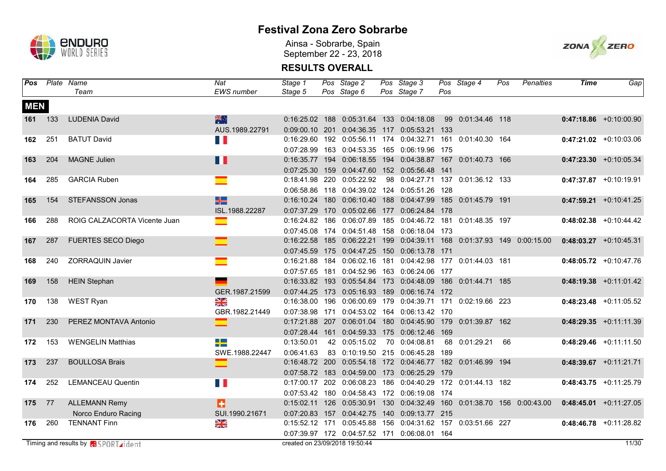

Ainsa - Sobrarbe, Spain September 22 - 23, 2018



| Pos        |         | Plate Name                                   | Nat                          | Stage 1                        | Pos Stage 2                                                        | Pos Stage 3                                  |     | Pos Stage 4        | Pos | Penalties                                                              | <b>Time</b> | Gap                       |
|------------|---------|----------------------------------------------|------------------------------|--------------------------------|--------------------------------------------------------------------|----------------------------------------------|-----|--------------------|-----|------------------------------------------------------------------------|-------------|---------------------------|
|            |         | Team                                         | <b>EWS</b> number            | Stage 5                        | Pos Stage 6                                                        | Pos Stage 7                                  | Pos |                    |     |                                                                        |             |                           |
| <b>MEN</b> |         |                                              |                              |                                |                                                                    |                                              |     |                    |     |                                                                        |             |                           |
|            | 161 133 | <b>LUDENIA David</b>                         | 米心                           |                                | 0:16:25.02 188 0:05:31.64 133 0:04:18.08                           |                                              |     | 99 0:01:34.46 118  |     |                                                                        |             | $0:47:18.86$ +0:10:00.90  |
|            |         |                                              | AUS.1989.22791               |                                | 0:09:00.10 201 0:04:36.35 117 0:05:53.21 133                       |                                              |     |                    |     |                                                                        |             |                           |
| 162        | 251     | <b>BATUT David</b>                           | <b>TAN</b>                   |                                | 0:16:29.60 192 0:05:56.11 174 0:04:32.71 161 0:01:40.30 164        |                                              |     |                    |     |                                                                        |             | $0:47:21.02$ +0:10:03.06  |
|            |         |                                              |                              |                                | 0:07:28.99  163  0:04:53.35  165  0:06:19.96  175                  |                                              |     |                    |     |                                                                        |             |                           |
| 163        | 204     | <b>MAGNE Julien</b>                          | n a                          |                                | 0:16:35.77  194  0:06:18.55  194  0:04:38.87  167  0:01:40.73  166 |                                              |     |                    |     |                                                                        |             | $0:47:23.30 + 0:10:05.34$ |
|            |         |                                              |                              |                                | 0:07:25.30  159  0:04:47.60  152  0:05:56.48  141                  |                                              |     |                    |     |                                                                        |             |                           |
| 164        | 285     | <b>GARCIA Ruben</b>                          |                              |                                | 0:18:41.98 220 0:05:22.92                                          | 98 0:04:27.71 137 0:01:36.12 133             |     |                    |     |                                                                        |             | $0:47:37.87$ +0:10:19.91  |
|            |         |                                              |                              |                                | 0:06:58.86  118  0:04:39.02  124  0:05:51.26  128                  |                                              |     |                    |     |                                                                        |             |                           |
| 165        | 154     | <b>STEFANSSON Jonas</b>                      | H2                           |                                | 0:16:10.24 180 0:06:10.40 188 0:04:47.99                           |                                              |     | 185 0:01:45.79 191 |     |                                                                        |             | $0:47:59.21 + 0:10:41.25$ |
|            |         |                                              | ISL.1988.22287               |                                | 0:07:37.29 170 0:05:02.66 177 0:06:24.84 178                       |                                              |     |                    |     |                                                                        |             |                           |
| 166        | 288     | ROIG CALZACORTA Vicente Juan                 | e e                          |                                | 0:16:24.82 186 0:06:07.89 185 0:04:46.72 181 0:01:48.35 197        |                                              |     |                    |     |                                                                        |             | $0:48:02.38$ +0:10:44.42  |
|            |         |                                              |                              |                                | 0:07:45.08 174 0:04:51.48 158 0:06:18.04 173                       |                                              |     |                    |     |                                                                        |             |                           |
| 167        | 287     | <b>FUERTES SECO Diego</b>                    |                              |                                |                                                                    |                                              |     |                    |     | 0:16:22.58 185 0:06:22.21 199 0:04:39.11 168 0:01:37.93 149 0:00:15.00 |             | $0:48:03.27$ +0:10:45.31  |
|            |         |                                              |                              |                                | 0:07:45.59 175 0:04:47.25 150 0:06:13.78 171                       |                                              |     |                    |     |                                                                        |             |                           |
| 168        | 240     | <b>ZORRAQUIN Javier</b>                      |                              |                                | 0:16:21.88  184  0:06:02.16  181  0:04:42.98  177  0:01:44.03  181 |                                              |     |                    |     |                                                                        |             | $0:48:05.72$ +0:10:47.76  |
|            |         |                                              |                              |                                | 0:07:57.65 181 0:04:52.96 163 0:06:24.06 177                       |                                              |     |                    |     |                                                                        |             |                           |
| 169        | 158     | <b>HEIN Stephan</b>                          |                              |                                | 0:16:33.82  193  0:05:54.84  173  0:04:48.09  186  0:01:44.71  185 |                                              |     |                    |     |                                                                        |             | $0:48:19.38$ +0:11:01.42  |
|            |         |                                              | GER.1987.21599               |                                | 0:07:44.25 173 0:05:16.93 189 0:06:16.74 172                       |                                              |     |                    |     |                                                                        |             |                           |
| 170        | 138     | <b>WEST Ryan</b>                             | $\frac{8}{3}$                |                                | 0:16:38.00 196 0:06:00.69 179 0:04:39.71 171 0:02:19.66 223        |                                              |     |                    |     |                                                                        |             | $0:48:23.48$ +0:11:05.52  |
|            |         |                                              | GBR.1982.21449               |                                | 0:07:38.98 171 0:04:53.02 164 0:06:13.42 170                       |                                              |     |                    |     |                                                                        |             |                           |
| 171        | 230     | PEREZ MONTAVA Antonio                        |                              | 0:17:21.88 207                 |                                                                    | 0:06:01.04 180 0:04:45.90 179 0:01:39.87 162 |     |                    |     |                                                                        |             | $0:48:29.35 +0:11:11.39$  |
|            |         |                                              |                              | 0:07:28.44 161                 |                                                                    | 0:04:59.33 175 0:06:12.46 169                |     |                    |     |                                                                        |             |                           |
| 172        | 153     | <b>WENGELIN Matthias</b>                     | $\Box$ $\Box$<br><b>TIME</b> | 0:13:50.01                     | 42 0:05:15.02                                                      | 70 0:04:08.81                                |     | 68 0:01:29.21      | 66  |                                                                        |             | $0:48:29.46$ +0:11:11.50  |
|            |         |                                              | SWE.1988.22447               | 0:06:41.63                     | 83 0:10:19.50 215 0:06:45.28 189                                   |                                              |     |                    |     |                                                                        |             |                           |
| 173        | 237     | <b>BOULLOSA Brais</b>                        |                              |                                | 0:16:48.72 200 0:05:54.18 172 0:04:46.77 182 0:01:46.99 194        |                                              |     |                    |     |                                                                        |             | $0:48:39.67$ +0:11:21.71  |
|            |         |                                              |                              |                                | 0:07:58.72 183 0:04:59.00 173 0:06:25.29 179                       |                                              |     |                    |     |                                                                        |             |                           |
| 174        | 252     | <b>LEMANCEAU Quentin</b>                     | <b>TIME</b>                  |                                | 0:17:00.17 202 0:06:08.23 186 0:04:40.29 172 0:01:44.13 182        |                                              |     |                    |     |                                                                        |             | $0:48:43.75 +0:11:25.79$  |
|            |         |                                              |                              |                                | 0:07:53.42 180 0:04:58.43 172 0:06:19.08 174                       |                                              |     |                    |     |                                                                        |             |                           |
| 175        | 77      | <b>ALLEMANN Remy</b>                         | п                            |                                |                                                                    |                                              |     |                    |     | 0:15:02.11 126 0:05:30.91 130 0:04:32.49 160 0:01:38.70 156 0:00:43.00 |             | $0:48:45.01$ +0:11:27.05  |
|            |         | Norco Enduro Racing                          | SUI.1990.21671               |                                | 0:07:20.83 157 0:04:42.75 140 0:09:13.77 215                       |                                              |     |                    |     |                                                                        |             |                           |
| 176        | 260     | <b>TENNANT Finn</b>                          | $\frac{N}{N}$                |                                | 0:15:52.12 171 0:05:45.88 156 0:04:31.62 157 0:03:51.66 227        |                                              |     |                    |     |                                                                        |             | $0:48:46.78$ +0:11:28.82  |
|            |         |                                              |                              |                                | 0:07:39.97 172 0:04:57.52 171 0:06:08.01 164                       |                                              |     |                    |     |                                                                        |             |                           |
|            |         | Timing and results by <b>Ri</b> SPORT rident |                              | created on 23/09/2018 19:50:44 |                                                                    |                                              |     |                    |     |                                                                        |             | 11/30                     |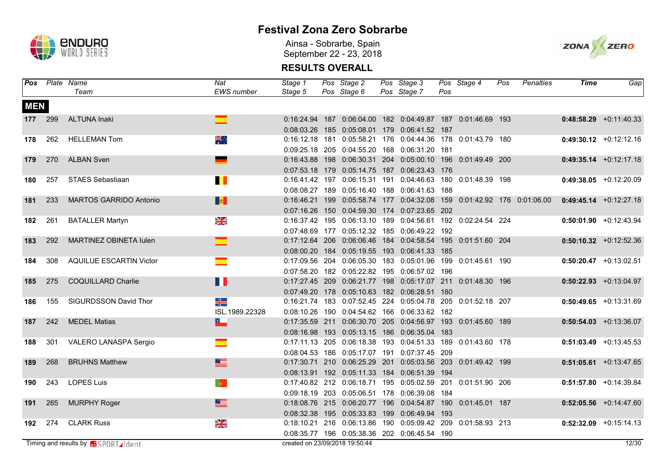

Ainsa - Sobrarbe, Spain September 22 - 23, 2018



| Pos        |         | Plate Name                                   | Nat               | Stage 1                        | Pos Stage 2                                                        | Pos Stage 3 |     | Pos Stage 4 | Pos | <b>Penalties</b>                                                       | <b>Time</b> | Gap                       |
|------------|---------|----------------------------------------------|-------------------|--------------------------------|--------------------------------------------------------------------|-------------|-----|-------------|-----|------------------------------------------------------------------------|-------------|---------------------------|
|            |         | Team                                         | <b>EWS</b> number | Stage 5                        | Pos Stage 6                                                        | Pos Stage 7 | Pos |             |     |                                                                        |             |                           |
| <b>MEN</b> |         |                                              |                   |                                |                                                                    |             |     |             |     |                                                                        |             |                           |
|            | 177 299 | <b>ALTUNA Inaki</b>                          |                   |                                | 0:16:24.94 187 0:06:04.00 182 0:04:49.87 187 0:01:46.69 193        |             |     |             |     |                                                                        |             | $0:48:58.29$ +0:11:40.33  |
|            |         |                                              |                   |                                | 0:08:03.26  185  0:05:08.01  179  0:06:41.52  187                  |             |     |             |     |                                                                        |             |                           |
| 178        | 262     | <b>HELLEMAN Tom</b>                          | ॠ॑॑               |                                | 0:16:12.18  181  0:05:58.21  176  0:04:44.36  178  0:01:43.79  180 |             |     |             |     |                                                                        |             | $0:49:30.12 +0:12:12.16$  |
|            |         |                                              |                   |                                | 0:09:25.18 205 0:04:55.20 168 0:06:31.20 181                       |             |     |             |     |                                                                        |             |                           |
| 179        | 270     | <b>ALBAN Sven</b>                            |                   |                                | 0:16:43.88 198 0:06:30.31 204 0:05:00.10 196 0:01:49.49 200        |             |     |             |     |                                                                        |             | $0:49:35.14$ +0:12:17.18  |
|            |         |                                              |                   |                                | 0:07:53.18 179 0:05:14.75 187 0:06:23.43 176                       |             |     |             |     |                                                                        |             |                           |
| 180        | 257     | <b>STAES Sebastiaan</b>                      | $\blacksquare$    |                                | 0:16:41.42 197 0:06:15.31 191 0:04:46.63 180 0:01:48.39 198        |             |     |             |     |                                                                        |             | $0:49:38.05$ +0:12:20.09  |
|            |         |                                              |                   |                                | 0:08:08.27 189 0:05:16.40 188 0:06:41.63 188                       |             |     |             |     |                                                                        |             |                           |
| 181        | 233     | <b>MARTOS GARRIDO Antonio</b>                | <b>De</b>         |                                |                                                                    |             |     |             |     | 0:16:46.21 199 0:05:58.74 177 0:04:32.08 159 0:01:42.92 176 0:01:06.00 |             | $0:49:45.14$ +0:12:27.18  |
|            |         |                                              |                   |                                | 0:07:16.26 150 0:04:59.30 174 0:07:23.65 202                       |             |     |             |     |                                                                        |             |                           |
| 182        | 261     | <b>BATALLER Martyn</b>                       | $\frac{8}{3}$     |                                | 0:16:37.42 195 0:06:13.10 189 0:04:56.61 192 0:02:24.54 224        |             |     |             |     |                                                                        |             | $0:50:01.90 +0:12:43.94$  |
|            |         |                                              |                   |                                | 0:07:48.69 177 0:05:12.32 185 0:06:49.22 192                       |             |     |             |     |                                                                        |             |                           |
| 183        | 292     | MARTINEZ OBINETA lulen                       |                   |                                | 0:17:12.64 206 0:06:06.46 184 0:04:58.54 195 0:01:51.60 204        |             |     |             |     |                                                                        |             | $0:50:10.32$ +0:12:52.36  |
|            |         |                                              |                   |                                | 0:08:00.20 184 0:05:19.55 193 0:06:41.33 185                       |             |     |             |     |                                                                        |             |                           |
| 184        | 308     | <b>AQUILUE ESCARTIN Victor</b>               | ▅                 |                                | 0:17:09.56 204 0:06:05.30 183 0:05:01.96 199 0:01:45.61 190        |             |     |             |     |                                                                        |             | $0:50:20.47$ +0:13:02.51  |
|            |         |                                              |                   |                                | 0:07:58.20 182 0:05:22.82 195 0:06:57.02 196                       |             |     |             |     |                                                                        |             |                           |
| 185        | 275     | COQUILLARD Charlie                           | H                 |                                | 0:17:27.45 209 0:06:21.77 198 0:05:17.07 211 0:01:48.30 196        |             |     |             |     |                                                                        |             | $0:50:22.93$ +0:13:04.97  |
|            |         |                                              |                   |                                | 0:07:49.20 178 0:05:10.63 182 0:06:28.51 180                       |             |     |             |     |                                                                        |             |                           |
| 186        | 155     | SIGURDSSON David Thor                        | ╪╧                |                                | 0:16:21.74 183 0:07:52.45 224 0:05:04.78 205 0:01:52.18 207        |             |     |             |     |                                                                        |             | $0:50:49.65$ +0:13:31.69  |
|            |         |                                              | ISL.1989.22328    |                                | 0:08:10.26 190 0:04:54.62 166 0:06:33.62 182                       |             |     |             |     |                                                                        |             |                           |
| 187        | 242     | <b>MEDEL Matias</b>                          | E.                |                                | 0:17:35.59 211 0:06:30.70 205 0:04:56.97 193 0:01:45.60 189        |             |     |             |     |                                                                        |             | $0:50:54.03 +0:13:36.07$  |
|            |         |                                              |                   |                                | 0:08:16.98  193  0:05:13.15  186  0:06:35.04  183                  |             |     |             |     |                                                                        |             |                           |
| 188        | 301     | VALERO LANASPA Sergio                        | <u>e a</u>        |                                | 0:17:11.13 205 0:06:18.38 193 0:04:51.33 189 0:01:43.60 178        |             |     |             |     |                                                                        |             | $0:51:03.49$ +0:13:45.53  |
|            |         |                                              |                   |                                | 0:08:04.53 186 0:05:17.07 191 0:07:37.45 209                       |             |     |             |     |                                                                        |             |                           |
| 189        | 268     | <b>BRUHNS Matthew</b>                        |                   |                                | 0:17:30.71 210 0:06:25.29 201 0:05:03.56 203 0:01:49.42 199        |             |     |             |     |                                                                        |             | $0:51:05.61$ +0:13:47.65  |
|            |         |                                              |                   |                                | 0:08:13.91  192  0:05:11.33  184  0:06:51.39  194                  |             |     |             |     |                                                                        |             |                           |
| 190        | 243     | <b>LOPES Luis</b>                            | $ \Phi\rangle$    |                                | 0:17:40.82 212 0:06:18.71 195 0:05:02.59 201 0:01:51.90 206        |             |     |             |     |                                                                        |             | $0:51:57.80 + 0:14:39.84$ |
|            |         |                                              |                   |                                | 0:09:18.19 203 0:05:06.51 178 0:06:39.08 184                       |             |     |             |     |                                                                        |             |                           |
| 191        | 265     | <b>MURPHY Roger</b>                          | $\equiv$          |                                | 0:18:08.76 215 0:06:20.77 196 0:04:54.87 190 0:01:45.01 187        |             |     |             |     |                                                                        |             | $0:52:05.56$ +0:14:47.60  |
|            |         |                                              |                   |                                | 0:08:32.38 195 0:05:33.83 199 0:06:49.94 193                       |             |     |             |     |                                                                        |             |                           |
| 192        | 274     | <b>CLARK Russ</b>                            | $\frac{1}{2}$     |                                | 0:18:10.21  216  0:06:13.86  190  0:05:09.42  209  0:01:58.93  213 |             |     |             |     |                                                                        |             | $0:52:32.09$ +0:15:14.13  |
|            |         |                                              |                   |                                | 0:08:35.77 196 0:05:38.36 202 0:06:45.54 190                       |             |     |             |     |                                                                        |             |                           |
|            |         | Timing and results by <b>Fi</b> SPORT rident |                   | created on 23/09/2018 19:50:44 |                                                                    |             |     |             |     |                                                                        |             | 12/30                     |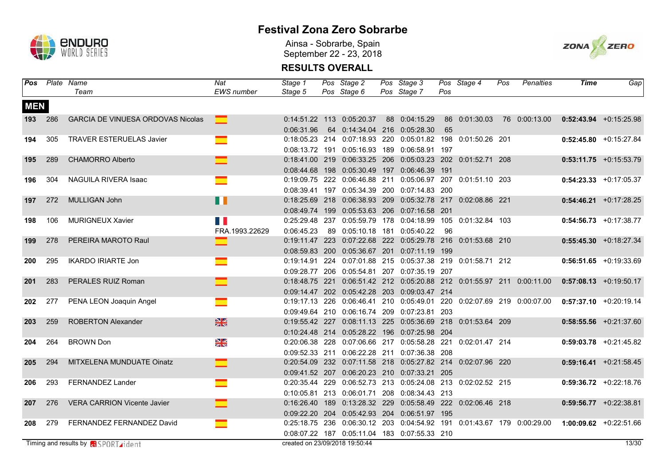

Ainsa - Sobrarbe, Spain September 22 - 23, 2018



| Pos        |     | Plate Name                                  | Nat               | Stage 1                        | Pos Stage 2                                                 | Pos Stage 3   |     | Pos Stage 4    | Pos | <b>Penalties</b>                                                       | <b>Time</b> | Gap                        |
|------------|-----|---------------------------------------------|-------------------|--------------------------------|-------------------------------------------------------------|---------------|-----|----------------|-----|------------------------------------------------------------------------|-------------|----------------------------|
|            |     | Team                                        | <b>EWS</b> number | Stage 5                        | Pos Stage 6                                                 | Pos Stage 7   | Pos |                |     |                                                                        |             |                            |
| <b>MEN</b> |     |                                             |                   |                                |                                                             |               |     |                |     |                                                                        |             |                            |
| 193        | 286 | <b>GARCIA DE VINUESA ORDOVAS Nicolas</b>    | $\Box$            |                                | 0:14:51.22 113 0:05:20.37                                   | 88 0:04:15.29 |     |                |     | 86  0:01:30.03  76  0:00:13.00                                         |             | $0:52:43.94$ +0:15:25.98   |
|            |     |                                             |                   | 0:06:31.96                     | 64 0:14:34.04 216 0:05:28.30                                |               | 65  |                |     |                                                                        |             |                            |
| 194        | 305 | <b>TRAVER ESTERUELAS Javier</b>             |                   |                                | 0:18:05.23 214 0:07:18.93 220 0:05:01.82 198 0:01:50.26 201 |               |     |                |     |                                                                        |             | $0:52:45.80 +0:15:27.84$   |
|            |     |                                             |                   |                                | 0:08:13.72 191 0:05:16.93 189 0:06:58.91 197                |               |     |                |     |                                                                        |             |                            |
| 195        | 289 | <b>CHAMORRO Alberto</b>                     |                   |                                | 0:18:41.00 219 0:06:33.25 206 0:05:03.23 202 0:01:52.71 208 |               |     |                |     |                                                                        |             | $0:53:11.75$ +0:15:53.79   |
|            |     |                                             |                   |                                | 0:08:44.68 198 0:05:30.49 197 0:06:46.39 191                |               |     |                |     |                                                                        |             |                            |
| 196        | 304 | NAGUILA RIVERA Isaac                        |                   |                                | 0:19:09.75 222 0:06:46.88 211 0:05:06.97 207 0:01:51.10 203 |               |     |                |     |                                                                        |             | $0:54:23.33$ +0:17:05.37   |
|            |     |                                             |                   |                                | 0:08:39.41 197 0:05:34.39 200 0:07:14.83 200                |               |     |                |     |                                                                        |             |                            |
| 197        | 272 | MULLIGAN John                               | Ш                 |                                | 0:18:25.69 218 0:06:38.93 209 0:05:32.78 217 0:02:08.86 221 |               |     |                |     |                                                                        |             | $0:54:46.21$ +0:17:28.25   |
|            |     |                                             |                   |                                | 0:08:49.74 199 0:05:53.63 206 0:07:16.58 201                |               |     |                |     |                                                                        |             |                            |
| 198        | 106 | <b>MURIGNEUX Xavier</b>                     | <b>Time</b>       |                                | 0:25:29.48 237 0:05:59.79 178 0:04:18.99 105 0:01:32.84 103 |               |     |                |     |                                                                        |             | $0:54:56.73$ +0:17:38.77   |
|            |     |                                             | FRA.1993.22629    | 0:06:45.23                     | 89 0:05:10.18 181 0:05:40.22                                |               | -96 |                |     |                                                                        |             |                            |
| 199        | 278 | PEREIRA MAROTO Raul                         |                   |                                | 0:19:11.47 223 0:07:22.68 222 0:05:29.78 216 0:01:53.68 210 |               |     |                |     |                                                                        |             | $0:55:45.30$ +0:18:27.34   |
|            |     |                                             |                   |                                | 0:08:59.83 200 0:05:36.67 201 0:07:11.19 199                |               |     |                |     |                                                                        |             |                            |
| 200        | 295 | <b>IKARDO IRIARTE Jon</b>                   |                   |                                | 0:19:14.91 224 0:07:01.88 215 0:05:37.38 219 0:01:58.71 212 |               |     |                |     |                                                                        |             | $0:56:51.65 + 0:19:33.69$  |
|            |     |                                             |                   |                                | 0:09:28.77 206 0:05:54.81 207 0:07:35.19 207                |               |     |                |     |                                                                        |             |                            |
| 201        | 283 | PERALES RUIZ Roman                          |                   |                                |                                                             |               |     |                |     | 0:18:48.75 221 0:06:51.42 212 0:05:20.88 212 0:01:55.97 211 0:00:11.00 |             | $0:57:08.13 + 0:19:50.17$  |
|            |     |                                             |                   |                                | 0:09:14.47 202 0:05:42.28 203 0:09:03.47 214                |               |     |                |     |                                                                        |             |                            |
| 202        | 277 | PENA LEON Joaquin Angel                     | $\blacksquare$    |                                |                                                             |               |     |                |     | 0:19:17.13 226 0:06:46.41 210 0:05:49.01 220 0:02:07.69 219 0:00:07.00 |             | $0:57:37.10$ +0:20:19.14   |
|            |     |                                             |                   |                                | 0:09:49.64 210 0:06:16.74 209 0:07:23.81 203                |               |     |                |     |                                                                        |             |                            |
| 203        | 259 | <b>ROBERTON Alexander</b>                   | $\frac{N}{N}$     |                                | 0:19:55.42 227 0:08:11.13 225 0:05:36.69 218 0:01:53.64 209 |               |     |                |     |                                                                        |             | $0:58:55.56$ +0:21:37.60   |
|            |     |                                             |                   |                                | 0:10:24.48 214 0:05:28.22 196 0:07:25.98 204                |               |     |                |     |                                                                        |             |                            |
| 204        | 264 | <b>BROWN Don</b>                            | N<br>N            |                                | 0:20:06.38 228 0:07:06.66 217 0:05:58.28 221                |               |     | 0:02:01.47 214 |     |                                                                        |             | $0:59:03.78$ +0:21:45.82   |
|            |     |                                             |                   |                                | 0:09:52.33 211 0:06:22.28 211 0:07:36.38 208                |               |     |                |     |                                                                        |             |                            |
| 205        | 294 | MITXELENA MUNDUATE Oinatz                   | $\equiv$          |                                | 0:20:54.09 232 0:07:11.58 218 0:05:27.82 214 0:02:07.96 220 |               |     |                |     |                                                                        |             | $0:59:16.41$ +0:21:58.45   |
|            |     |                                             |                   |                                | 0:09:41.52 207 0:06:20.23 210 0:07:33.21 205                |               |     |                |     |                                                                        |             |                            |
| 206        | 293 | FERNANDEZ Lander                            |                   |                                | 0:20:35.44 229 0:06:52.73 213 0:05:24.08 213 0:02:02.52 215 |               |     |                |     |                                                                        |             | $0:59:36.72$ +0:22:18.76   |
|            |     |                                             |                   |                                | 0:10:05.81 213 0:06:01.71 208 0:08:34.43 213                |               |     |                |     |                                                                        |             |                            |
| 207        | 276 | <b>VERA CARRION Vicente Javier</b>          |                   |                                | 0:16:26.40 189 0:13:28.32 229 0:05:58.49 222 0:02:06.46 218 |               |     |                |     |                                                                        |             | $0:59:56.77$ +0:22:38.81   |
|            |     |                                             |                   |                                | 0:09:22.20 204 0:05:42.93 204 0:06:51.97 195                |               |     |                |     |                                                                        |             |                            |
| 208        | 279 | FERNANDEZ FERNANDEZ David                   |                   |                                |                                                             |               |     |                |     | 0:25:18.75 236 0:06:30.12 203 0:04:54.92 191 0:01:43.67 179 0:00:29.00 |             | $1:00:09.62$ $+0:22:51.66$ |
|            |     |                                             |                   |                                | 0:08:07.22 187 0:05:11.04 183 0:07:55.33 210                |               |     |                |     |                                                                        |             |                            |
|            |     | Timing and results by <b>a</b> SPORT rident |                   | created on 23/09/2018 19:50:44 |                                                             |               |     |                |     |                                                                        |             | 13/30                      |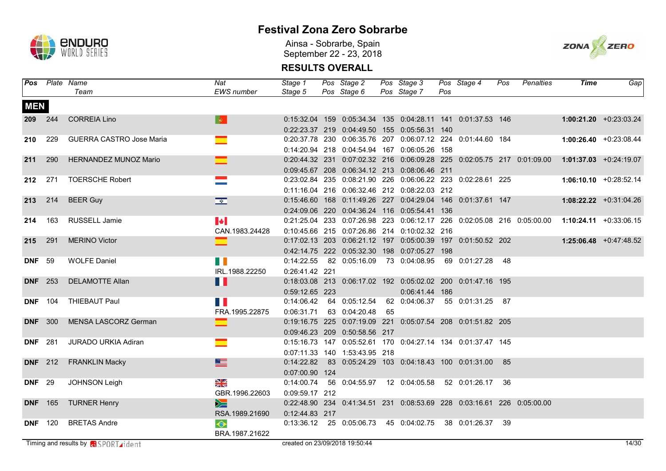

Ainsa - Sobrarbe, Spain September 22 - 23, 2018



|                |                | <b>Pos</b> Plate Name                       | Nat                            | Stage 1                        | Pos Stage 2                                                            | Pos Stage 3    |     | Pos Stage 4                    | Pos | Penalties                                                                                     | Time | Gap                                                                                           |
|----------------|----------------|---------------------------------------------|--------------------------------|--------------------------------|------------------------------------------------------------------------|----------------|-----|--------------------------------|-----|-----------------------------------------------------------------------------------------------|------|-----------------------------------------------------------------------------------------------|
|                |                | Team                                        | <b>EWS</b> number              | Stage 5                        | Pos Stage 6                                                            | Pos Stage 7    | Pos |                                |     |                                                                                               |      |                                                                                               |
| <b>MEN</b>     |                |                                             |                                |                                |                                                                        |                |     |                                |     |                                                                                               |      |                                                                                               |
|                | 209 244        | <b>CORREIA Lino</b>                         | $\langle \mathbf{Q} \rangle$ . |                                |                                                                        |                |     |                                |     | 0:15:32.04 159 0:05:34.34 135 0:04:28.11 141 0:01:37.53 146                                   |      | $1:00:21.20$ $+0:23:03.24$                                                                    |
|                |                |                                             |                                |                                | 0:22:23.37 219 0:04:49.50 155 0:05:56.31 140                           |                |     |                                |     |                                                                                               |      |                                                                                               |
|                | 210 229        | <b>GUERRA CASTRO Jose Maria</b>             | $\mathbf{r}$                   |                                | 0:20:37.78 230 0:06:35.76 207 0:06:07.12 224 0:01:44.60 184            |                |     |                                |     |                                                                                               |      | $1:00:26.40 + 0:23:08.44$                                                                     |
|                |                |                                             |                                |                                | 0:14:20.94 218 0:04:54.94 167 0:06:05.26 158                           |                |     |                                |     |                                                                                               |      |                                                                                               |
|                | 211 290        | HERNANDEZ MUNOZ Mario                       |                                |                                |                                                                        |                |     |                                |     | 0:20:44.32 231 0:07:02.32 216 0:06:09.28 225 0:02:05.75 217 0:01:09.00 1:01:37.03 +0:24:19.07 |      |                                                                                               |
|                |                |                                             |                                |                                | 0:09:45.67 208 0:06:34.12 213 0:08:06.46 211                           |                |     |                                |     |                                                                                               |      |                                                                                               |
| 212 271        |                | <b>TOERSCHE Robert</b>                      | $\sim 10^{11}$                 |                                | 0:23:02.84 235 0:08:21.90 226 0:06:06.22 223 0:02:28.61 225            |                |     |                                |     |                                                                                               |      | $1:06:10.10 + 0:28:52.14$                                                                     |
|                |                |                                             |                                |                                | 0:11:16.04 216 0:06:32.46 212 0:08:22.03 212                           |                |     |                                |     |                                                                                               |      |                                                                                               |
| 213 214        |                | <b>BEER Guy</b>                             | $\frac{1}{\sqrt{2}}$           |                                | 0:15:46.60  168  0:11:49.26  227  0:04:29.04  146  0:01:37.61  147     |                |     |                                |     |                                                                                               |      | $1:08:22.22 + 0:31:04.26$                                                                     |
|                |                |                                             |                                |                                | 0:24:09.06 220 0:04:36.24 116 0:05:54.41 136                           |                |     |                                |     |                                                                                               |      |                                                                                               |
|                | 214 163        | RUSSELL Jamie                               | $\blacktriangleright$          |                                |                                                                        |                |     |                                |     |                                                                                               |      | 0:21:25.04 233 0:07:26.98 223 0:06:12.17 226 0:02:05.08 216 0:05:00.00 1:10:24.11 +0:33:06.15 |
|                |                |                                             | CAN.1983.24428                 |                                | 0:10:45.66 215 0:07:26.86 214 0:10:02.32 216                           |                |     |                                |     |                                                                                               |      |                                                                                               |
| 215 291        |                | <b>MERINO Victor</b>                        | ▆                              |                                |                                                                        |                |     |                                |     | 0:17:02.13 203 0:06:21.12 197 0:05:00.39 197 0:01:50.52 202                                   |      | $1:25:06.48$ +0:47:48.52                                                                      |
|                |                |                                             |                                |                                | 0:42:14.75 222 0:05:32.30 198 0:07:05.27 198                           |                |     |                                |     |                                                                                               |      |                                                                                               |
| <b>DNF</b> 59  |                | <b>WOLFE Daniel</b>                         | n Ti                           |                                | 0:14:22.55 82 0:05:16.09 73 0:04:08.95 69 0:01:27.28 48                |                |     |                                |     |                                                                                               |      |                                                                                               |
|                |                |                                             | IRL.1988.22250                 | 0:26:41.42 221                 |                                                                        |                |     |                                |     |                                                                                               |      |                                                                                               |
|                | <b>DNF</b> 253 | <b>DELAMOTTE Allan</b>                      | H                              |                                | 0:18:03.08 213 0:06:17.02 192 0:05:02.02 200 0:01:47.16 195            |                |     |                                |     |                                                                                               |      |                                                                                               |
|                |                |                                             |                                | 0:59:12.65 223                 |                                                                        | 0:06:41.44 186 |     |                                |     |                                                                                               |      |                                                                                               |
|                | <b>DNF</b> 104 | THIEBAUT Paul                               | n n                            | 0:14:06.42                     | 64 0:05:12.54                                                          |                |     | 62 0:04:06.37 55 0:01:31.25 87 |     |                                                                                               |      |                                                                                               |
|                |                |                                             | FRA.1995.22875                 |                                | 0:06:31.71 63 0:04:20.48 65                                            |                |     |                                |     |                                                                                               |      |                                                                                               |
|                | <b>DNF</b> 300 | MENSA LASCORZ German                        | ▅                              |                                | 0:19:16.75 225 0:07:19.09 221 0:05:07.54 208 0:01:51.82 205            |                |     |                                |     |                                                                                               |      |                                                                                               |
|                |                |                                             |                                |                                | 0:09:46.23 209 0:50:58.56 217                                          |                |     |                                |     |                                                                                               |      |                                                                                               |
| <b>DNF</b> 281 |                | <b>JURADO URKIA Adiran</b>                  | $\equiv$                       |                                | 0:15:16.73 147 0:05:52.61 170 0:04:27.14 134 0:01:37.47 145            |                |     |                                |     |                                                                                               |      |                                                                                               |
|                |                |                                             |                                |                                | 0:07:11.33  140  1:53:43.95  218                                       |                |     |                                |     |                                                                                               |      |                                                                                               |
|                | <b>DNF</b> 212 | <b>FRANKLIN Macky</b>                       |                                |                                | 0:14:22.82  83  0:05:24.29  103  0:04:18.43  100  0:01:31.00  85       |                |     |                                |     |                                                                                               |      |                                                                                               |
|                |                |                                             |                                | 0:07:00.90 124                 |                                                                        |                |     |                                |     |                                                                                               |      |                                                                                               |
| <b>DNF</b> 29  |                | <b>JOHNSON Leigh</b>                        | N<br>N                         | 0:14:00.74                     | 56  0:04:55.97  12  0:04:05.58                                         |                |     | 52 0:01:26.17                  | -36 |                                                                                               |      |                                                                                               |
|                |                |                                             | GBR.1996.22603                 | 0:09:59.17 212                 |                                                                        |                |     |                                |     |                                                                                               |      |                                                                                               |
|                | <b>DNF</b> 165 | <b>TURNER Henry</b>                         | $\geq$                         |                                | 0:22:48.90 234 0:41:34.51 231 0:08:53.69 228 0:03:16.61 226 0:05:00.00 |                |     |                                |     |                                                                                               |      |                                                                                               |
|                |                |                                             | RSA.1989.21690                 | 0:12:44.83 217                 |                                                                        |                |     |                                |     |                                                                                               |      |                                                                                               |
|                | <b>DNF</b> 120 | <b>BRETAS Andre</b>                         | $\bullet$                      |                                | 0:13:36.12  25  0:05:06.73  45  0:04:02.75  38  0:01:26.37  39         |                |     |                                |     |                                                                                               |      |                                                                                               |
|                |                |                                             | BRA.1987.21622                 |                                |                                                                        |                |     |                                |     |                                                                                               |      |                                                                                               |
|                |                | Timing and results by <b>RESPORT rident</b> |                                | created on 23/09/2018 19:50:44 |                                                                        |                |     |                                |     |                                                                                               |      | 14/30                                                                                         |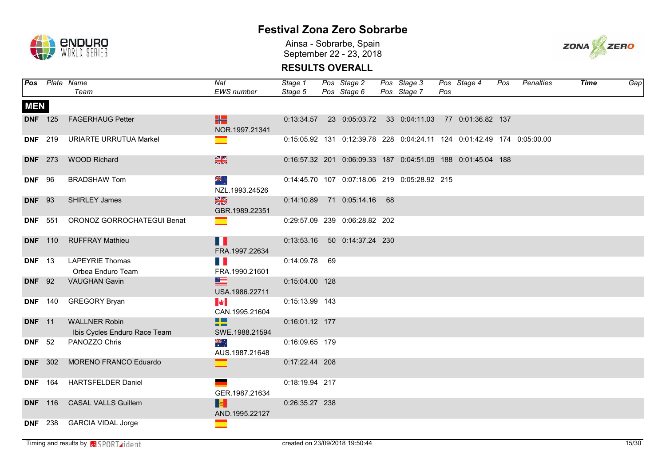

Ainsa - Sobrarbe, Spain September 22 - 23, 2018



|               |                | Pos Plate Name                                       | Nat                                | Stage 1        | Pos Stage 2                                                                    | Pos Stage 3 |     | Pos Stage 4 | Pos | Penalties | <b>Time</b> | Gap |
|---------------|----------------|------------------------------------------------------|------------------------------------|----------------|--------------------------------------------------------------------------------|-------------|-----|-------------|-----|-----------|-------------|-----|
|               |                | Team                                                 | EWS number                         | Stage 5        | Pos Stage 6                                                                    | Pos Stage 7 | Pos |             |     |           |             |     |
| <b>MEN</b>    |                |                                                      |                                    |                |                                                                                |             |     |             |     |           |             |     |
|               | <b>DNF</b> 125 | <b>FAGERHAUG Petter</b>                              | H.<br>NOR.1997.21341               |                | 0:13:34.57 23 0:05:03.72 33 0:04:11.03 77 0:01:36.82 137                       |             |     |             |     |           |             |     |
|               | <b>DNF</b> 219 | <b>URIARTE URRUTUA Markel</b>                        | $\overline{\phantom{0}}$           |                | 0:15:05.92  131  0:12:39.78  228  0:04:24.11  124  0:01:42.49  174  0:05:00.00 |             |     |             |     |           |             |     |
|               | <b>DNF</b> 273 | <b>WOOD Richard</b>                                  | $\frac{N}{2}$                      |                | 0:16:57.32 201 0:06:09.33 187 0:04:51.09 188 0:01:45.04 188                    |             |     |             |     |           |             |     |
| <b>DNF</b> 96 |                | <b>BRADSHAW Tom</b>                                  | ak<br>AR<br>NZL.1993.24526         |                | 0:14:45.70 107 0:07:18.06 219 0:05:28.92 215                                   |             |     |             |     |           |             |     |
| <b>DNF</b> 93 |                | <b>SHIRLEY James</b>                                 | $\frac{N}{2}$<br>GBR.1989.22351    |                | 0:14:10.89 71 0:05:14.16 68                                                    |             |     |             |     |           |             |     |
|               | <b>DNF</b> 551 | ORONOZ GORROCHATEGUI Benat                           |                                    |                | 0:29:57.09 239 0:06:28.82 202                                                  |             |     |             |     |           |             |     |
|               | <b>DNF</b> 110 | <b>RUFFRAY Mathieu</b>                               | n<br>FRA.1997.22634                |                | 0:13:53.16   50   0:14:37.24   230                                             |             |     |             |     |           |             |     |
| <b>DNF</b> 13 |                | <b>LAPEYRIE Thomas</b><br>Orbea Enduro Team          | H I<br>FRA.1990.21601              | 0:14:09.78 69  |                                                                                |             |     |             |     |           |             |     |
| <b>DNF</b> 92 |                | <b>VAUGHAN Gavin</b>                                 | $\equiv$<br>USA.1986.22711         | 0:15:04.00 128 |                                                                                |             |     |             |     |           |             |     |
|               | <b>DNF</b> 140 | <b>GREGORY Bryan</b>                                 | <b>M</b><br>CAN.1995.21604         | 0:15:13.99 143 |                                                                                |             |     |             |     |           |             |     |
| <b>DNF</b> 11 |                | <b>WALLNER Robin</b><br>Ibis Cycles Enduro Race Team | <b>BE</b><br>n m<br>SWE.1988.21594 | 0:16:01.12 177 |                                                                                |             |     |             |     |           |             |     |
| <b>DNF</b> 52 |                | PANOZZO Chris                                        | 崇祯<br>AUS.1987.21648               | 0:16:09.65 179 |                                                                                |             |     |             |     |           |             |     |
|               | <b>DNF</b> 302 | MORENO FRANCO Eduardo                                | $\equiv$                           | 0:17:22.44 208 |                                                                                |             |     |             |     |           |             |     |
|               | <b>DNF</b> 164 | <b>HARTSFELDER Daniel</b>                            | GER.1987.21634                     | 0:18:19.94 217 |                                                                                |             |     |             |     |           |             |     |
|               | <b>DNF</b> 116 | <b>CASAL VALLS Guillem</b>                           | <b>I</b> to the<br>AND.1995.22127  | 0:26:35.27 238 |                                                                                |             |     |             |     |           |             |     |
|               | <b>DNF</b> 238 | <b>GARCIA VIDAL Jorge</b>                            | ▀                                  |                |                                                                                |             |     |             |     |           |             |     |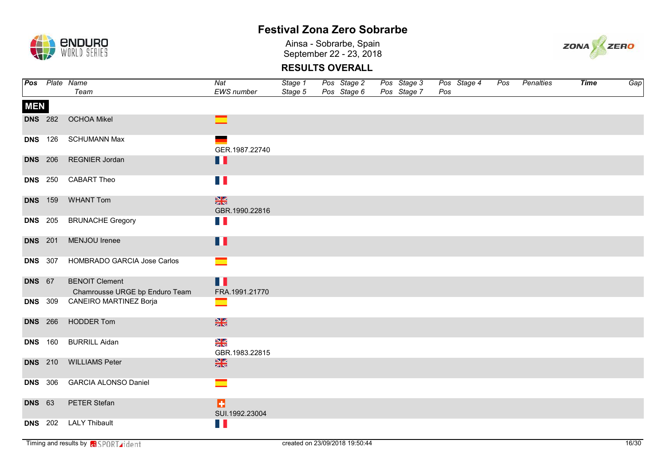

Ainsa - Sobrarbe, Spain September 22 - 23, 2018



|               |                | Pos Plate Name                                          | Nat                             | Stage 1 | Pos Stage 2 | Pos Stage 3 | Pos Stage 4 | Pos | Penalties | <b>Time</b> | Gap |
|---------------|----------------|---------------------------------------------------------|---------------------------------|---------|-------------|-------------|-------------|-----|-----------|-------------|-----|
|               |                | Team                                                    | EWS number                      | Stage 5 | Pos Stage 6 | Pos Stage 7 | Pos         |     |           |             |     |
| <b>MEN</b>    |                |                                                         |                                 |         |             |             |             |     |           |             |     |
|               | <b>DNS</b> 282 | <b>OCHOA Mikel</b>                                      | $\equiv$                        |         |             |             |             |     |           |             |     |
|               | <b>DNS</b> 126 | <b>SCHUMANN Max</b>                                     | GER.1987.22740                  |         |             |             |             |     |           |             |     |
|               | <b>DNS</b> 206 | <b>REGNIER Jordan</b>                                   | Ħ                               |         |             |             |             |     |           |             |     |
|               | <b>DNS</b> 250 | <b>CABART Theo</b>                                      | H I                             |         |             |             |             |     |           |             |     |
|               | <b>DNS</b> 159 | <b>WHANT Tom</b>                                        | $rac{N}{2}$<br>GBR.1990.22816   |         |             |             |             |     |           |             |     |
|               | <b>DNS</b> 205 | <b>BRUNACHE Gregory</b>                                 | $\Box$                          |         |             |             |             |     |           |             |     |
|               | <b>DNS</b> 201 | MENJOU Irenee                                           | $\blacksquare$                  |         |             |             |             |     |           |             |     |
|               | <b>DNS</b> 307 | HOMBRADO GARCIA Jose Carlos                             | ▅                               |         |             |             |             |     |           |             |     |
| <b>DNS</b> 67 |                | <b>BENOIT Clement</b><br>Chamrousse URGE bp Enduro Team | П<br>FRA.1991.21770             |         |             |             |             |     |           |             |     |
|               | <b>DNS</b> 309 | CANEIRO MARTINEZ Borja                                  | $\overline{\phantom{a}}$        |         |             |             |             |     |           |             |     |
|               | <b>DNS</b> 266 | <b>HODDER Tom</b>                                       | $\frac{N}{2}$                   |         |             |             |             |     |           |             |     |
|               | <b>DNS</b> 160 | <b>BURRILL Aidan</b>                                    | $\frac{8}{3}$<br>GBR.1983.22815 |         |             |             |             |     |           |             |     |
|               | <b>DNS</b> 210 | <b>WILLIAMS Peter</b>                                   | $\frac{N}{2}$                   |         |             |             |             |     |           |             |     |
|               | <b>DNS</b> 306 | <b>GARCIA ALONSO Daniel</b>                             | $\equiv$                        |         |             |             |             |     |           |             |     |
| <b>DNS</b> 63 |                | PETER Stefan                                            | ы<br>SUI.1992.23004             |         |             |             |             |     |           |             |     |
|               | <b>DNS</b> 202 | <b>LALY Thibault</b>                                    | H E                             |         |             |             |             |     |           |             |     |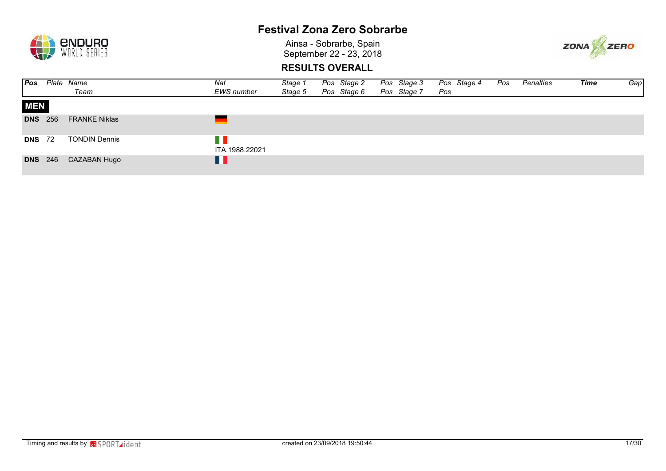

Ainsa - Sobrarbe, Spain September 22 - 23, 2018



| Pos            | Plate | Name                 | Nat               | Stage 1 | Pos Stage 2 | Pos Stage 3 |     | Pos Stage 4 | Pos | Penalties | <b>Time</b> | Gap |
|----------------|-------|----------------------|-------------------|---------|-------------|-------------|-----|-------------|-----|-----------|-------------|-----|
|                |       | Team                 | <b>EWS</b> number | Stage 5 | Pos Stage 6 | Pos Stage 7 | Pos |             |     |           |             |     |
| <b>MEN</b>     |       |                      |                   |         |             |             |     |             |     |           |             |     |
| <b>DNS</b> 256 |       | <b>FRANKE Niklas</b> |                   |         |             |             |     |             |     |           |             |     |
| <b>DNS</b> 72  |       | <b>TONDIN Dennis</b> | ITA.1988.22021    |         |             |             |     |             |     |           |             |     |
| <b>DNS</b> 246 |       | CAZABAN Hugo         | H                 |         |             |             |     |             |     |           |             |     |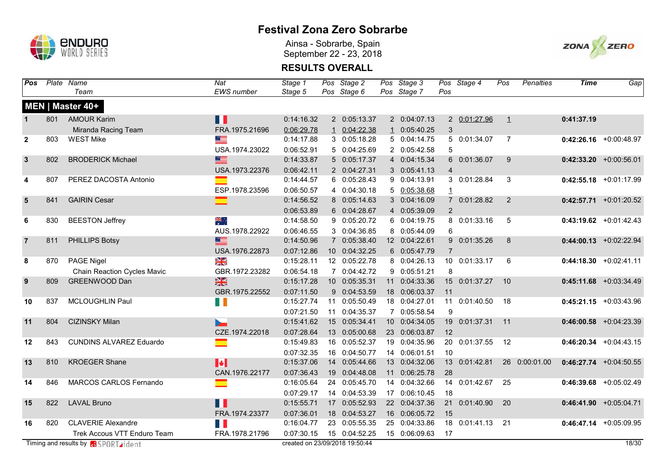

Ainsa - Sobrarbe, Spain September 22 - 23, 2018



| Pos            |     | Plate Name                                   | Nat               | Stage 1    | Pos Stage 2                    | Pos Stage 3   |                | Pos Stage 4   | Pos            | <b>Penalties</b> | <b>Time</b> | Gap                       |
|----------------|-----|----------------------------------------------|-------------------|------------|--------------------------------|---------------|----------------|---------------|----------------|------------------|-------------|---------------------------|
|                |     | Team                                         | <b>EWS</b> number | Stage 5    | Pos Stage 6                    | Pos Stage 7   | Pos            |               |                |                  |             |                           |
|                |     | MEN   Master 40+                             |                   |            |                                |               |                |               |                |                  |             |                           |
| $\mathbf 1$    | 801 | <b>AMOUR Karim</b>                           | n I               | 0:14:16.32 | 2 0:05:13.37                   | 2 0:04:07.13  |                | 2 0:01:27.96  | $\perp$        |                  | 0:41:37.19  |                           |
|                |     | Miranda Racing Team                          | FRA.1975.21696    | 0:06:29.78 | 1 0:04:22.38                   | 1 0:05:40.25  | 3              |               |                |                  |             |                           |
| $\mathbf{2}$   | 803 | <b>WEST Mike</b>                             | ≡                 | 0:14:17.88 | 3 0:05:18.28                   | 5 0:04:14.75  |                | 5 0:01:34.07  | $\overline{7}$ |                  |             | $0:42:26.16$ +0:00:48.97  |
|                |     |                                              | USA.1974.23022    | 0:06:52.91 | 5 0:04:25.69                   | 2 0:05:42.58  | 5              |               |                |                  |             |                           |
| $\mathbf{3}$   | 802 | <b>BRODERICK Michael</b>                     | 三                 | 0:14:33.87 | 5 0:05:17.37                   | 4 0:04:15.34  |                | 6 0:01:36.07  | 9              |                  |             | $0:42:33.20$ +0:00:56.01  |
|                |     |                                              | USA.1973.22376    | 0:06:42.11 | 2 0:04:27.31                   | 3 0:05:41.13  | $\overline{4}$ |               |                |                  |             |                           |
| 4              | 807 | PEREZ DACOSTA Antonio                        | Ξ                 | 0:14:44.57 | 6 0:05:28.43                   | 9 0:04:13.91  |                | 3 0:01:28.84  | 3              |                  |             | $0:42:55.18$ +0:01:17.99  |
|                |     |                                              | ESP.1978.23596    | 0:06:50.57 | 4 0:04:30.18                   | 5 0:05:38.68  | $\mathbf{1}$   |               |                |                  |             |                           |
| $5\phantom{1}$ | 841 | <b>GAIRIN Cesar</b>                          | ▆                 | 0:14:56.52 | 8 0:05:14.63                   | 3 0:04:16.09  |                | 7 0:01:28.82  | 2              |                  |             | $0:42:57.71$ +0:01:20.52  |
|                |     |                                              |                   | 0:06:53.89 | 6 0:04:28.67                   | 4 0:05:39.09  | 2              |               |                |                  |             |                           |
| 6              | 830 | <b>BEESTON Jeffrey</b>                       | ₩                 | 0:14:58.50 | 9 0:05:20.72                   | 6 0:04:19.75  |                | 8 0:01:33.16  | 5              |                  |             | $0:43:19.62$ +0:01:42.43  |
|                |     |                                              | AUS.1978.22922    | 0:06:46.55 | 3 0:04:36.85                   | 8 0:05:44.09  | 6              |               |                |                  |             |                           |
| $\overline{7}$ | 811 | PHILLIPS Botsy                               | $\equiv$          | 0:14:50.96 | 7 0:05:38.40                   | 12 0:04:22.61 |                | 9 0:01:35.26  | 8              |                  |             | $0:44:00.13$ +0:02:22.94  |
|                |     |                                              | USA.1976.22873    | 0:07:12.86 | 10 0:04:32.25                  | 6 0:05:47.79  | $\overline{7}$ |               |                |                  |             |                           |
| 8              | 870 | PAGE Nigel                                   | X                 | 0:15:28.11 | 12 0:05:22.78                  | 8 0:04:26.13  |                | 10 0:01:33.17 | 6              |                  |             | $0:44:18.30 + 0:02:41.11$ |
|                |     | <b>Chain Reaction Cycles Mavic</b>           | GBR.1972.23282    | 0:06:54.18 | 7 0:04:42.72                   | 9 0:05:51.21  | 8              |               |                |                  |             |                           |
| 9              | 809 | GREENWOOD Dan                                | $\frac{N}{2}$     | 0:15:17.28 | 10 0:05:35.31                  | 11 0:04:33.36 |                | 15 0:01:37.27 | 10             |                  |             | $0:45:11.68$ +0:03:34.49  |
|                |     |                                              | GBR.1975.22552    | 0:07:11.50 | 9 0:04:53.59                   | 18 0:06:03.37 | 11             |               |                |                  |             |                           |
| 10             | 837 | MCLOUGHLIN Paul                              | H                 | 0:15:27.74 | 11 0:05:50.49                  | 18 0:04:27.01 | 11             | 0:01:40.50    | 18             |                  |             | $0:45:21.15$ +0:03:43.96  |
|                |     |                                              |                   | 0:07:21.50 | 11 0:04:35.37                  | 7 0:05:58.54  | 9              |               |                |                  |             |                           |
| 11             | 804 | <b>CIZINSKY Milan</b>                        |                   | 0:15:41.62 | 15 0:05:34.41                  | 10 0:04:34.05 | 19             | 0:01:37.31    | 11             |                  |             | $0:46:00.58$ +0:04:23.39  |
|                |     |                                              | CZE.1974.22018    | 0:07:28.64 | 13 0:05:00.68                  | 23 0:06:03.87 | 12             |               |                |                  |             |                           |
| 12             | 843 | <b>CUNDINS ALVAREZ Eduardo</b>               | Ξ                 | 0:15:49.83 | 16 0:05:52.37                  | 19 0:04:35.96 |                | 20 0:01:37.55 | 12             |                  |             | $0:46:20.34$ +0:04:43.15  |
|                |     |                                              |                   | 0:07:32.35 | 16 0:04:50.77                  | 14 0:06:01.51 | 10             |               |                |                  |             |                           |
| 13             | 810 | <b>KROEGER Shane</b>                         | M                 | 0:15:37.06 | 14 0:05:44.66                  | 13 0:04:32.06 |                | 13 0:01:42.81 |                | 26 0:00:01.00    |             | $0:46:27.74$ +0:04:50.55  |
|                |     |                                              | CAN.1976.22177    | 0:07:36.43 | 19 0:04:48.08                  | 11 0:06:25.78 | 28             |               |                |                  |             |                           |
| 14             | 846 | MARCOS CARLOS Fernando                       | ▔                 | 0:16:05.64 | 24 0:05:45.70                  | 14 0:04:32.66 |                | 14 0:01:42.67 | 25             |                  |             | $0:46:39.68$ +0:05:02.49  |
|                |     |                                              |                   | 0:07:29.17 | 14 0:04:53.39                  | 17 0:06:10.45 | 18             |               |                |                  |             |                           |
| 15             | 822 | <b>LAVAL Bruno</b>                           | П                 | 0:15:55.71 | 17 0:05:52.93                  | 22 0:04:37.36 | 21             | 0:01:40.90    | 20             |                  |             | $0:46:41.90 + 0:05:04.71$ |
|                |     |                                              | FRA.1974.23377    | 0:07:36.01 | 18 0:04:53.27                  | 16 0:06:05.72 | 15             |               |                |                  |             |                           |
| 16             | 820 | <b>CLAVERIE Alexandre</b>                    | H                 | 0:16:04.77 | 23 0:05:55.35                  | 25 0:04:33.86 | 18             | 0:01:41.13    | 21             |                  |             | $0:46:47.14$ +0:05:09.95  |
|                |     | Trek Accous VTT Enduro Team                  | FRA.1978.21796    | 0:07:30.15 | 15 0:04:52.25                  | 15 0:06:09.63 | 17             |               |                |                  |             |                           |
|                |     | Timing and results by <b>GI</b> SPORT rident |                   |            | created on 23/09/2018 19:50:44 |               |                |               |                |                  |             | 18/30                     |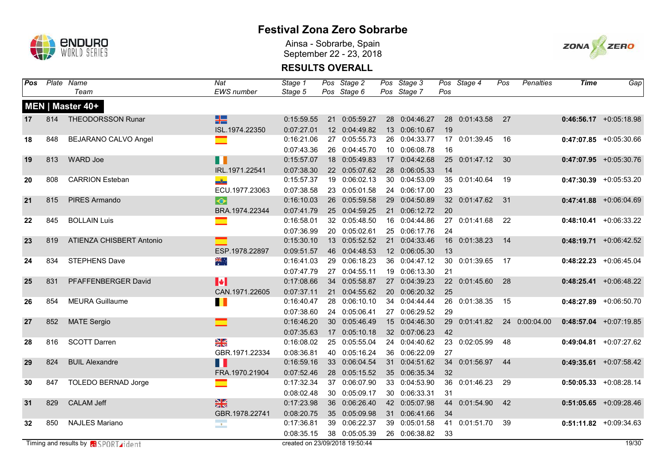

Ainsa - Sobrarbe, Spain September 22 - 23, 2018



| Pos             |     | Plate Name                                  | $\overline{Nat}$          | Stage 1                        | Pos Stage 2   | Pos Stage 3   |     | Pos Stage 4      | Pos | <b>Penalties</b> | <b>Time</b> | Gap                      |
|-----------------|-----|---------------------------------------------|---------------------------|--------------------------------|---------------|---------------|-----|------------------|-----|------------------|-------------|--------------------------|
|                 |     | Team                                        | <b>EWS</b> number         | Stage 5                        | Pos Stage 6   | Pos Stage 7   | Pos |                  |     |                  |             |                          |
|                 |     | MEN   Master 40+                            |                           |                                |               |               |     |                  |     |                  |             |                          |
| 17              | 814 | <b>THEODORSSON Runar</b>                    | H .                       | 0:15:59.55                     | 21 0:05:59.27 | 28 0:04:46.27 |     | 28 0:01:43.58    | 27  |                  |             | $0:46:56.17$ +0:05:18.98 |
|                 |     |                                             | ISL.1974.22350            | 0:07:27.01                     | 12 0:04:49.82 | 13 0:06:10.67 | 19  |                  |     |                  |             |                          |
| 18              | 848 | BEJARANO CALVO Angel                        | $\equiv$                  | 0:16:21.06                     | 27 0:05:55.73 | 26 0:04:33.77 |     | 17 0:01:39.45    | 16  |                  |             | $0:47:07.85$ +0:05:30.66 |
|                 |     |                                             |                           | 0:07:43.36                     | 26 0:04:45.70 | 10 0:06:08.78 | 16  |                  |     |                  |             |                          |
| 19              | 813 | <b>WARD Joe</b>                             | $\blacksquare$            | 0:15:57.07                     | 18 0:05:49.83 | 17 0:04:42.68 |     | 25 0:01:47.12 30 |     |                  |             | $0:47:07.95$ +0:05:30.76 |
|                 |     |                                             | IRL.1971.22541            | 0:07:38.30                     | 22 0:05:07.62 | 28 0:06:05.33 | 14  |                  |     |                  |             |                          |
| 20              | 808 | <b>CARRION Esteban</b>                      | $\frac{3}{2}$             | 0:15:57.37                     | 19 0:06:02.13 | 30 0:04:53.09 |     | 35 0:01:40.64    | 19  |                  |             | $0:47:30.39$ +0:05:53.20 |
|                 |     |                                             | ECU.1977.23063            | 0:07:38.58                     | 23 0:05:01.58 | 24 0:06:17.00 | 23  |                  |     |                  |             |                          |
| 21              | 815 | PIRES Armando                               | $\bullet$                 | 0:16:10.03                     | 26 0:05:59.58 | 29 0:04:50.89 |     | 32 0:01:47.62    | 31  |                  |             | $0:47:41.88$ +0:06:04.69 |
|                 |     |                                             | BRA.1974.22344            | 0:07:41.79                     | 25 0:04:59.25 | 21 0:06:12.72 | 20  |                  |     |                  |             |                          |
| 22              | 845 | <b>BOLLAIN Luis</b>                         | ═                         | 0:16:58.01                     | 32 0:05:48.50 | 16 0:04:44.86 |     | 27 0:01:41.68    | 22  |                  |             | $0:48:10.41$ +0:06:33.22 |
|                 |     |                                             |                           | 0:07:36.99                     | 20 0:05:02.61 | 25 0:06:17.76 | 24  |                  |     |                  |             |                          |
| 23              | 819 | ATIENZA CHISBERT Antonio                    | $\equiv$                  | 0:15:30.10                     | 13 0:05:52.52 | 21 0:04:33.46 | 16  | 0:01:38.23       | 14  |                  |             | $0:48:19.71$ +0:06:42.52 |
|                 |     |                                             | ESP.1978.22897            | 0:09:51.57                     | 46 0:04:48.53 | 12 0:06:05.30 | 13  |                  |     |                  |             |                          |
| 24              | 834 | <b>STEPHENS Dave</b>                        | 漂亮                        | 0:16:41.03                     | 29 0:06:18.23 | 36 0:04:47.12 |     | 30 0:01:39.65    | 17  |                  |             | $0:48:22.23$ +0:06:45.04 |
|                 |     |                                             |                           | 0:07:47.79                     | 27 0:04:55.11 | 19 0:06:13.30 | 21  |                  |     |                  |             |                          |
| 25              | 831 | PFAFFENBERGER David                         | $\blacktriangleright$     | 0:17:08.66                     | 34 0:05:58.87 | 27 0:04:39.23 |     | 22 0:01:45.60    | 28  |                  |             | $0:48:25.41$ +0:06:48.22 |
|                 |     |                                             | CAN.1971.22605            | 0:07:37.11                     | 21 0:04:55.62 | 20 0:06:20.32 | 25  |                  |     |                  |             |                          |
| 26              | 854 | <b>MEURA Guillaume</b>                      | П                         | 0:16:40.47                     | 28 0:06:10.10 | 34 0:04:44.44 |     | 26 0:01:38.35    | 15  |                  |             | $0:48:27.89$ +0:06:50.70 |
|                 |     |                                             |                           | 0:07:38.60                     | 24 0:05:06.41 | 27 0:06:29.52 | 29  |                  |     |                  |             |                          |
| 27              | 852 | <b>MATE Sergio</b>                          | ⊏                         | 0:16:46.20                     | 30 0:05:46.49 | 15 0:04:46.30 | 29  | 0:01:41.82       |     | 24 0:00:04.00    |             | $0:48:57.04$ +0:07:19.85 |
|                 |     |                                             |                           | 0:07:35.63                     | 17 0:05:10.18 | 32 0:07:06.23 | 42  |                  |     |                  |             |                          |
| 28              | 816 | <b>SCOTT Darren</b>                         | $\frac{N}{N}$             | 0:16:08.02                     | 25 0:05:55.04 | 24 0:04:40.62 |     | 23 0:02:05.99    | 48  |                  |             | $0:49:04.81$ +0:07:27.62 |
|                 |     |                                             | GBR.1971.22334            | 0:08:36.81                     | 40 0:05:16.24 | 36 0:06:22.09 | 27  |                  |     |                  |             |                          |
| 29              | 824 | <b>BUIL Alexandre</b>                       | n                         | 0:16:59.16                     | 33 0:06:04.54 | 31 0:04:51.62 |     | 34 0:01:56.97    | 44  |                  |             | $0:49:35.61$ +0:07:58.42 |
|                 |     |                                             | FRA.1970.21904            | 0:07:52.46                     | 28 0:05:15.52 | 35 0:06:35.34 | 32  |                  |     |                  |             |                          |
| 30              | 847 | <b>TOLEDO BERNAD Jorge</b>                  | ▔                         | 0:17:32.34                     | 37 0:06:07.90 | 33 0:04:53.90 |     | 36 0:01:46.23    | 29  |                  |             | $0:50:05.33$ +0:08:28.14 |
|                 |     |                                             |                           | 0:08:02.48                     | 30 0:05:09.17 | 30 0:06:33.31 | 31  |                  |     |                  |             |                          |
| 31              | 829 | <b>CALAM Jeff</b>                           | $\frac{N}{2}$             | 0:17:23.98                     | 36 0:06:26.40 | 42 0:05:07.98 |     | 44 0:01:54.90    | 42  |                  |             | $0:51:05.65$ +0:09:28.46 |
|                 |     |                                             | GBR.1978.22741            | 0:08:20.75                     | 35 0:05:09.98 | 31 0:06:41.66 | 34  |                  |     |                  |             |                          |
| 32 <sub>2</sub> | 850 | <b>NAJLES Mariano</b>                       | $\mathcal{O}(\mathbf{r})$ | 0:17:36.81                     | 39 0:06:22.37 | 39 0:05:01.58 | 41  | 0:01:51.70       | 39  |                  |             | $0:51:11.82$ +0:09:34.63 |
|                 |     |                                             |                           | 0:08:35.15                     | 38 0:05:05.39 | 26 0:06:38.82 | 33  |                  |     |                  |             |                          |
|                 |     | Timing and results by <b>a</b> SPORT rident |                           | created on 23/09/2018 19:50:44 |               |               |     |                  |     |                  |             | 19/30                    |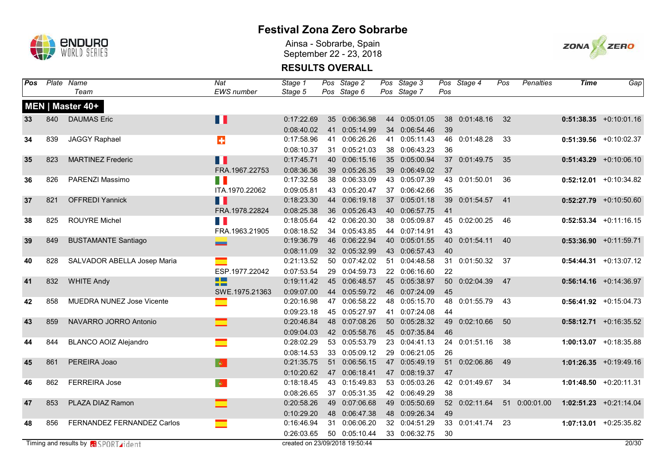

Ainsa - Sobrarbe, Spain September 22 - 23, 2018



| Pos |     | Plate Name                                  | $\overline{Nat}$             | Stage 1    | Pos Stage 2                    | Pos Stage 3   |     | Pos Stage 4   | Pos | <b>Penalties</b> | <b>Time</b> | Gap                       |
|-----|-----|---------------------------------------------|------------------------------|------------|--------------------------------|---------------|-----|---------------|-----|------------------|-------------|---------------------------|
|     |     | Team                                        | <b>EWS</b> number            | Stage 5    | Pos Stage 6                    | Pos Stage 7   | Pos |               |     |                  |             |                           |
|     |     | MEN   Master 40+                            |                              |            |                                |               |     |               |     |                  |             |                           |
| 33  | 840 | <b>DAUMAS</b> Eric                          | Ш                            | 0:17:22.69 | 35 0:06:36.98                  | 44 0:05:01.05 |     | 38 0:01:48.16 | 32  |                  |             | $0:51:38.35$ +0:10:01.16  |
|     |     |                                             |                              | 0:08:40.02 | 41 0:05:14.99                  | 34 0:06:54.46 | 39  |               |     |                  |             |                           |
| 34  | 839 | <b>JAGGY Raphael</b>                        | $\ddot{\textbf{r}}$          | 0:17:58.96 | 41 0:06:26.26                  | 41 0:05:11.43 | 46  | 0:01:48.28    | 33  |                  |             | $0:51:39.56$ +0:10:02.37  |
|     |     |                                             |                              | 0:08:10.37 | 31 0:05:21.03                  | 38 0:06:43.23 | 36  |               |     |                  |             |                           |
| 35  | 823 | <b>MARTINEZ Frederic</b>                    | $\blacksquare$               | 0:17:45.71 | 40 0:06:15.16                  | 35 0:05:00.94 |     | 37 0:01:49.75 | 35  |                  |             | $0:51:43.29$ +0:10:06.10  |
|     |     |                                             | FRA.1967.22753               | 0:08:36.36 | 39 0:05:26.35                  | 39 0:06:49.02 | 37  |               |     |                  |             |                           |
| 36  | 826 | PARENZI Massimo                             | H.                           | 0:17:32.58 | 38 0:06:33.09                  | 43 0:05:07.39 | 43  | 0:01:50.01    | 36  |                  | 0:52:12.01  | +0:10:34.82               |
|     |     |                                             | ITA.1970.22062               | 0:09:05.81 | 43 0:05:20.47                  | 37 0:06:42.66 | 35  |               |     |                  |             |                           |
| 37  | 821 | <b>OFFREDI Yannick</b>                      | H                            | 0:18:23.30 | 44 0:06:19.18                  | 37 0:05:01.18 | 39  | 0:01:54.57    | 41  |                  |             | $0:52:27.79$ +0:10:50.60  |
|     |     |                                             | FRA.1978.22824               | 0:08:25.38 | 36 0:05:26.43                  | 40 0:06:57.75 | 41  |               |     |                  |             |                           |
| 38  | 825 | <b>ROUYRE Michel</b>                        | H                            | 0:18:05.64 | 42 0:06:20.30                  | 38 0:05:09.87 | 45  | 0:02:00.25    | 46  |                  |             | $0:52:53.34$ +0:11:16.15  |
|     |     |                                             | FRA.1963.21905               | 0:08:18.52 | 34 0:05:43.85                  | 44 0:07:14.91 | 43  |               |     |                  |             |                           |
| 39  | 849 | <b>BUSTAMANTE Santiago</b>                  | -                            | 0:19:36.79 | 46 0:06:22.94                  | 40 0:05:01.55 | 40  | 0:01:54.11    | 40  |                  |             | $0:53:36.90$ +0:11:59.71  |
|     |     |                                             |                              | 0:08:11.09 | 32 0:05:32.99                  | 43 0:06:57.43 | 40  |               |     |                  |             |                           |
| 40  | 828 | SALVADOR ABELLA Josep Maria                 | ×                            | 0:21:13.52 | 50 0:07:42.02                  | 51 0:04:48.58 | 31  | 0:01:50.32    | 37  |                  |             | $0:54:44.31 + 0:13:07.12$ |
|     |     |                                             | ESP.1977.22042               | 0:07:53.54 | 29 0:04:59.73                  | 22 0:06:16.60 | 22  |               |     |                  |             |                           |
| 41  | 832 | <b>WHITE Andy</b>                           | $\Box$<br>--                 | 0:19:11.42 | 45 0:06:48.57                  | 45 0:05:38.97 | 50  | 0:02:04.39    | 47  |                  |             | $0:56:14.16$ +0:14:36.97  |
|     |     |                                             | SWE.1975.21363               | 0:09:07.00 | 44 0:05:59.72                  | 46 0:07:24.09 | 45  |               |     |                  |             |                           |
| 42  | 858 | MUEDRA NUNEZ Jose Vicente                   | ▅                            | 0:20:16.98 | 47 0:06:58.22                  | 48 0:05:15.70 | 48  | 0:01:55.79    | 43  |                  |             | $0:56:41.92$ +0:15:04.73  |
|     |     |                                             |                              | 0:09:23.18 | 45 0:05:27.97                  | 41 0:07:24.08 | 44  |               |     |                  |             |                           |
| 43  | 859 | NAVARRO JORRO Antonio                       | $\blacksquare$               | 0:20:46.84 | 48 0:07:08.26                  | 50 0:05:28.32 | 49  | 0:02:10.66    | 50  |                  |             | $0:58:12.71$ +0:16:35.52  |
|     |     |                                             |                              | 0:09:04.03 | 42 0:05:58.76                  | 45 0:07:35.84 | 46  |               |     |                  |             |                           |
| 44  | 844 | <b>BLANCO AOIZ Alejandro</b>                | $\equiv$                     | 0:28:02.29 | 53 0:05:53.79                  | 23 0:04:41.13 |     | 24 0:01:51.16 | 38  |                  |             | $1:00:13.07$ +0:18:35.88  |
|     |     |                                             |                              | 0:08:14.53 | 33 0:05:09.12                  | 29 0:06:21.05 | 26  |               |     |                  |             |                           |
| 45  | 861 | PEREIRA Joao                                | $\langle \mathbf{e} \rangle$ | 0:21:35.75 | 51 0:06:56.15                  | 47 0:05:49.19 |     | 51 0:02:06.86 | 49  |                  |             | $1:01:26.35$ +0:19:49.16  |
|     |     |                                             |                              | 0:10:20.62 | 47 0:06:18.41                  | 47 0:08:19.37 | 47  |               |     |                  |             |                           |
| 46  | 862 | <b>FERREIRA Jose</b>                        | $ \Phi\rangle$               | 0:18:18.45 | 43 0:15:49.83                  | 53 0:05:03.26 |     | 42 0:01:49.67 | 34  |                  |             | $1:01:48.50 + 0:20:11.31$ |
|     |     |                                             |                              | 0:08:26.65 | 37 0:05:31.35                  | 42 0:06:49.29 | 38  |               |     |                  |             |                           |
| 47  | 853 | PLAZA DIAZ Ramon                            |                              | 0:20:58.26 | 49 0:07:06.68                  | 49 0:05:50.69 |     | 52 0:02:11.64 |     | 51 0:00:01.00    |             | $1:02:51.23$ +0:21:14.04  |
|     |     |                                             |                              | 0:10:29.20 | 48 0:06:47.38                  | 48 0:09:26.34 | 49  |               |     |                  |             |                           |
| 48  | 856 | FERNANDEZ FERNANDEZ Carlos                  | <u>e a</u>                   | 0:16:46.94 | 31 0:06:06.20                  | 32 0:04:51.29 |     | 33 0:01:41.74 | 23  |                  |             | 1:07:13.01 +0:25:35.82    |
|     |     |                                             |                              | 0:26:03.65 | 50 0:05:10.44                  | 33 0:06:32.75 | 30  |               |     |                  |             |                           |
|     |     | Timing and results by <b>a</b> SPORT rident |                              |            | created on 23/09/2018 19:50:44 |               |     |               |     |                  |             | 20/30                     |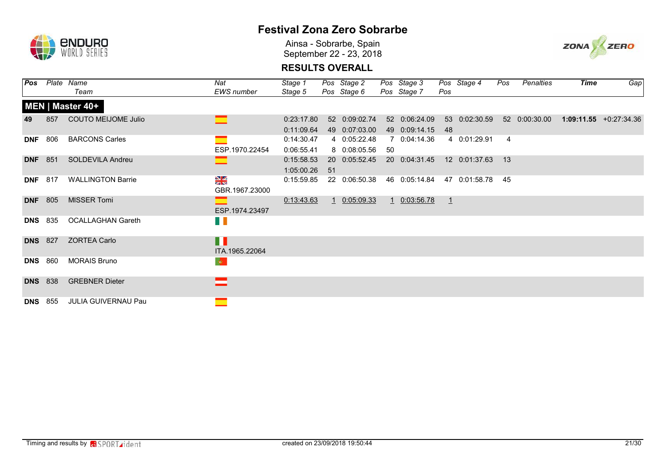

Ainsa - Sobrarbe, Spain September 22 - 23, 2018



| Pos        |                | Plate Name                 | Nat                             | Stage 1                  |    | Pos Stage 2                   |    | Pos Stage 3                   |               | Pos Stage 4   | Pos            | Penalties     | <b>Time</b> | Gap                       |
|------------|----------------|----------------------------|---------------------------------|--------------------------|----|-------------------------------|----|-------------------------------|---------------|---------------|----------------|---------------|-------------|---------------------------|
|            |                | Team                       | <b>EWS</b> number               | Stage 5                  |    | Pos Stage 6                   |    | Pos Stage 7                   | Pos           |               |                |               |             |                           |
|            |                | MEN   Master 40+           |                                 |                          |    |                               |    |                               |               |               |                |               |             |                           |
| 49         | 857            | <b>COUTO MEIJOME Julio</b> |                                 | 0:23:17.80               |    | 52 0:09:02.74                 |    | 52 0:06:24.09                 |               | 53 0:02:30.59 |                | 52 0:00:30.00 |             | $1:09:11.55 + 0:27:34.36$ |
| <b>DNF</b> | 806            | <b>BARCONS Carles</b>      |                                 | 0:11:09.64<br>0:14:30.47 |    | 49 0:07:03.00<br>4 0:05:22.48 |    | 49 0:09:14.15<br>7 0:04:14.36 | 48            | 4 0:01:29.91  | $\overline{4}$ |               |             |                           |
|            |                |                            | ESP.1970.22454                  | 0:06:55.41               |    | 8 0:08:05.56                  | 50 |                               |               |               |                |               |             |                           |
|            | <b>DNF</b> 851 | <b>SOLDEVILA Andreu</b>    |                                 | 0:15:58.53<br>1:05:00.26 | 51 | 20 0:05:52.45                 |    | 20 0:04:31.45                 |               | 12 0:01:37.63 | 13             |               |             |                           |
| <b>DNF</b> | 817            | <b>WALLINGTON Barrie</b>   | $\frac{8}{3}$<br>GBR.1967.23000 | 0:15:59.85               |    | 22 0:06:50.38                 |    | 46 0:05:14.84                 |               | 47 0:01:58.78 | 45             |               |             |                           |
| <b>DNF</b> | 805            | <b>MISSER Tomi</b>         | ESP.1974.23497                  | 0:13:43.63               |    | 1 0:05:09.33                  |    | 1 0:03:56.78                  | $\frac{1}{2}$ |               |                |               |             |                           |
|            | <b>DNS</b> 835 | <b>OCALLAGHAN Gareth</b>   | H T                             |                          |    |                               |    |                               |               |               |                |               |             |                           |
|            | <b>DNS</b> 827 | <b>ZORTEA Carlo</b>        | H<br>ITA.1965.22064             |                          |    |                               |    |                               |               |               |                |               |             |                           |
| <b>DNS</b> | 860            | <b>MORAIS Bruno</b>        | $ \Phi\rangle$                  |                          |    |                               |    |                               |               |               |                |               |             |                           |
|            | <b>DNS</b> 838 | <b>GREBNER Dieter</b>      |                                 |                          |    |                               |    |                               |               |               |                |               |             |                           |
| <b>DNS</b> | 855            | <b>JULIA GUIVERNAU Pau</b> | $\equiv$                        |                          |    |                               |    |                               |               |               |                |               |             |                           |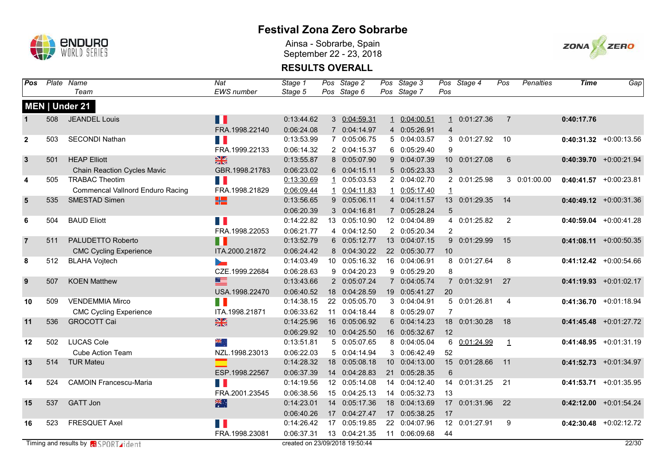

Ainsa - Sobrarbe, Spain September 22 - 23, 2018



| <b>Pos</b>       |     | Plate Name                                     | Nat               | Stage 1                        |              | Pos Stage 2   | Pos Stage 3   |                | Pos Stage 4   | Pos            | <b>Penalties</b> | <b>Time</b> | Gap                       |
|------------------|-----|------------------------------------------------|-------------------|--------------------------------|--------------|---------------|---------------|----------------|---------------|----------------|------------------|-------------|---------------------------|
|                  |     | Team                                           | <b>EWS</b> number | Stage 5                        |              | Pos Stage 6   | Pos Stage 7   | Pos            |               |                |                  |             |                           |
|                  |     | MEN   Under 21                                 |                   |                                |              |               |               |                |               |                |                  |             |                           |
|                  | 508 | <b>JEANDEL Louis</b>                           | ПI                | 0:13:44.62                     |              | 3 0:04:59.31  | 1 0:04:00.51  | $\mathbf{1}$   | 0:01:27.36    | $\overline{7}$ |                  | 0:40:17.76  |                           |
|                  |     |                                                | FRA.1998.22140    | 0:06:24.08                     |              | 7 0:04:14.97  | 4 0:05:26.91  | $\overline{4}$ |               |                |                  |             |                           |
| $\mathbf{2}$     | 503 | <b>SECONDI Nathan</b>                          | П                 | 0:13:53.99                     |              | 7 0:05:06.75  | 5 0:04:03.57  |                | 3 0:01:27.92  | 10             |                  |             | $0:40:31.32$ +0:00:13.56  |
|                  |     |                                                | FRA.1999.22133    | 0:06:14.32                     |              | 2 0:04:15.37  | 6 0:05:29.40  | 9              |               |                |                  |             |                           |
| $\mathbf{3}$     | 501 | <b>HEAP Elliott</b>                            | $\frac{N}{2}$     | 0:13:55.87                     |              | 8 0:05:07.90  | 9 0:04:07.39  |                | 10 0:01:27.08 | 6              |                  |             | $0:40:39.70$ +0:00:21.94  |
|                  |     | <b>Chain Reaction Cycles Mavic</b>             | GBR.1998.21783    | 0:06:23.02                     |              | 6 0:04:15.11  | 5 0:05:23.33  | $\mathbf{3}$   |               |                |                  |             |                           |
| 4                | 505 | <b>TRABAC Theotim</b>                          | П                 | 0:13:30.69                     |              | 1 0:05:03.53  | 2 0:04:02.70  |                | 2 0:01:25.98  |                | 3 0:01:00.00     |             | $0:40:41.57$ +0:00:23.81  |
|                  |     | <b>Commencal Vallnord Enduro Racing</b>        | FRA.1998.21829    | 0:06:09.44                     | $\mathbf{1}$ | 0:04:11.83    | 1 0:05:17.40  | $\mathbf{1}$   |               |                |                  |             |                           |
| ${\bf 5}$        | 535 | SMESTAD Simen                                  | ₩                 | 0:13:56.65                     |              | 9 0:05:06.11  | 4 0:04:11.57  |                | 13 0:01:29.35 | 14             |                  |             | $0:40:49.12$ +0:00:31.36  |
|                  |     |                                                |                   | 0:06:20.39                     |              | 3 0:04:16.81  | 7 0:05:28.24  | 5              |               |                |                  |             |                           |
| 6                | 504 | <b>BAUD Eliott</b>                             | <b>T</b>          | 0:14:22.82                     |              | 13 0:05:10.90 | 12 0:04:04.89 | 4              | 0:01:25.82    | 2              |                  |             | $0:40:59.04$ +0:00:41.28  |
|                  |     |                                                | FRA.1998.22053    | 0:06:21.77                     |              | 4 0:04:12.50  | 2 0:05:20.34  | $\overline{2}$ |               |                |                  |             |                           |
| $\overline{7}$   | 511 | PALUDETTO Roberto                              | n I               | 0:13:52.79                     |              | 6 0:05:12.77  | 13 0:04:07.15 |                | 9 0:01:29.99  | 15             |                  |             | $0:41:08.11$ +0:00:50.35  |
|                  |     | <b>CMC Cycling Experience</b>                  | ITA.2000.21872    | 0:06:24.42                     |              | 8 0:04:30.22  | 22 0:05:30.77 | 10             |               |                |                  |             |                           |
| 8                | 512 | <b>BLAHA Vojtech</b>                           | ъ.                | 0:14:03.49                     |              | 10 0:05:16.32 | 16 0:04:06.91 |                | 8 0:01:27.64  | 8              |                  |             | $0:41:12.42$ +0:00:54.66  |
|                  |     |                                                | CZE.1999.22684    | 0:06:28.63                     |              | 9 0:04:20.23  | 9 0:05:29.20  | 8              |               |                |                  |             |                           |
| $\boldsymbol{9}$ | 507 | <b>KOEN Matthew</b>                            | $\equiv$          | 0:13:43.66                     |              | 2 0:05:07.24  | 7 0:04:05.74  |                | 7 0:01:32.91  | 27             |                  |             | $0:41:19.93$ +0:01:02.17  |
|                  |     |                                                | USA.1998.22470    | 0:06:40.52                     |              | 18 0:04:28.59 | 19 0:05:41.27 | 20             |               |                |                  |             |                           |
| 10               | 509 | <b>VENDEMMIA Mirco</b>                         | П                 | 0:14:38.15                     |              | 22 0:05:05.70 | 3 0:04:04.91  |                | 5 0:01:26.81  | $\overline{4}$ |                  |             | $0:41:36.70$ +0:01:18.94  |
|                  |     | <b>CMC Cycling Experience</b>                  | ITA.1998.21871    | 0:06:33.62                     |              | 11 0:04:18.44 | 8 0:05:29.07  | $\overline{7}$ |               |                |                  |             |                           |
| 11               | 536 | <b>GROCOTT Cai</b>                             | $\frac{N}{N}$     | 0:14:25.96                     |              | 16 0:05:06.92 | 6 0:04:14.23  | 18             | 0:01:30.28    | 18             |                  |             | $0:41:45.48$ +0:01:27.72  |
|                  |     |                                                |                   | 0:06:29.92                     |              | 10 0:04:25.50 | 16 0:05:32.67 | 12             |               |                |                  |             |                           |
| 12               | 502 | <b>LUCAS Cole</b>                              | সার্<br>বা        | 0:13:51.81                     |              | 5 0:05:07.65  | 8 0:04:05.04  |                | 6 0:01:24.99  | $\mathbf{1}$   |                  |             | $0:41:48.95$ +0:01:31.19  |
|                  |     | <b>Cube Action Team</b>                        | NZL.1998.23013    | 0:06:22.03                     |              | 5 0:04:14.94  | 3 0:06:42.49  | 52             |               |                |                  |             |                           |
| 13               | 514 | <b>TUR Mateu</b>                               | $\equiv$          | 0:14:28.32                     |              | 18 0:05:08.18 | 10 0:04:13.00 |                | 15 0:01:28.66 | 11             |                  |             | $0:41:52.73$ +0:01:34.97  |
|                  |     |                                                | ESP.1998.22567    | 0:06:37.39                     |              | 14 0:04:28.83 | 21 0:05:28.35 | 6              |               |                |                  |             |                           |
| 14               | 524 | <b>CAMOIN Francescu-Maria</b>                  | П                 | 0:14:19.56                     |              | 12 0:05:14.08 | 14 0:04:12.40 |                | 14 0:01:31.25 | 21             |                  |             | $0:41:53.71 + 0:01:35.95$ |
|                  |     |                                                | FRA.2001.23545    | 0:06:38.56                     |              | 15 0:04:25.13 | 14 0:05:32.73 | 13             |               |                |                  |             |                           |
| 15               | 537 | <b>GATT Jon</b>                                | 米拉                | 0:14:23.01                     |              | 14 0:05:17.36 | 18 0:04:13.69 | 17             | 0:01:31.96    | 22             |                  |             | $0:42:12.00$ +0:01:54.24  |
|                  |     |                                                |                   | 0:06:40.26                     |              | 17 0:04:27.47 | 17 0:05:38.25 | 17             |               |                |                  |             |                           |
| 16               | 523 | <b>FRESQUET Axel</b>                           | n I               | 0:14:26.42                     |              | 17 0:05:19.85 | 22 0:04:07.96 |                | 12 0:01:27.91 | 9              |                  |             | $0:42:30.48$ +0:02:12.72  |
|                  |     |                                                | FRA.1998.23081    | 0:06:37.31                     |              | 13 0:04:21.35 | 11 0:06:09.68 | 44             |               |                |                  |             |                           |
|                  |     | Timing and results by <b>Research American</b> |                   | created on 23/09/2018 19:50:44 |              |               |               |                |               |                |                  |             | 22/30                     |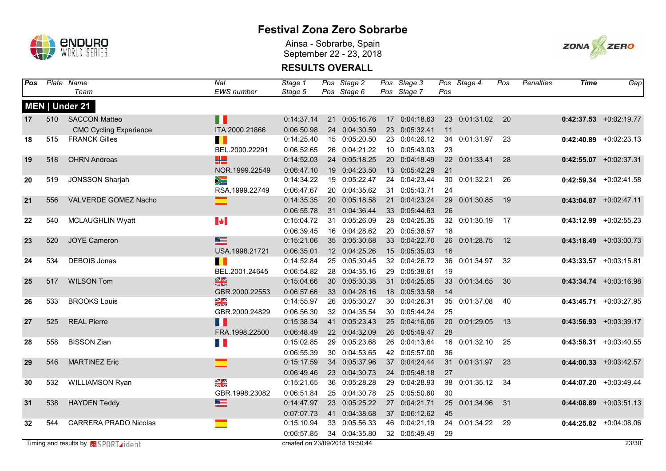

Ainsa - Sobrarbe, Spain September 22 - 23, 2018



| Pos |     | Plate Name                                  | Nat                      | Stage 1                        |    | Pos Stage 2   | Pos Stage 3   |     | Pos Stage 4   | Pos             | <b>Penalties</b> | <b>Time</b> | Gap                      |
|-----|-----|---------------------------------------------|--------------------------|--------------------------------|----|---------------|---------------|-----|---------------|-----------------|------------------|-------------|--------------------------|
|     |     | Team                                        | <b>EWS</b> number        | Stage 5                        |    | Pos Stage 6   | Pos Stage 7   | Pos |               |                 |                  |             |                          |
|     |     | MEN   Under 21                              |                          |                                |    |               |               |     |               |                 |                  |             |                          |
| 17  | 510 | <b>SACCON Matteo</b>                        | H                        | 0:14:37.14                     |    | 21 0:05:16.76 | 17 0:04:18.63 |     | 23 0:01:31.02 | $\overline{20}$ |                  |             | $0:42:37.53$ +0:02:19.77 |
|     |     | <b>CMC Cycling Experience</b>               | ITA.2000.21866           | 0:06:50.98                     |    | 24 0:04:30.59 | 23 0:05:32.41 | 11  |               |                 |                  |             |                          |
| 18  | 515 | <b>FRANCK Gilles</b>                        | Ш                        | 0:14:25.40                     |    | 15 0:05:20.50 | 23 0:04:26.12 |     | 34 0:01:31.97 | 23              |                  |             | $0:42:40.89$ +0:02:23.13 |
|     |     |                                             | BEL.2000.22291           | 0:06:52.65                     |    | 26 0:04:21.22 | 10 0:05:43.03 | 23  |               |                 |                  |             |                          |
| 19  | 518 | <b>OHRN Andreas</b>                         | 噐                        | 0:14:52.03                     |    | 24 0:05:18.25 | 20 0:04:18.49 |     | 22 0:01:33.41 | 28              |                  |             | $0:42:55.07$ +0:02:37.31 |
|     |     |                                             | NOR.1999.22549           | 0:06:47.10                     |    | 19 0:04:23.50 | 13 0:05:42.29 | 21  |               |                 |                  |             |                          |
| 20  | 519 | <b>JONSSON Sharjah</b>                      | ⋟≡                       | 0:14:34.22                     |    | 19 0:05:22.47 | 24 0:04:23.44 |     | 30 0:01:32.21 | 26              |                  |             | $0:42:59.34$ +0:02:41.58 |
|     |     |                                             | RSA.1999.22749           | 0:06:47.67                     |    | 20 0:04:35.62 | 31 0:05:43.71 | 24  |               |                 |                  |             |                          |
| 21  | 556 | VALVERDE GOMEZ Nacho                        | ▅                        | 0:14:35.35                     |    | 20 0:05:18.58 | 21 0:04:23.24 | 29  | 0:01:30.85    | 19              |                  |             | $0:43:04.87$ +0:02:47.11 |
|     |     |                                             |                          | 0:06:55.78                     |    | 31 0:04:36.44 | 33 0:05:44.63 | 26  |               |                 |                  |             |                          |
| 22  | 540 | MCLAUGHLIN Wyatt                            | $\left\  \cdot \right\ $ | 0:15:04.72                     |    | 31 0:05:26.09 | 28 0:04:25.35 |     | 32 0:01:30.19 | 17              |                  |             | $0:43:12.99$ +0:02:55.23 |
|     |     |                                             |                          | 0:06:39.45                     |    | 16 0:04:28.62 | 20 0:05:38.57 | 18  |               |                 |                  |             |                          |
| 23  | 520 | <b>JOYE Cameron</b>                         | $\equiv$                 | 0:15:21.06                     |    | 35 0:05:30.68 | 33 0:04:22.70 | 26  | 0:01:28.75    | 12              |                  |             | $0:43:18.49$ +0:03:00.73 |
|     |     |                                             | USA.1998.21721           | 0:06:35.01                     |    | 12 0:04:25.26 | 15 0:05:35.03 | 16  |               |                 |                  |             |                          |
| 24  | 534 | <b>DEBOIS Jonas</b>                         | Ш                        | 0:14:52.84                     |    | 25 0:05:30.45 | 32 0:04:26.72 | 36  | 0:01:34.97    | 32              |                  |             | $0:43:33.57$ +0:03:15.81 |
|     |     |                                             | BEL.2001.24645           | 0:06:54.82                     |    | 28 0:04:35.16 | 29 0:05:38.61 | 19  |               |                 |                  |             |                          |
| 25  | 517 | <b>WILSON Tom</b>                           | $rac{N}{2}$              | 0:15:04.66                     |    | 30 0:05:30.38 | 31 0:04:25.65 | 33  | 0:01:34.65    | 30              |                  |             | $0:43:34.74$ +0:03:16.98 |
|     |     |                                             | GBR.2000.22553           | 0:06:57.66                     |    | 33 0:04:28.16 | 18 0:05:33.58 | 14  |               |                 |                  |             |                          |
| 26  | 533 | <b>BROOKS Louis</b>                         | $\frac{N}{2}$            | 0:14:55.97                     |    | 26 0:05:30.27 | 30 0:04:26.31 |     | 35 0:01:37.08 | 40              |                  |             | $0:43:45.71$ +0:03:27.95 |
|     |     |                                             | GBR.2000.24829           | 0:06:56.30                     |    | 32 0:04:35.54 | 30 0:05:44.24 | 25  |               |                 |                  |             |                          |
| 27  | 525 | <b>REAL Pierre</b>                          | Ш                        | 0:15:38.34                     | 41 | 0:05:23.43    | 25 0:04:16.06 | 20  | 0:01:29.05    | 13              |                  |             | $0:43:56.93$ +0:03:39.17 |
|     |     |                                             | FRA.1998.22500           | 0:06:48.49                     |    | 22 0:04:32.09 | 26 0:05:49.47 | 28  |               |                 |                  |             |                          |
| 28  | 558 | <b>BISSON Zian</b>                          | H I                      | 0:15:02.85                     |    | 29 0:05:23.68 | 26 0:04:13.64 |     | 16 0:01:32.10 | 25              |                  |             | $0:43:58.31$ +0:03:40.55 |
|     |     |                                             |                          | 0:06:55.39                     |    | 30 0:04:53.65 | 42 0:05:57.00 | 36  |               |                 |                  |             |                          |
| 29  | 546 | <b>MARTINEZ Eric</b>                        | ▬                        | 0:15:17.59                     |    | 34 0:05:37.96 | 37 0:04:24.44 |     | 31 0:01:31.97 | 23              |                  |             | $0:44:00.33$ +0:03:42.57 |
|     |     |                                             |                          | 0:06:49.46                     |    | 23 0:04:30.73 | 24 0:05:48.18 | 27  |               |                 |                  |             |                          |
| 30  | 532 | WILLIAMSON Ryan                             | $\frac{8}{2}$            | 0:15:21.65                     |    | 36 0:05:28.28 | 29 0:04:28.93 |     | 38 0:01:35.12 | 34              |                  |             | $0:44:07.20$ +0:03:49.44 |
|     |     |                                             | GBR.1998.23082           | 0:06:51.84                     |    | 25 0:04:30.78 | 25 0:05:50.60 | 30  |               |                 |                  |             |                          |
| 31  | 538 | <b>HAYDEN Teddy</b>                         | $\equiv$                 | 0:14:47.97                     |    | 23 0:05:25.22 | 27 0:04:21.71 | 25  | 0:01:34.96    | 31              |                  |             | $0:44:08.89$ +0:03:51.13 |
|     |     |                                             |                          | 0:07:07.73                     | 41 | 0:04:38.68    | 37 0:06:12.62 | 45  |               |                 |                  |             |                          |
| 32  | 544 | <b>CARRERA PRADO Nicolas</b>                | ▅                        | 0:15:10.94                     |    | 33 0:05:56.33 | 46 0:04:21.19 |     | 24 0:01:34.22 | 29              |                  |             | $0:44:25.82$ +0:04:08.06 |
|     |     |                                             |                          | 0:06:57.85                     |    | 34 0:04:35.80 | 32 0:05:49.49 | 29  |               |                 |                  |             |                          |
|     |     | Timing and results by <b>a</b> SPORT rident |                          | created on 23/09/2018 19:50:44 |    |               |               |     |               |                 |                  |             | 23/30                    |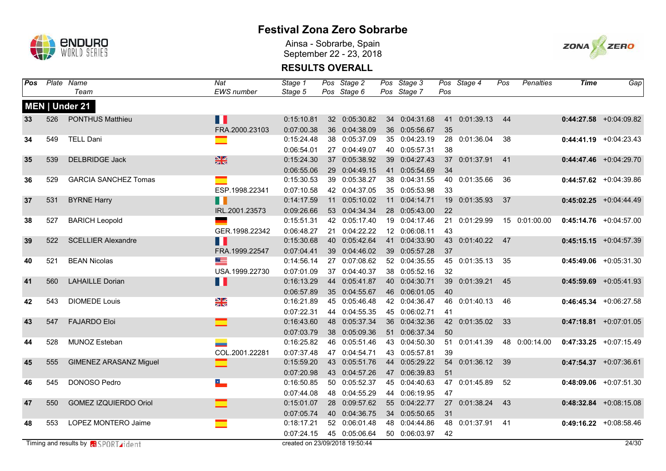

Ainsa - Sobrarbe, Spain September 22 - 23, 2018



| Pos |     | Plate Name                                  | $\overline{Nat}$         | Stage 1                        | Pos Stage 2   | Pos Stage 3   |     | Pos Stage 4   | Pos | <b>Penalties</b> | <b>Time</b> | Gap                      |
|-----|-----|---------------------------------------------|--------------------------|--------------------------------|---------------|---------------|-----|---------------|-----|------------------|-------------|--------------------------|
|     |     | Team                                        | EWS number               | Stage 5                        | Pos Stage 6   | Pos Stage 7   | Pos |               |     |                  |             |                          |
|     |     | MEN   Under 21                              |                          |                                |               |               |     |               |     |                  |             |                          |
| 33  | 526 | <b>PONTHUS Matthieu</b>                     | Ш                        | 0:15:10.81                     | 32 0:05:30.82 | 34 0:04:31.68 |     | 41 0:01:39.13 | 44  |                  |             | $0:44:27.58$ +0:04:09.82 |
|     |     |                                             | FRA.2000.23103           | 0:07:00.38                     | 36 0:04:38.09 | 36 0:05:56.67 | 35  |               |     |                  |             |                          |
| 34  | 549 | <b>TELL Dani</b>                            | ▔                        | 0:15:24.48                     | 38 0:05:37.09 | 35 0:04:23.19 | 28  | 0:01:36.04    | 38  |                  |             | $0:44:41.19$ +0:04:23.43 |
|     |     |                                             |                          | 0:06:54.01                     | 27 0:04:49.07 | 40 0:05:57.31 | 38  |               |     |                  |             |                          |
| 35  | 539 | <b>DELBRIDGE Jack</b>                       | $\frac{N}{N}$            | 0:15:24.30                     | 37 0:05:38.92 | 39 0:04:27.43 |     | 37 0:01:37.91 | 41  |                  |             | $0:44:47.46$ +0:04:29.70 |
|     |     |                                             |                          | 0:06:55.06                     | 29 0:04:49.15 | 41 0:05:54.69 | 34  |               |     |                  |             |                          |
| 36  | 529 | <b>GARCIA SANCHEZ Tomas</b>                 | an a                     | 0:15:30.53                     | 39 0:05:38.27 | 38 0:04:31.55 | 40  | 0:01:35.66    | 36  |                  |             | $0:44:57.62$ +0:04:39.86 |
|     |     |                                             | ESP.1998.22341           | 0:07:10.58                     | 42 0:04:37.05 | 35 0:05:53.98 | 33  |               |     |                  |             |                          |
| 37  | 531 | <b>BYRNE Harry</b>                          | $\blacksquare$           | 0:14:17.59                     | 11 0:05:10.02 | 11 0:04:14.71 | 19  | 0:01:35.93    | 37  |                  |             | $0:45:02.25$ +0:04:44.49 |
|     |     |                                             | IRL.2001.23573           | 0:09:26.66                     | 53 0:04:34.34 | 28 0:05:43.00 | 22  |               |     |                  |             |                          |
| 38  | 527 | <b>BARICH Leopold</b>                       |                          | 0:15:51.31                     | 42 0:05:17.40 | 19 0:04:17.46 | 21  | 0:01:29.99    |     | 15 0:01:00.00    |             | $0:45:14.76$ +0:04:57.00 |
|     |     |                                             | GER.1998.22342           | 0:06:48.27                     | 21 0:04:22.22 | 12 0:06:08.11 | 43  |               |     |                  |             |                          |
| 39  | 522 | <b>SCELLIER Alexandre</b>                   | Ш                        | 0:15:30.68                     | 40 0:05:42.64 | 41 0:04:33.90 | 43  | 0:01:40.22    | 47  |                  |             | $0:45:15.15$ +0:04:57.39 |
|     |     |                                             | FRA.1999.22547           | 0:07:04.41                     | 39 0:04:46.02 | 39 0:05:57.28 | 37  |               |     |                  |             |                          |
| 40  | 521 | <b>BEAN Nicolas</b>                         | ▀                        | 0:14:56.14                     | 27 0:07:08.62 | 52 0:04:35.55 | 45  | 0:01:35.13    | 35  |                  |             | $0:45:49.06$ +0:05:31.30 |
|     |     |                                             | USA.1999.22730           | 0:07:01.09                     | 37 0:04:40.37 | 38 0:05:52.16 | 32  |               |     |                  |             |                          |
| 41  | 560 | <b>LAHAILLE Dorian</b>                      | M                        | 0:16:13.29                     | 44 0:05:41.87 | 40 0:04:30.71 | 39  | 0:01:39.21    | 45  |                  |             | $0:45:59.69$ +0:05:41.93 |
|     |     |                                             |                          | 0:06:57.89                     | 35 0:04:55.67 | 46 0:06:01.05 | 40  |               |     |                  |             |                          |
| 42  | 543 | <b>DIOMEDE Louis</b>                        | N<br>Z                   | 0:16:21.89                     | 45 0:05:46.48 | 42 0:04:36.47 | 46  | 0:01:40.13    | 46  |                  |             | $0:46:45.34$ +0:06:27.58 |
|     |     |                                             |                          | 0:07:22.31                     | 44 0:04:55.35 | 45 0:06:02.71 | 41  |               |     |                  |             |                          |
| 43  | 547 | <b>FAJARDO Eloi</b>                         | ⊏                        | 0:16:43.60                     | 48 0:05:37.34 | 36 0:04:32.36 |     | 42 0:01:35.02 | 33  |                  |             | $0:47:18.81$ +0:07:01.05 |
|     |     |                                             |                          | 0:07:03.79                     | 38 0:05:09.36 | 51 0:06:37.34 | 50  |               |     |                  |             |                          |
| 44  | 528 | MUNOZ Esteban                               |                          | 0:16:25.82                     | 46 0:05:51.46 | 43 0:04:50.30 |     | 51 0:01:41.39 |     | 48 0:00:14.00    |             | $0:47:33.25$ +0:07:15.49 |
|     |     |                                             | COL.2001.22281           | 0:07:37.48                     | 47 0:04:54.71 | 43 0:05:57.81 | 39  |               |     |                  |             |                          |
| 45  | 555 | <b>GIMENEZ ARASANZ Miguel</b>               | $\equiv$                 | 0:15:59.20                     | 43 0:05:51.76 | 44 0:05:29.22 |     | 54 0:01:36.12 | 39  |                  |             | $0:47:54.37$ +0:07:36.61 |
|     |     |                                             |                          | 0:07:20.98                     | 43 0:04:57.26 | 47 0:06:39.83 | 51  |               |     |                  |             |                          |
| 46  | 545 | DONOSO Pedro                                | $\overline{\phantom{a}}$ | 0:16:50.85                     | 50 0:05:52.37 | 45 0:04:40.63 |     | 47 0:01:45.89 | 52  |                  |             | $0:48:09.06$ +0:07:51.30 |
|     |     |                                             |                          | 0:07:44.08                     | 48 0:04:55.29 | 44 0:06:19.95 | 47  |               |     |                  |             |                          |
| 47  | 550 | <b>GOMEZ IZQUIERDO Oriol</b>                |                          | 0:15:01.07                     | 28 0:09:57.62 | 55 0:04:22.77 |     | 27 0:01:38.24 | 43  |                  |             | $0:48:32.84$ +0:08:15.08 |
|     |     |                                             |                          | 0:07:05.74                     | 40 0:04:36.75 | 34 0:05:50.65 | 31  |               |     |                  |             |                          |
| 48  | 553 | LOPEZ MONTERO Jaime                         | ▅                        | 0:18:17.21                     | 52 0:06:01.48 | 48 0:04:44.86 | 48  | 0:01:37.91    | 41  |                  |             | $0:49:16.22$ +0:08:58.46 |
|     |     |                                             |                          | 0:07:24.15                     | 45 0:05:06.64 | 50 0:06:03.97 | 42  |               |     |                  |             |                          |
|     |     | Timing and results by <b>a</b> SPORT rident |                          | created on 23/09/2018 19:50:44 |               |               |     |               |     |                  |             | 24/30                    |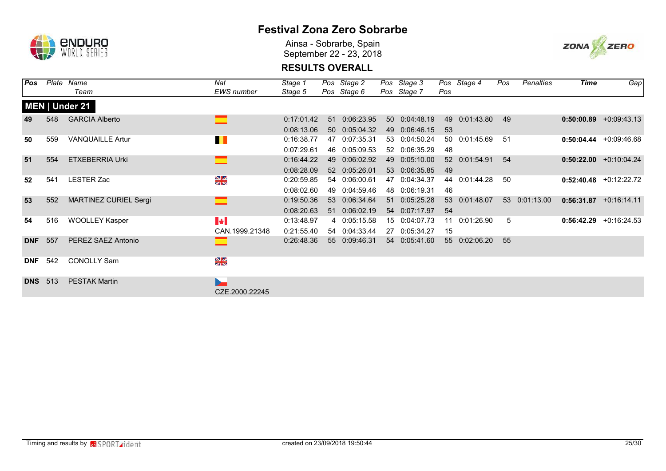

Ainsa - Sobrarbe, Spain September 22 - 23, 2018



| Pos        | Plate | Name                         | Nat                                     | Stage 1                  |          | Pos Stage 2                    |    | Pos Stage 3                    |                 | Pos Stage 4   | Pos | Penalties     | Time       | Gap                      |
|------------|-------|------------------------------|-----------------------------------------|--------------------------|----------|--------------------------------|----|--------------------------------|-----------------|---------------|-----|---------------|------------|--------------------------|
|            |       | Team                         | <b>EWS</b> number                       | Stage 5                  |          | Pos Stage 6                    |    | Pos Stage 7                    | Pos             |               |     |               |            |                          |
|            |       | MEN   Under 21               |                                         |                          |          |                                |    |                                |                 |               |     |               |            |                          |
| 49         | 548   | <b>GARCIA Alberto</b>        |                                         | 0:17:01.42<br>0:08:13.06 | 51       | 0:06:23.95<br>50 0:05:04.32    |    | 50 0:04:48.19<br>49 0:06:46.15 | 49<br>53        | 0:01:43.80    | 49  |               |            | $0:50:00.89$ +0:09:43.13 |
| 50         | 559   | <b>VANQUAILLE Artur</b>      | $\blacksquare$                          | 0:16:38.77<br>0:07:29.61 |          | 47 0:07:35.31<br>46 0:05:09.53 |    | 53 0:04:50.24<br>52 0:06:35.29 | 48              | 50 0:01:45.69 | 51  |               |            | $0:50:04.44$ +0:09:46.68 |
| 51         | 554   | <b>ETXEBERRIA Urki</b>       |                                         | 0:16:44.22<br>0:08:28.09 | 49       | 0:06:02.92<br>52 0:05:26.01    |    | 49 0:05:10.00<br>53 0:06:35.85 | 49              | 52 0:01:54.91 | 54  |               |            | $0:50:22.00$ +0:10:04.24 |
| 52         | 541   | <b>LESTER Zac</b>            | $\frac{N}{N}$                           | 0:20:59.85<br>0:08:02.60 | 54       | 0:06:00.61<br>49 0:04:59.46    |    | 47 0:04:34.37<br>48 0:06:19.31 | 44<br>46        | 0:01:44.28    | 50  |               |            | $0:52:40.48$ +0:12:22.72 |
| 53         | 552   | <b>MARTINEZ CURIEL Sergi</b> |                                         | 0:19:50.36<br>0:08:20.63 | 53<br>51 | 0:06:34.64<br>0:06:02.19       | 51 | 0:05:25.28<br>54 0:07:17.97    | 53<br>54        | 0:01:48.07    |     | 53 0:01:13.00 |            | $0:56:31.87$ +0:16:14.11 |
| 54         | 516   | <b>WOOLLEY Kasper</b>        | $\blacktriangleright$<br>CAN.1999.21348 | 0:13:48.97<br>0:21:55.40 |          | 4 0:05:15.58<br>54 0:04:33.44  |    | 15 0:04:07.73<br>27 0:05:34.27 | 11<br>15        | 0:01:26.90    | 5   |               | 0:56:42.29 | $+0:16:24.53$            |
| <b>DNF</b> | 557   | PEREZ SAEZ Antonio           |                                         | 0:26:48.36               | 55       | 0:09:46.31                     |    | 54 0:05:41.60                  | 55 <sub>5</sub> | 0:02:06.20    | 55  |               |            |                          |
| <b>DNF</b> | 542   | <b>CONOLLY Sam</b>           | $\frac{N}{n}$                           |                          |          |                                |    |                                |                 |               |     |               |            |                          |
| <b>DNS</b> | 513   | <b>PESTAK Martin</b>         | ь.<br>CZE.2000.22245                    |                          |          |                                |    |                                |                 |               |     |               |            |                          |
|            |       |                              |                                         |                          |          |                                |    |                                |                 |               |     |               |            |                          |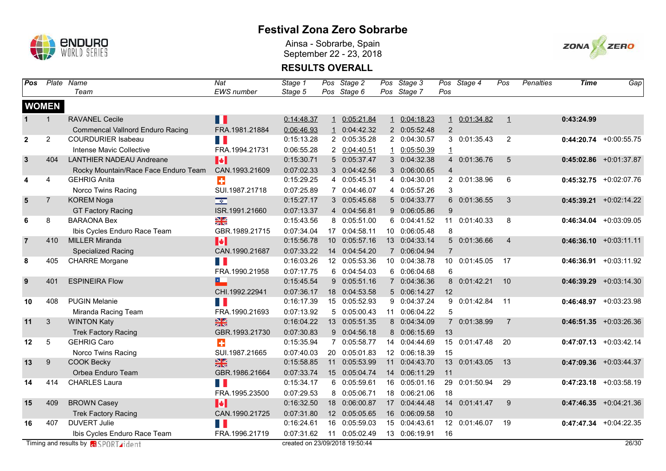

Ainsa - Sobrarbe, Spain September 22 - 23, 2018



| Pos            |                | Plate Name                                  | Nat                      | Stage 1                        |                 | Pos Stage 2   | Pos Stage 3   |                 | Pos Stage 4   | Pos            | <b>Penalties</b> | <b>Time</b> | Gap                       |
|----------------|----------------|---------------------------------------------|--------------------------|--------------------------------|-----------------|---------------|---------------|-----------------|---------------|----------------|------------------|-------------|---------------------------|
|                |                | Team                                        | <b>EWS</b> number        | Stage 5                        |                 | Pos Stage 6   | Pos Stage 7   | Pos             |               |                |                  |             |                           |
|                | <b>WOMEN</b>   |                                             |                          |                                |                 |               |               |                 |               |                |                  |             |                           |
|                | 1              | <b>RAVANEL Cecile</b>                       | П                        | 0:14:48.37                     | $\mathbf{1}$    | 0:05:21.84    | 1 0:04:18.23  | $\mathbf{1}$    | 0:01:34.82    | $\perp$        |                  | 0:43:24.99  |                           |
|                |                | <b>Commencal Vallnord Enduro Racing</b>     | FRA.1981.21884           | 0:06:46.93                     | $\overline{1}$  | 0:04:42.32    | 2 0:05:52.48  | $\overline{2}$  |               |                |                  |             |                           |
| $\overline{2}$ | $\overline{2}$ | <b>COURDURIER Isabeau</b>                   | n I                      | 0:15:13.28                     |                 | 2 0:05:35.28  | 2 0:04:30.57  |                 | 3 0:01:35.43  | 2              |                  |             | $0:44:20.74$ +0:00:55.75  |
|                |                | Intense Mavic Collective                    | FRA.1994.21731           | 0:06:55.28                     |                 | 2 0:04:40.51  | 1 0:05:50.39  | $\overline{1}$  |               |                |                  |             |                           |
| $\mathbf{3}$   | 404            | <b>LANTHIER NADEAU Andreane</b>             | $\blacktriangleright$    | 0:15:30.71                     |                 | 5 0:05:37.47  | 3 0:04:32.38  |                 | 4 0:01:36.76  | 5              |                  |             | $0:45:02.86$ +0:01:37.87  |
|                |                | Rocky Mountain/Race Face Enduro Team        | CAN.1993.21609           | 0:07:02.33                     |                 | 3 0:04:42.56  | 3 0:06:00.65  | $\overline{4}$  |               |                |                  |             |                           |
| 4              | 4              | <b>GEHRIG Anita</b>                         | $\ddot{\phantom{1}}$     | 0:15:29.25                     |                 | 4 0:05:45.31  | 4 0:04:30.01  |                 | 2 0:01:38.96  | 6              |                  |             | $0:45:32.75$ +0:02:07.76  |
|                |                | Norco Twins Racing                          | SUI.1987.21718           | 0:07:25.89                     |                 | 7 0:04:46.07  | 4 0:05:57.26  | 3               |               |                |                  |             |                           |
| $5\phantom{1}$ | $\overline{7}$ | <b>KOREM Noga</b>                           | $\overline{\phantom{a}}$ | 0:15:27.17                     |                 | 3 0:05:45.68  | 5 0:04:33.77  |                 | 6 0:01:36.55  | 3              |                  | 0:45:39.21  | $+0:02:14.22$             |
|                |                | <b>GT Factory Racing</b>                    | ISR.1991.21660           | 0:07:13.37                     |                 | 4 0:04:56.81  | 9 0:06:05.86  | 9               |               |                |                  |             |                           |
| 6              | 8              | <b>BARAONA Bex</b>                          | $\frac{8}{3}$            | 0:15:43.56                     |                 | 8 0:05:51.00  | 6 0:04:41.52  | 11              | 0:01:40.33    | 8              |                  |             | $0:46:34.04$ +0:03:09.05  |
|                |                | Ibis Cycles Enduro Race Team                | GBR.1989.21715           | 0:07:34.04                     |                 | 17 0:04:58.11 | 10 0:06:05.48 | 8               |               |                |                  |             |                           |
| $\overline{7}$ | 410            | <b>MILLER Miranda</b>                       | $\blacktriangleright$    | 0:15:56.78                     | 10 <sup>°</sup> | 0:05:57.16    | 13 0:04:33.14 |                 | 5 0:01:36.66  | $\overline{4}$ |                  |             | $0:46:36.10$ +0:03:11.11  |
|                |                | <b>Specialized Racing</b>                   | CAN.1990.21687           | 0:07:33.22                     |                 | 14 0:04:54.20 | 7 0:06:04.94  | $\overline{7}$  |               |                |                  |             |                           |
| 8              | 405            | <b>CHARRE</b> Morgane                       | F.                       | 0:16:03.26                     |                 | 12 0:05:53.36 | 10 0:04:38.78 | 10 <sup>°</sup> | 0:01:45.05    | 17             |                  |             | $0:46:36.91 + 0:03:11.92$ |
|                |                |                                             | FRA.1990.21958           | 0:07:17.75                     |                 | 6 0:04:54.03  | 6 0:06:04.68  | 6               |               |                |                  |             |                           |
| 9              | 401            | <b>ESPINEIRA Flow</b>                       | 巴                        | 0:15:45.54                     |                 | 9 0:05:51.16  | 7 0:04:36.36  |                 | 8 0:01:42.21  | 10             |                  |             | $0:46:39.29$ +0:03:14.30  |
|                |                |                                             | CHI.1992.22941           | 0:07:36.17                     |                 | 18 0:04:53.58 | 5 0:06:14.27  | 12              |               |                |                  |             |                           |
| 10             | 408            | <b>PUGIN Melanie</b>                        | H.                       | 0:16:17.39                     |                 | 15 0:05:52.93 | 9 0:04:37.24  |                 | 9 0:01:42.84  | 11             |                  |             | $0:46:48.97$ +0:03:23.98  |
|                |                | Miranda Racing Team                         | FRA.1990.21693           | 0:07:13.92                     |                 | 5 0:05:00.43  | 11 0:06:04.22 | 5               |               |                |                  |             |                           |
| 11             | 3              | <b>WINTON Katy</b>                          | $\frac{N}{N}$            | 0:16:04.22                     |                 | 13 0:05:51.35 | 8 0:04:34.09  |                 | 7 0:01:38.99  | $\overline{7}$ |                  |             | $0:46:51.35 +0:03:26.36$  |
|                |                | <b>Trek Factory Racing</b>                  | GBR.1993.21730           | 0:07:30.83                     |                 | 9 0:04:56.18  | 8 0:06:15.69  | 13              |               |                |                  |             |                           |
| 12             | 5              | <b>GEHRIG Caro</b>                          | ÷                        | 0:15:35.94                     |                 | 7 0:05:58.77  | 14 0:04:44.69 |                 | 15 0:01:47.48 | 20             |                  |             | $0:47:07.13$ +0:03:42.14  |
|                |                | Norco Twins Racing                          | SUI.1987.21665           | 0:07:40.03                     |                 | 20 0:05:01.83 | 12 0:06:18.39 | 15              |               |                |                  |             |                           |
| 13             | 9              | <b>COOK Becky</b>                           | $\frac{N}{N}$            | 0:15:58.85                     |                 | 11 0:05:53.99 | 11 0:04:43.70 |                 | 13 0:01:43.05 | 13             |                  |             | $0:47:09.36$ +0:03:44.37  |
|                |                | Orbea Enduro Team                           | GBR.1986.21664           | 0:07:33.74                     |                 | 15 0:05:04.74 | 14 0:06:11.29 | 11              |               |                |                  |             |                           |
| 14             | 414            | CHARLES Laura                               | H.                       | 0:15:34.17                     |                 | 6 0:05:59.61  | 16 0:05:01.16 | 29              | 0:01:50.94    | 29             |                  |             | $0:47:23.18$ +0:03:58.19  |
|                |                |                                             | FRA.1995.23500           | 0:07:29.53                     |                 | 8 0:05:06.71  | 18 0:06:21.06 | 18              |               |                |                  |             |                           |
| 15             | 409            | <b>BROWN Casey</b>                          | $\blacktriangleright$    | 0:16:32.50                     |                 | 18 0:06:00.87 | 17 0:04:44.48 | 14              | 0:01:41.47    | 9              |                  |             | $0:47:46.35$ +0:04:21.36  |
|                |                | <b>Trek Factory Racing</b>                  | CAN.1990.21725           | 0:07:31.80                     |                 | 12 0:05:05.65 | 16 0:06:09.58 | 10              |               |                |                  |             |                           |
| 16             | 407            | <b>DUVERT Julie</b>                         | H.                       | 0:16:24.61                     | 16              | 0:05:59.03    | 15 0:04:43.61 | 12              | 0:01:46.07    | 19             |                  |             | $0:47:47.34$ +0:04:22.35  |
|                |                | Ibis Cycles Enduro Race Team                | FRA.1996.21719           | 0:07:31.62                     |                 | 11 0:05:02.49 | 13 0:06:19.91 | 16              |               |                |                  |             |                           |
|                |                | Timing and results by <b>GISPORT</b> rident |                          | created on 23/09/2018 19:50:44 |                 |               |               |                 |               |                |                  |             | 26/30                     |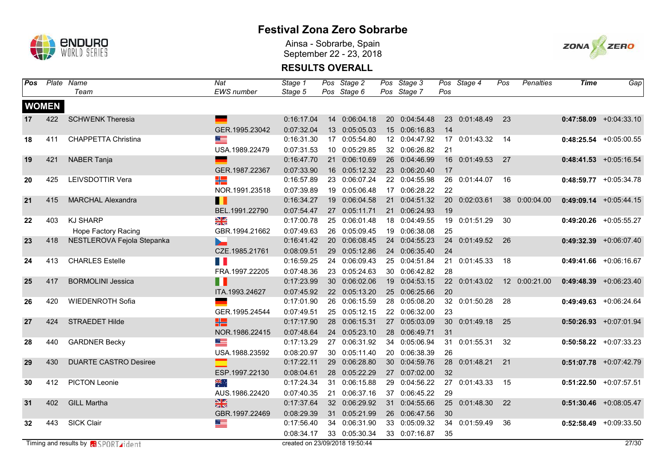

Ainsa - Sobrarbe, Spain September 22 - 23, 2018



| Pos |              | Plate Name                                   | <b>Nat</b>        | Stage 1                        |    | Pos Stage 2   | Pos Stage 3   |     | Pos Stage 4   | Pos | <b>Penalties</b> | <b>Time</b> | Gap                      |
|-----|--------------|----------------------------------------------|-------------------|--------------------------------|----|---------------|---------------|-----|---------------|-----|------------------|-------------|--------------------------|
|     |              | Team                                         | <b>EWS</b> number | Stage 5                        |    | Pos Stage 6   | Pos Stage 7   | Pos |               |     |                  |             |                          |
|     | <b>WOMEN</b> |                                              |                   |                                |    |               |               |     |               |     |                  |             |                          |
| 17  | 422          | <b>SCHWENK Theresia</b>                      |                   | 0:16:17.04                     |    | 14 0:06:04.18 | 20 0:04:54.48 |     | 23 0:01:48.49 | 23  |                  |             | $0:47:58.09$ +0:04:33.10 |
|     |              |                                              | GER.1995.23042    | 0:07:32.04                     |    | 13 0:05:05.03 | 15 0:06:16.83 | 14  |               |     |                  |             |                          |
| 18  | 411          | <b>CHAPPETTA Christina</b>                   | <u> and</u>       | 0:16:31.30                     |    | 17 0:05:54.80 | 12 0:04:47.92 |     | 17 0:01:43.32 | -14 |                  |             | $0:48:25.54$ +0:05:00.55 |
|     |              |                                              | USA.1989.22479    | 0:07:31.53                     |    | 10 0:05:29.85 | 32 0:06:26.82 | 21  |               |     |                  |             |                          |
| 19  | 421          | <b>NABER Tanja</b>                           | <u>e a</u>        | 0:16:47.70                     |    | 21 0:06:10.69 | 26 0:04:46.99 |     | 16 0:01:49.53 | 27  |                  |             | $0:48:41.53$ +0:05:16.54 |
|     |              |                                              | GER.1987.22367    | 0:07:33.90                     |    | 16 0:05:12.32 | 23 0:06:20.40 | 17  |               |     |                  |             |                          |
| 20  | 425          | LEIVSDOTTIR Vera                             | ╬                 | 0:16:57.89                     |    | 23 0:06:07.24 | 22 0:04:55.98 | 26  | 0:01:44.07    | 16  |                  |             | $0:48:59.77$ +0:05:34.78 |
|     |              |                                              | NOR.1991.23518    | 0:07:39.89                     | 19 | 0:05:06.48    | 17 0:06:28.22 | 22  |               |     |                  |             |                          |
| 21  | 415          | <b>MARCHAL Alexandra</b>                     | Ш                 | 0:16:34.27                     | 19 | 0:06:04.58    | 21 0:04:51.32 | 20  | 0:02:03.61    |     | 38 0:00:04.00    |             | $0:49:09.14$ +0:05:44.15 |
|     |              |                                              | BEL.1991.22790    | 0:07:54.47                     |    | 27 0:05:11.71 | 21 0:06:24.93 | 19  |               |     |                  |             |                          |
| 22  | 403          | <b>KJ SHARP</b>                              | $\frac{N}{N}$     | 0:17:00.78                     |    | 25 0:06:01.48 | 18 0:04:49.55 | 19  | 0:01:51.29    | 30  |                  |             | $0:49:20.26$ +0:05:55.27 |
|     |              | Hope Factory Racing                          | GBR.1994.21662    | 0:07:49.63                     | 26 | 0:05:09.45    | 19 0:06:38.08 | 25  |               |     |                  |             |                          |
| 23  | 418          | NESTLEROVA Fejola Stepanka                   | $\blacksquare$    | 0:16:41.42                     | 20 | 0:06:08.45    | 24 0:04:55.23 | 24  | 0:01:49.52    | 26  |                  |             | $0:49:32.39$ +0:06:07.40 |
|     |              |                                              | CZE.1985.21761    | 0:08:09.51                     |    | 29 0:05:12.86 | 24 0:06:35.40 | 24  |               |     |                  |             |                          |
| 24  | 413          | <b>CHARLES Estelle</b>                       | FI F              | 0:16:59.25                     |    | 24 0:06:09.43 | 25 0:04:51.84 | 21  | 0:01:45.33    | 18  |                  |             | $0:49:41.66$ +0:06:16.67 |
|     |              |                                              | FRA.1997.22205    | 0:07:48.36                     |    | 23 0:05:24.63 | 30 0:06:42.82 | 28  |               |     |                  |             |                          |
| 25  | 417          | <b>BORMOLINI Jessica</b>                     | n a               | 0:17:23.99                     |    | 30 0:06:02.06 | 19 0:04:53.15 |     | 22 0:01:43.02 |     | 12 0:00:21.00    |             | $0:49:48.39$ +0:06:23.40 |
|     |              |                                              | ITA.1993.24627    | 0:07:45.92                     |    | 22 0:05:13.20 | 25 0:06:25.66 | 20  |               |     |                  |             |                          |
| 26  | 420          | <b>WIEDENROTH Sofia</b>                      |                   | 0:17:01.90                     |    | 26 0:06:15.59 | 28 0:05:08.20 |     | 32 0:01:50.28 | 28  |                  |             | $0:49:49.63$ +0:06:24.64 |
|     |              |                                              | GER.1995.24544    | 0:07:49.51                     |    | 25 0:05:12.15 | 22 0:06:32.00 | 23  |               |     |                  |             |                          |
| 27  | 424          | <b>STRAEDET Hilde</b>                        | HZ                | 0:17:17.90                     | 28 | 0:06:15.31    | 27 0:05:03.09 | 30  | 0:01:49.18    | 25  |                  |             | $0:50:26.93$ +0:07:01.94 |
|     |              |                                              | NOR.1986.22415    | 0:07:48.64                     |    | 24 0:05:23.10 | 28 0:06:49.71 | 31  |               |     |                  |             |                          |
| 28  | 440          | <b>GARDNER Becky</b>                         | ▆▆                | 0:17:13.29                     |    | 27 0:06:31.92 | 34 0:05:06.94 |     | 31 0:01:55.31 | 32  |                  |             | $0:50:58.22$ +0:07:33.23 |
|     |              |                                              | USA.1988.23592    | 0:08:20.97                     |    | 30 0:05:11.40 | 20 0:06:38.39 | 26  |               |     |                  |             |                          |
| 29  | 430          | <b>DUARTE CASTRO Desiree</b>                 | $\equiv$          | 0:17:22.11                     |    | 29 0:06:28.80 | 30 0:04:59.76 | 28  | 0:01:48.21    | 21  |                  |             | $0:51:07.78$ +0:07:42.79 |
|     |              |                                              | ESP.1997.22130    | 0:08:04.61                     |    | 28 0:05:22.29 | 27 0:07:02.00 | 32  |               |     |                  |             |                          |
| 30  | 412          | <b>PICTON Leonie</b>                         | ▓€∴               | 0:17:24.34                     |    | 31 0:06:15.88 | 29 0:04:56.22 | 27  | 0:01:43.33    | 15  |                  |             | $0:51:22.50$ +0:07:57.51 |
|     |              |                                              | AUS.1986.22420    | 0:07:40.35                     |    | 21 0:06:37.16 | 37 0:06:45.22 | 29  |               |     |                  |             |                          |
| 31  | 402          | <b>GILL Martha</b>                           | $\frac{N}{2}$     | 0:17:37.64                     |    | 32 0:06:29.92 | 31 0:04:55.66 | 25  | 0:01:48.30    | 22  |                  |             | $0:51:30.46$ +0:08:05.47 |
|     |              |                                              | GBR.1997.22469    | 0:08:29.39                     |    | 31 0:05:21.99 | 26 0:06:47.56 | 30  |               |     |                  |             |                          |
| 32  | 443          | <b>SICK Clair</b>                            |                   | 0:17:56.40                     |    | 34 0:06:31.90 | 33 0:05:09.32 | 34  | 0:01:59.49    | 36  |                  |             | $0:52:58.49$ +0:09:33.50 |
|     |              |                                              |                   | 0:08:34.17                     |    | 33 0:05:30.34 | 33 0:07:16.87 | 35  |               |     |                  |             |                          |
|     |              | Timing and results by <b>RI</b> SPORT rident |                   | created on 23/09/2018 19:50:44 |    |               |               |     |               |     |                  |             | 27/30                    |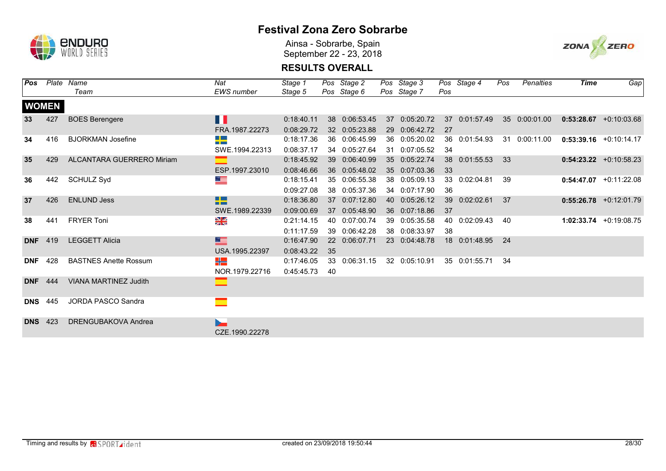

Ainsa - Sobrarbe, Spain September 22 - 23, 2018



| Pos        |              | Plate Name                   | Nat               | Stage 1    |    | Pos Stage 2   | Pos Stage 3   |     | Pos Stage 4   | Pos | Penalties     | <b>Time</b> | Gap                      |
|------------|--------------|------------------------------|-------------------|------------|----|---------------|---------------|-----|---------------|-----|---------------|-------------|--------------------------|
|            |              | Team                         | <b>EWS</b> number | Stage 5    |    | Pos Stage 6   | Pos Stage 7   | Pos |               |     |               |             |                          |
|            | <b>WOMEN</b> |                              |                   |            |    |               |               |     |               |     |               |             |                          |
| 33         | 427          | <b>BOES Berengere</b>        | l II              | 0:18:40.11 |    | 38 0:06:53.45 | 37 0:05:20.72 |     | 37 0:01:57.49 |     | 35 0:00:01.00 |             | $0:53:28.67$ +0:10:03.68 |
|            |              |                              | FRA.1987.22273    | 0:08:29.72 |    | 32 0:05:23.88 | 29 0:06:42.72 | 27  |               |     |               |             |                          |
| 34         | 416          | <b>BJORKMAN Josefine</b>     | $\Box$<br>--      | 0:18:17.36 |    | 36 0:06:45.99 | 36 0:05:20.02 |     | 36 0:01:54.93 |     | 31 0:00:11.00 |             | $0:53:39.16$ +0:10:14.17 |
|            |              |                              | SWE.1994.22313    | 0:08:37.17 |    | 34 0:05:27.64 | 31 0:07:05.52 | 34  |               |     |               |             |                          |
| 35         | 429          | ALCANTARA GUERRERO Miriam    |                   | 0:18:45.92 |    | 39 0:06:40.99 | 35 0:05:22.74 |     | 38 0:01:55.53 | -33 |               |             | $0:54:23.22 +0:10:58.23$ |
|            |              |                              | ESP.1997.23010    | 0:08:46.66 |    | 36 0:05:48.02 | 35 0:07:03.36 | 33  |               |     |               |             |                          |
| 36         | 442          | <b>SCHULZ Syd</b>            |                   | 0:18:15.41 |    | 35 0:06:55.38 | 38 0:05:09.13 |     | 33 0:02:04.81 | 39  |               |             | $0:54:47.07$ +0:11:22.08 |
|            |              |                              |                   | 0:09:27.08 |    | 38 0:05:37.36 | 34 0:07:17.90 | 36  |               |     |               |             |                          |
| 37         | 426          | <b>ENLUND Jess</b>           | 88 S<br>--        | 0:18:36.80 |    | 37 0:07:12.80 | 40 0:05:26.12 | 39  | 0:02:02.61    | 37  |               |             | $0:55:26.78$ +0:12:01.79 |
|            |              |                              | SWE.1989.22339    | 0:09:00.69 |    | 37 0:05:48.90 | 36 0:07:18.86 | 37  |               |     |               |             |                          |
| 38         | 441          | <b>FRYER Toni</b>            | $\frac{N}{N}$     | 0:21:14.15 | 40 | 0:07:00.74    | 39 0:05:35.58 |     | 40 0:02:09.43 | 40  |               |             | 1:02:33.74 +0:19:08.75   |
|            |              |                              |                   | 0:11:17.59 | 39 | 0:06:42.28    | 38 0:08:33.97 | -38 |               |     |               |             |                          |
| <b>DNF</b> | 419          | <b>LEGGETT Alicia</b>        | <u>est</u>        | 0:16:47.90 |    | 22 0:06:07.71 | 23 0:04:48.78 |     | 18 0:01:48.95 | 24  |               |             |                          |
|            |              |                              | USA.1995.22397    | 0:08:43.22 | 35 |               |               |     |               |     |               |             |                          |
| <b>DNF</b> | 428          | <b>BASTNES Anette Rossum</b> | HE                | 0:17:46.05 |    | 33 0:06:31.15 | 32 0:05:10.91 |     | 35 0:01:55.71 | -34 |               |             |                          |
|            |              |                              | NOR.1979.22716    | 0:45:45.73 | 40 |               |               |     |               |     |               |             |                          |
| <b>DNF</b> | 444          | <b>VIANA MARTINEZ Judith</b> | ▅                 |            |    |               |               |     |               |     |               |             |                          |
|            |              |                              |                   |            |    |               |               |     |               |     |               |             |                          |
| <b>DNS</b> | 445          | JORDA PASCO Sandra           | ▀                 |            |    |               |               |     |               |     |               |             |                          |
|            |              |                              |                   |            |    |               |               |     |               |     |               |             |                          |
| <b>DNS</b> | 423          | <b>DRENGUBAKOVA Andrea</b>   |                   |            |    |               |               |     |               |     |               |             |                          |
|            |              |                              | CZE.1990.22278    |            |    |               |               |     |               |     |               |             |                          |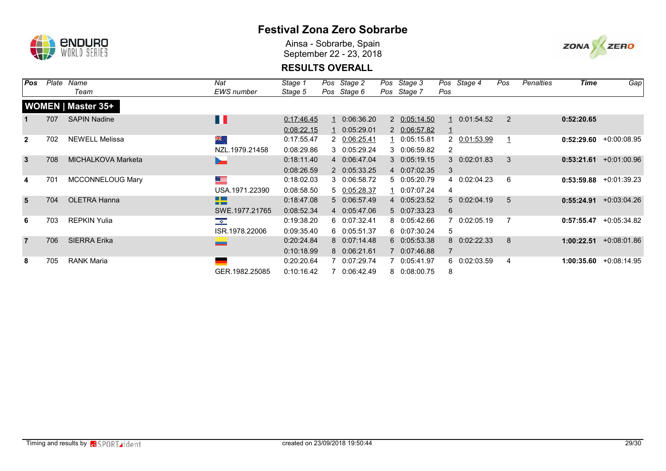

Ainsa - Sobrarbe, Spain September 22 - 23, 2018



| Pos            | Plate | Name                      | Nat                      | Stage 1    | Pos Stage 2  | Pos Stage 3  |     | Pos Stage 4  | Pos            | Penalties | <b>Time</b> | Gap           |
|----------------|-------|---------------------------|--------------------------|------------|--------------|--------------|-----|--------------|----------------|-----------|-------------|---------------|
|                |       | Team                      | <b>EWS</b> number        | Stage 5    | Pos Stage 6  | Pos Stage 7  | Pos |              |                |           |             |               |
|                |       | <b>WOMEN   Master 35+</b> |                          |            |              |              |     |              |                |           |             |               |
| $\mathbf{1}$   | 707   | <b>SAPIN Nadine</b>       | $\Box$                   | 0:17:46.45 | 0:06:36.20   | 2 0:05:14.50 |     | 0:01:54.52   | $\overline{2}$ |           | 0:52:20.65  |               |
|                |       |                           |                          | 0:08:22.15 | 0:05:29.01   | 2 0:06:57.82 |     |              |                |           |             |               |
| $\mathbf{2}$   | 702   | <b>NEWELL Melissa</b>     | लेहे.                    | 0:17:55.47 | 2 0:06:25.41 | 1 0:05:15.81 |     | 2 0:01:53.99 |                |           | 0:52:29.60  | $+0.00:08.95$ |
|                |       |                           | NZL.1979.21458           | 0:08:29.86 | 3 0:05:29.24 | 3 0:06:59.82 | 2   |              |                |           |             |               |
| $\mathbf{3}$   | 708   | <b>MICHALKOVA Marketa</b> | b.                       | 0:18:11.40 | 4 0:06:47.04 | 3 0:05:19.15 |     | 3 0:02:01.83 | 3              |           | 0:53:21.61  | $+0.01:00.96$ |
|                |       |                           |                          | 0:08:26.59 | 2 0:05:33.25 | 4 0:07:02.35 | 3   |              |                |           |             |               |
| 4              | 701   | <b>MCCONNELOUG Mary</b>   | <u> alta</u>             | 0:18:02.03 | 3 0:06:58.72 | 5 0:05:20.79 |     | 4 0:02:04.23 | 6              |           | 0:53:59.88  | +0:01:39.23   |
|                |       |                           | USA.1971.22390           | 0:08:58.50 | 5 0:05:28.37 | 1 0:07:07.24 | 4   |              |                |           |             |               |
| 5              | 704   | <b>OLETRA Hanna</b>       | <u> Literatur</u><br>n m | 0:18:47.08 | 5 0:06:57.49 | 4 0:05:23.52 |     | 5 0:02:04.19 | 5              |           | 0:55:24.91  | $+0.03:04.26$ |
|                |       |                           | SWE.1977.21765           | 0:08:52.34 | 4 0:05:47.06 | 5 0:07:33.23 | 6   |              |                |           |             |               |
| 6              | 703   | <b>REPKIN Yulia</b>       | $\frac{1}{\sqrt{2}}$     | 0:19:38.20 | 6 0:07:32.41 | 8 0:05:42.66 |     | 0:02:05.19   |                |           | 0:57:55.47  | +0:05:34.82   |
|                |       |                           | ISR.1978.22006           | 0:09:35.40 | 6 0:05:51.37 | 6 0:07:30.24 | 5   |              |                |           |             |               |
| $\overline{7}$ | 706   | <b>SIERRA Erika</b>       |                          | 0:20:24.84 | 8 0:07:14.48 | 6 0:05:53.38 |     | 8 0:02:22.33 | 8              |           | 1:00:22.51  | $+0.08:01.86$ |
|                |       |                           |                          | 0:10:18.99 | 8 0:06:21.61 | 7 0:07:46.88 |     |              |                |           |             |               |
| 8              | 705   | <b>RANK Maria</b>         | ـ                        | 0:20:20.64 | 7 0:07:29.74 | 7 0:05:41.97 |     | 6 0:02:03.59 | 4              |           | 1:00:35.60  | $+0.08:14.95$ |
|                |       |                           | GER.1982.25085           | 0:10:16.42 | 7 0:06:42.49 | 8 0:08:00.75 | 8   |              |                |           |             |               |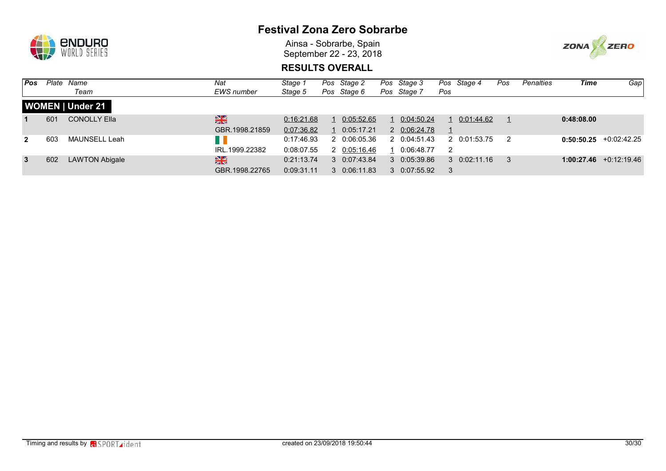

Ainsa - Sobrarbe, Spain September 22 - 23, 2018



| l Pos        | Plate | Name                    | Nat               | Stage 1    | Pos | Stage 2     | Pos Stage 3  |     | Pos Stage 4          | Pos | <b>Penalties</b> | Time       | Gap                      |
|--------------|-------|-------------------------|-------------------|------------|-----|-------------|--------------|-----|----------------------|-----|------------------|------------|--------------------------|
|              |       | Team                    | <b>EWS</b> number | Stage 5    |     | Pos Stage 6 | Pos Stage 7  | Pos |                      |     |                  |            |                          |
|              |       | <b>WOMEN   Under 21</b> |                   |            |     |             |              |     |                      |     |                  |            |                          |
|              | 601   | <b>CONOLLY Ella</b>     | $\frac{N}{N}$     | 0:16:21.68 |     | 0:05:52.65  | 0:04:50.24   |     | 0:01:44.62           |     |                  | 0:48:08.00 |                          |
|              |       |                         | GBR.1998.21859    | 0:07:36.82 |     | 0:05:17.21  | 2 0:06:24.78 |     |                      |     |                  |            |                          |
| $\mathbf{2}$ | 603   | MAUNSELL Leah           |                   | 0:17:46.93 | 2.  | 0:06:05.36  | 2 0:04:51.43 |     | 2 0:01:53.75         | -2  |                  | 0:50:50.25 | $+0.02:42.25$            |
|              |       |                         | IRL.1999.22382    | 0:08:07.55 | 2   | 0:05:16.46  | 0:06:48.77   | 2   |                      |     |                  |            |                          |
| $\mathbf{3}$ | 602   | <b>LAWTON Abigale</b>   | $\frac{N}{N}$     | 0:21:13.74 | 3   | 0:07:43.84  | 30:05:39.86  |     | $3 \quad 0:02:11.16$ | -3  |                  |            | $1:00:27.46$ +0:12:19.46 |
|              |       |                         | GBR.1998.22765    | 0:09:31.11 | 3   | 0:06:11.83  | 3 0:07:55.92 | 3   |                      |     |                  |            |                          |